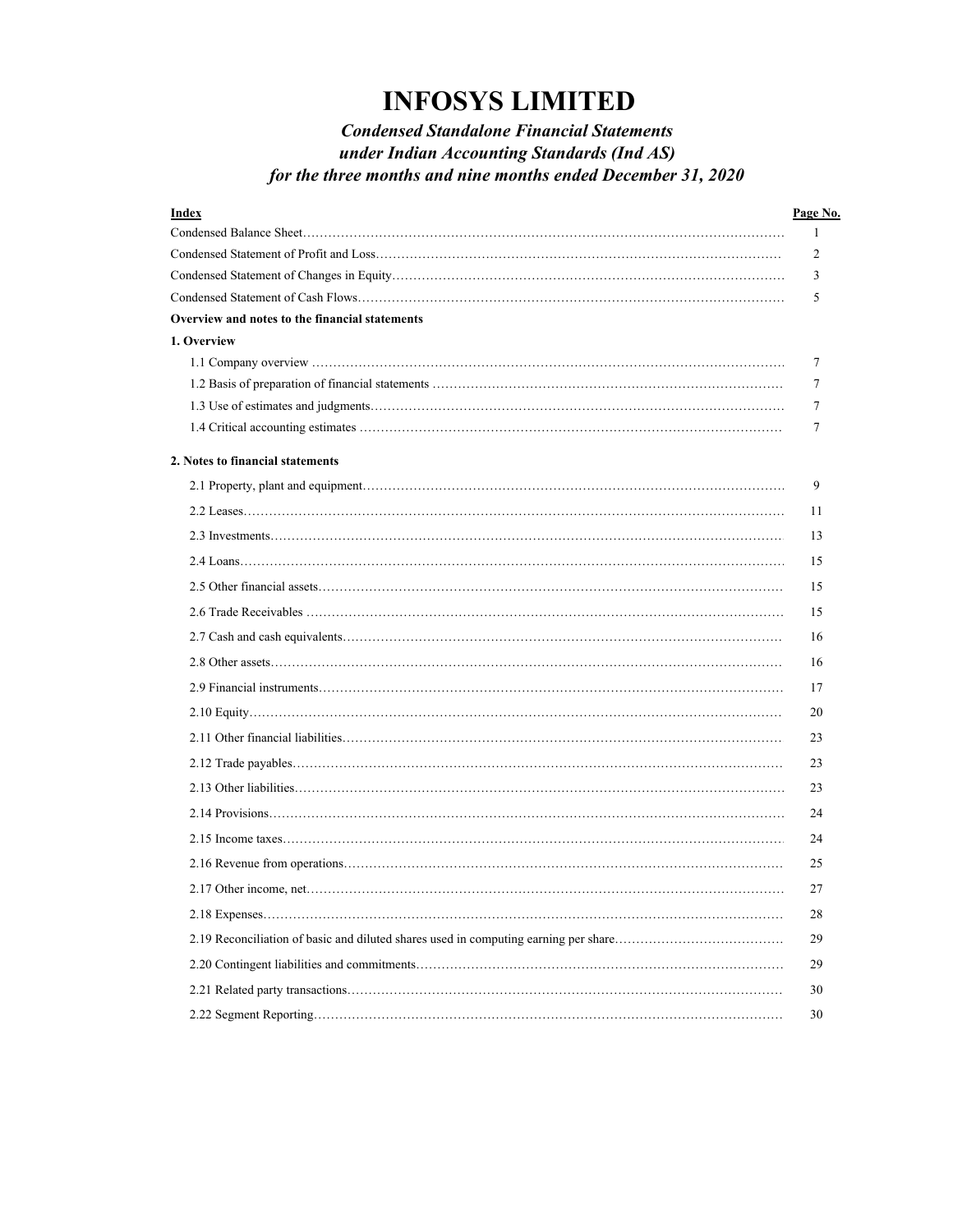# *Condensed Standalone Financial Statements under Indian Accounting Standards (Ind AS) for the three months and nine months ended December 31, 2020*

| Index                                          | <u>Page No.</u> |
|------------------------------------------------|-----------------|
|                                                | 1               |
|                                                | 2               |
|                                                | 3               |
|                                                | 5               |
| Overview and notes to the financial statements |                 |
| 1. Overview                                    |                 |
|                                                | 7               |
|                                                | 7               |
|                                                | 7               |
|                                                | 7               |
| 2. Notes to financial statements               |                 |
|                                                | 9               |
|                                                | 11              |
|                                                | 13              |
|                                                | 15              |
|                                                | 15              |
|                                                | 15              |
|                                                | 16              |
|                                                | 16              |
|                                                | 17              |
|                                                | 20              |
|                                                | 23              |
|                                                | 23              |
|                                                | 23              |
|                                                | 24              |
|                                                | 24              |
|                                                | 25              |
|                                                | 27              |
|                                                | 28              |
|                                                | 29              |
|                                                | 29              |
|                                                | 30              |
|                                                | 30              |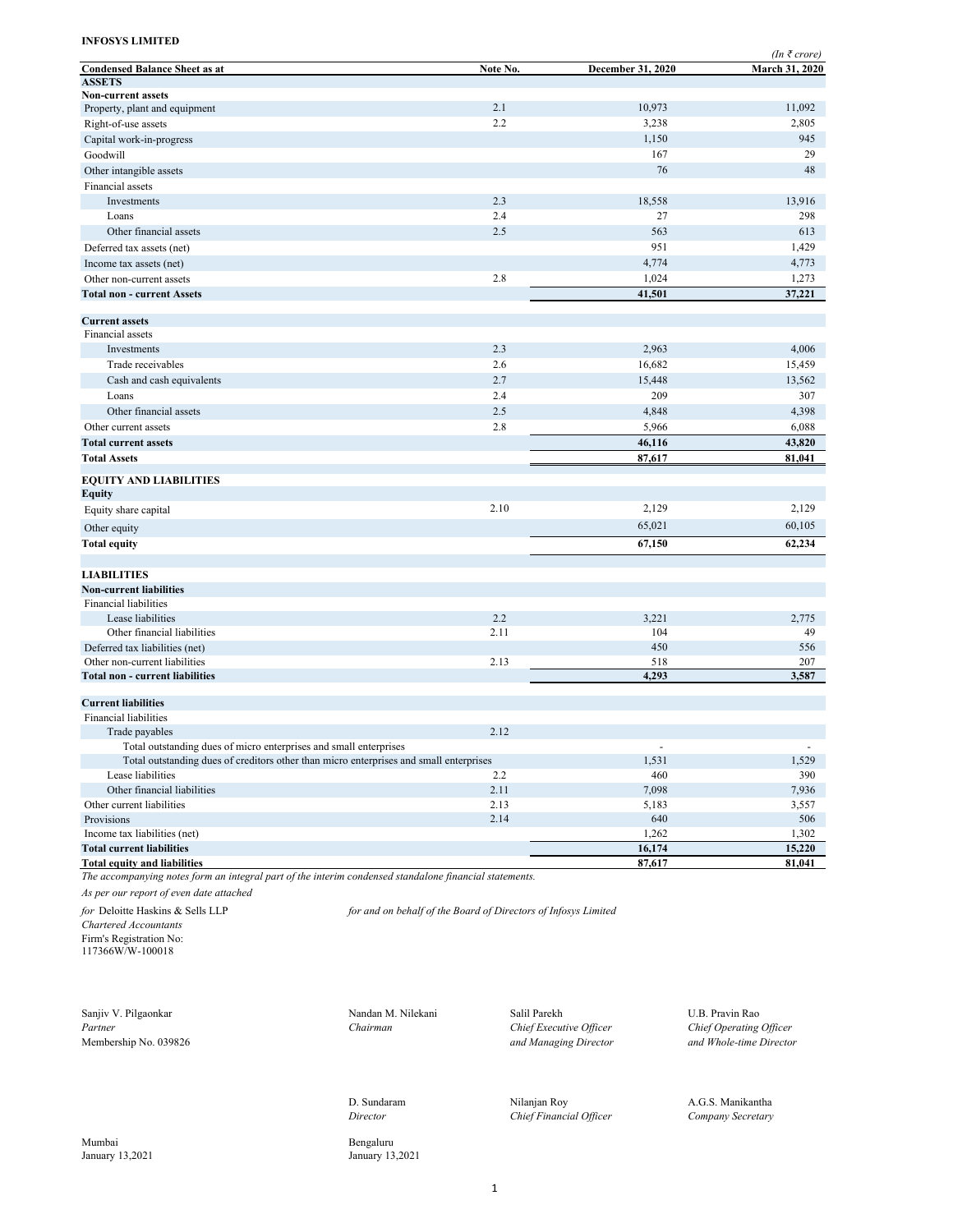|                                                                                                        |          |                   | $(In \; \bar{\tau} \; crore)$ |
|--------------------------------------------------------------------------------------------------------|----------|-------------------|-------------------------------|
| <b>Condensed Balance Sheet as at</b>                                                                   | Note No. | December 31, 2020 | March 31, 2020                |
| <b>ASSETS</b>                                                                                          |          |                   |                               |
| <b>Non-current assets</b>                                                                              |          |                   |                               |
| Property, plant and equipment                                                                          | 2.1      | 10,973            | 11,092                        |
| Right-of-use assets                                                                                    | 2.2      | 3,238             | 2,805                         |
| Capital work-in-progress                                                                               |          | 1,150             | 945                           |
| Goodwill                                                                                               |          | 167               | 29                            |
| Other intangible assets                                                                                |          | 76                | 48                            |
| Financial assets                                                                                       |          |                   |                               |
| Investments                                                                                            | 2.3      | 18,558            | 13,916                        |
| Loans                                                                                                  | 2.4      | 27                | 298                           |
| Other financial assets                                                                                 | 2.5      | 563               | 613                           |
| Deferred tax assets (net)                                                                              |          | 951               | 1,429                         |
| Income tax assets (net)                                                                                |          | 4,774             | 4,773                         |
| Other non-current assets                                                                               | 2.8      | 1,024             | 1,273                         |
| <b>Total non - current Assets</b>                                                                      |          | 41,501            | 37,221                        |
|                                                                                                        |          |                   |                               |
| <b>Current assets</b>                                                                                  |          |                   |                               |
| Financial assets                                                                                       |          |                   |                               |
| Investments                                                                                            | 2.3      | 2,963             | 4,006                         |
| Trade receivables                                                                                      | 2.6      | 16,682            | 15,459                        |
| Cash and cash equivalents                                                                              | 2.7      | 15,448            | 13,562                        |
| Loans                                                                                                  | 2.4      | 209               | 307                           |
| Other financial assets                                                                                 | 2.5      | 4,848             | 4,398                         |
| Other current assets                                                                                   | 2.8      | 5,966             | 6,088                         |
| <b>Total current assets</b>                                                                            |          | 46,116            | 43,820                        |
| <b>Total Assets</b>                                                                                    |          | 87,617            | 81,041                        |
| <b>EQUITY AND LIABILITIES</b>                                                                          |          |                   |                               |
| Equity                                                                                                 |          |                   |                               |
| Equity share capital                                                                                   | 2.10     | 2,129             | 2,129                         |
|                                                                                                        |          |                   |                               |
| Other equity                                                                                           |          | 65,021            | 60,105                        |
| Total equity                                                                                           |          | 67,150            | 62,234                        |
|                                                                                                        |          |                   |                               |
| <b>LIABILITIES</b>                                                                                     |          |                   |                               |
| <b>Non-current liabilities</b>                                                                         |          |                   |                               |
| <b>Financial liabilities</b>                                                                           |          |                   |                               |
| Lease liabilities                                                                                      | 2.2      | 3,221             | 2,775                         |
| Other financial liabilities                                                                            | 2.11     | 104               | 49                            |
| Deferred tax liabilities (net)                                                                         |          | 450               | 556                           |
| Other non-current liabilities<br><b>Total non - current liabilities</b>                                | 2.13     | 518<br>4,293      | 207<br>3,587                  |
|                                                                                                        |          |                   |                               |
| <b>Current liabilities</b>                                                                             |          |                   |                               |
| Financial liabilities                                                                                  |          |                   |                               |
| Trade payables                                                                                         | 2.12     |                   |                               |
| Total outstanding dues of micro enterprises and small enterprises                                      |          |                   | $\sim$                        |
| Total outstanding dues of creditors other than micro enterprises and small enterprises                 |          | 1,531             | 1,529                         |
| Lease liabilities                                                                                      | 2.2      | 460               | 390                           |
| Other financial liabilities                                                                            | 2.11     | 7,098             | 7,936                         |
| Other current liabilities                                                                              | 2.13     | 5,183             | 3,557                         |
| Provisions                                                                                             | 2.14     | 640               | 506                           |
| Income tax liabilities (net)                                                                           |          | 1,262             | 1,302                         |
| <b>Total current liabilities</b>                                                                       |          | 16,174            | 15,220                        |
| <b>Total equity and liabilities</b>                                                                    |          | 87,617            | 81,041                        |
| The accompanying notes form an integral part of the interim condensed standalone financial statements. |          |                   |                               |

*As per our report of even date attached*

*Chartered Accountants* Firm's Registration No: 117366W/W-100018

Partner<br> *Partner Chairman Chairman Chief Executive Officer Alembership No.* 039826 *and Managing Director* 

Mumbai Bengaluru January 13,2021 **Bengaluru** 

*for* Deloitte Haskins & Sells LLP *for and on behalf of the Board of Directors of Infosys Limited*

Sanjiv V. Pilgaonkar Nandan M. Nilekani Salil Parekh U.B. Pravin Rao

January 13,2021 January 13,2021

D. Sundaram Nilanjan Roy A.G.S. Manikantha *Director Chief Financial Officer Company Secretary*

Membership No. 039826<br>
Membership No. 039826 *and Managing Director and Managing Director and Whole-time Director*<br> *and Managing Director and Whole-time Director*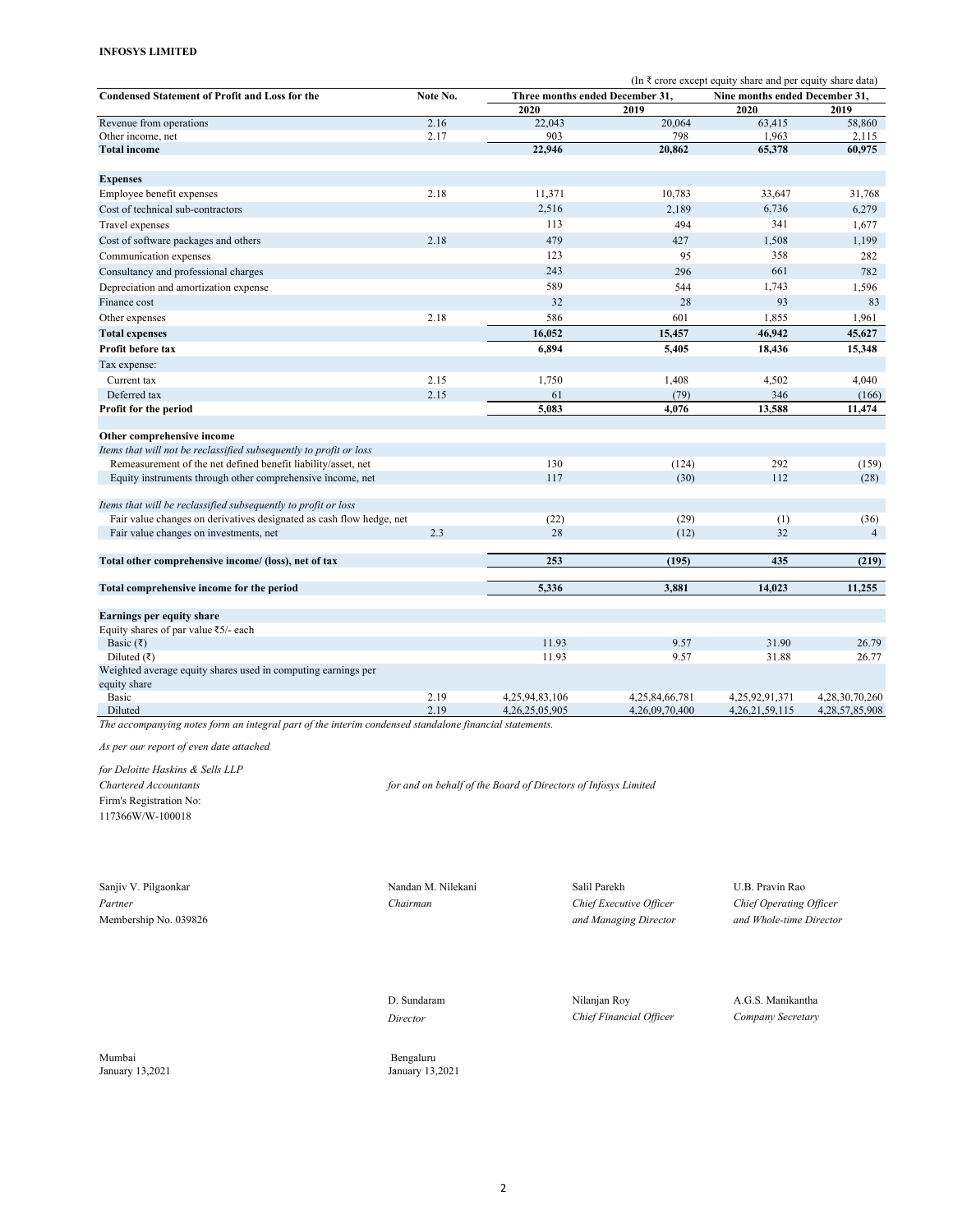|                                                                               |          | (In $\bar{\tau}$ crore except equity share and per equity share data) |                |                                |                 |  |  |  |  |  |
|-------------------------------------------------------------------------------|----------|-----------------------------------------------------------------------|----------------|--------------------------------|-----------------|--|--|--|--|--|
| <b>Condensed Statement of Profit and Loss for the</b>                         | Note No. | Three months ended December 31,                                       |                | Nine months ended December 31. |                 |  |  |  |  |  |
|                                                                               |          | 2020                                                                  | 2019           | 2020                           | 2019            |  |  |  |  |  |
| Revenue from operations                                                       | 2.16     | 22,043                                                                | 20,064         | 63,415                         | 58,860          |  |  |  |  |  |
| Other income, net                                                             | 2.17     | 903                                                                   | 798            | 1,963                          | 2,115           |  |  |  |  |  |
| <b>Total income</b>                                                           |          | 22,946                                                                | 20.862         | 65,378                         | 60.975          |  |  |  |  |  |
| <b>Expenses</b>                                                               |          |                                                                       |                |                                |                 |  |  |  |  |  |
| Employee benefit expenses                                                     | 2.18     | 11,371                                                                | 10,783         | 33,647                         | 31,768          |  |  |  |  |  |
| Cost of technical sub-contractors                                             |          | 2,516                                                                 | 2,189          | 6,736                          | 6,279           |  |  |  |  |  |
| Travel expenses                                                               |          | 113                                                                   | 494            | 341                            | 1,677           |  |  |  |  |  |
| Cost of software packages and others                                          | 2.18     | 479                                                                   | 427            | 1,508                          | 1,199           |  |  |  |  |  |
| Communication expenses                                                        |          | 123                                                                   | 95             | 358                            | 282             |  |  |  |  |  |
| Consultancy and professional charges                                          |          | 243                                                                   | 296            | 661                            | 782             |  |  |  |  |  |
| Depreciation and amortization expense                                         |          | 589                                                                   | 544            | 1,743                          | 1,596           |  |  |  |  |  |
| Finance cost                                                                  |          | 32                                                                    | 28             | 93                             | 83              |  |  |  |  |  |
| Other expenses                                                                | 2.18     | 586                                                                   | 601            | 1,855                          | 1,961           |  |  |  |  |  |
| <b>Total expenses</b>                                                         |          | 16,052                                                                | 15,457         | 46,942                         | 45,627          |  |  |  |  |  |
| Profit before tax                                                             |          | 6,894                                                                 | 5,405          | 18,436                         | 15,348          |  |  |  |  |  |
|                                                                               |          |                                                                       |                |                                |                 |  |  |  |  |  |
| Tax expense:                                                                  |          | 1,750                                                                 | 1,408          |                                |                 |  |  |  |  |  |
| Current tax                                                                   | 2.15     |                                                                       |                | 4,502                          | 4,040           |  |  |  |  |  |
| Deferred tax<br>Profit for the period                                         | 2.15     | 61<br>5,083                                                           | (79)<br>4.076  | 346<br>13,588                  | (166)<br>11,474 |  |  |  |  |  |
|                                                                               |          |                                                                       |                |                                |                 |  |  |  |  |  |
| Other comprehensive income                                                    |          |                                                                       |                |                                |                 |  |  |  |  |  |
| Items that will not be reclassified subsequently to profit or loss            |          |                                                                       |                |                                |                 |  |  |  |  |  |
| Remeasurement of the net defined benefit liability/asset, net                 |          | 130                                                                   | (124)          | 292                            | (159)           |  |  |  |  |  |
| Equity instruments through other comprehensive income, net                    |          | 117                                                                   | (30)           | 112                            | (28)            |  |  |  |  |  |
| Items that will be reclassified subsequently to profit or loss                |          |                                                                       |                |                                |                 |  |  |  |  |  |
| Fair value changes on derivatives designated as cash flow hedge, net          |          | (22)                                                                  | (29)           | (1)                            | (36)            |  |  |  |  |  |
| Fair value changes on investments, net                                        | 2.3      | 28                                                                    | (12)           | 32                             | $\overline{4}$  |  |  |  |  |  |
| Total other comprehensive income/ (loss), net of tax                          |          | 253                                                                   | (195)          | 435                            | (219)           |  |  |  |  |  |
| Total comprehensive income for the period                                     |          | 5,336                                                                 | 3,881          | 14,023                         | 11,255          |  |  |  |  |  |
|                                                                               |          |                                                                       |                |                                |                 |  |  |  |  |  |
| Earnings per equity share                                                     |          |                                                                       |                |                                |                 |  |  |  |  |  |
| Equity shares of par value ₹5/- each                                          |          |                                                                       |                |                                |                 |  |  |  |  |  |
| Basic $(\overline{\zeta})$                                                    |          | 11.93                                                                 | 9.57           | 31.90                          | 26.79           |  |  |  |  |  |
| Diluted $(\overline{\zeta})$                                                  |          | 11.93                                                                 | 9.57           | 31.88                          | 26.77           |  |  |  |  |  |
| Weighted average equity shares used in computing earnings per<br>equity share |          |                                                                       |                |                                |                 |  |  |  |  |  |
| Basic                                                                         | 2.19     | 4,25,94,83,106                                                        | 4,25,84,66,781 | 4,25,92,91,371                 | 4,28,30,70,260  |  |  |  |  |  |
| Diluted                                                                       | 2.19     | 4,26,25,05,905                                                        | 4,26,09,70,400 | 4, 26, 21, 59, 115             | 4,28,57,85,908  |  |  |  |  |  |

*The accompanying notes form an integral part of the interim condensed standalone financial statements.*

*As per our report of even date attached*

*for Deloitte Haskins & Sells LLP*

Firm's Registration No: 117366W/W-100018

*Chartered Accountants for and on behalf of the Board of Directors of Infosys Limited*

Sanjiv V. Pilgaonkar Nandan M. Nilekani Nandan M. Nilekani N. Salil Parekh U.B. Pravin Rao

*Partner Chairman Chief Executive Officer Chief Operating Officer* Membership No. 039826 *and Managing Director and Whole-time Director*

D. Sundaram Nilanjan Roy A.G.S. Manikantha *Director Chief Financial Officer Company Secretary*

Mumbai Bengaluru

January 13,2021 January 13,2021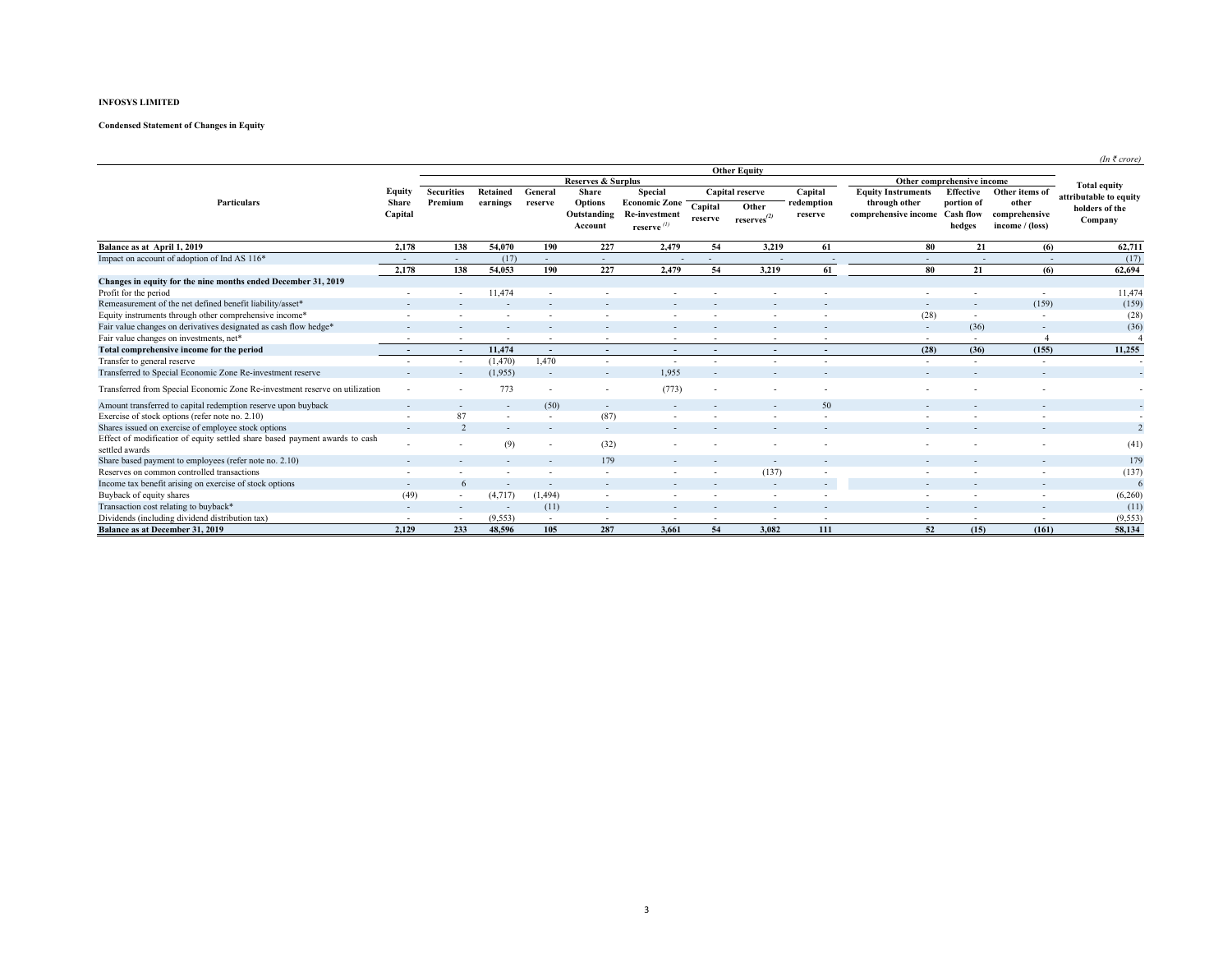# **Condensed Statement of Changes in Equity**

|                                                                             |                          |                          |                          |                          |                               |                                              |                          |                          |                          |                                                 |                            |                          | $(In \; \bar{\tau} \; crore)$ |
|-----------------------------------------------------------------------------|--------------------------|--------------------------|--------------------------|--------------------------|-------------------------------|----------------------------------------------|--------------------------|--------------------------|--------------------------|-------------------------------------------------|----------------------------|--------------------------|-------------------------------|
|                                                                             | <b>Other Equity</b>      |                          |                          |                          |                               |                                              |                          |                          |                          |                                                 |                            |                          |                               |
|                                                                             |                          |                          |                          |                          | <b>Reserves &amp; Surplus</b> |                                              |                          |                          |                          |                                                 | Other comprehensive income |                          | <b>Total equity</b>           |
|                                                                             | Equity                   | <b>Securities</b>        | Retained                 | General                  | Share                         | Special                                      |                          | Capital reserve          | Capital                  | <b>Equity Instruments</b>                       | Effective                  | Other items of           | attributable to equity        |
| Particulars                                                                 | Share<br>Capital         | Premium                  | earnings                 | reserve                  | <b>Options</b><br>Outstanding | <b>Economic Zone</b><br><b>Re-investment</b> | Capital                  | Other                    | redemption<br>reserve    | through other<br>comprehensive income Cash flow | portion of                 | other<br>comprehensive   | holders of the                |
|                                                                             |                          |                          |                          |                          | Account                       | reserve ${}^{(l)}$                           | reserve                  | $reserves^{(2)}$         |                          |                                                 | hedges                     | income / (loss)          | Company                       |
| Balance as at April 1, 2019                                                 | 2,178                    | 138                      | 54,070                   | 190                      | 227                           | 2,479                                        | 54                       | 3,219                    | 61                       | 80                                              | 21                         | (6)                      | 62,711                        |
| Impact on account of adoption of Ind AS 116*                                |                          | $\sim$                   | (17)                     | $\overline{\phantom{a}}$ | $\sim$                        | $\overline{\phantom{a}}$                     | $\overline{\phantom{a}}$ |                          | $\overline{\phantom{a}}$ | $\sim$                                          | $\overline{\phantom{a}}$   |                          | (17)                          |
|                                                                             | 2,178                    | 138                      | 54,053                   | 190                      | 227                           | 2,479                                        | 54                       | 3,219                    | 61                       | 80                                              | 21                         | (6)                      | 62,694                        |
| Changes in equity for the nine months ended December 31, 2019               |                          |                          |                          |                          |                               |                                              |                          |                          |                          |                                                 |                            |                          |                               |
| Profit for the period                                                       |                          |                          | 11.474                   |                          |                               |                                              |                          |                          |                          |                                                 |                            | $\sim$                   | 11,474                        |
| Remeasurement of the net defined benefit liability/asset*                   |                          |                          |                          |                          |                               |                                              |                          |                          |                          |                                                 | $\overline{\phantom{a}}$   | (159)                    | (159)                         |
| Equity instruments through other comprehensive income*                      |                          |                          |                          |                          |                               |                                              |                          |                          |                          | (28)                                            | $\overline{\phantom{a}}$   |                          | (28)                          |
| Fair value changes on derivatives designated as cash flow hedge*            |                          |                          |                          |                          |                               |                                              |                          |                          |                          | $\overline{\phantom{a}}$                        | (36)                       | $\overline{\phantom{a}}$ | (36)                          |
| Fair value changes on investments, net*                                     |                          |                          |                          | $\overline{\phantom{a}}$ |                               |                                              |                          |                          |                          | $\overline{\phantom{a}}$                        | $\overline{\phantom{a}}$   |                          |                               |
| Total comprehensive income for the period                                   |                          | $\overline{\phantom{a}}$ | 11,474                   | $\sim$                   | $\overline{\phantom{a}}$      |                                              |                          | $\overline{\phantom{a}}$ |                          | (28)                                            | (36)                       | (155)                    | 11,255                        |
| Transfer to general reserve                                                 |                          |                          | (1, 470)                 | 1,470                    | $\overline{\phantom{a}}$      |                                              |                          |                          |                          |                                                 |                            | $\tilde{\phantom{a}}$    |                               |
| Transferred to Special Economic Zone Re-investment reserve                  |                          |                          | (1,955)                  | $\sim$                   |                               | 1.955                                        |                          |                          |                          |                                                 |                            | ۰                        |                               |
| Transferred from Special Economic Zone Re-investment reserve on utilization | $\overline{\phantom{a}}$ |                          | 773                      | $\sim$                   | $\sim$                        | (773)                                        | $\sim$                   | $\sim$                   |                          |                                                 |                            |                          | $\sim$                        |
| Amount transferred to capital redemption reserve upon buyback               |                          |                          | $\overline{\phantom{a}}$ | (50)                     | $\overline{\phantom{a}}$      |                                              |                          |                          | 50                       |                                                 |                            |                          |                               |
| Exercise of stock options (refer note no. 2.10)                             |                          | 87                       |                          | $\sim$                   | (87)                          |                                              |                          |                          |                          |                                                 |                            |                          |                               |
| Shares issued on exercise of employee stock options                         |                          |                          |                          |                          | $\overline{\phantom{0}}$      |                                              |                          |                          |                          |                                                 |                            | $\overline{\phantom{a}}$ | $\overline{2}$                |
| Effect of modificatior of equity settled share based payment awards to cash |                          |                          | (9)                      |                          | (32)                          |                                              |                          |                          |                          |                                                 |                            |                          | (41)                          |
| settled awards                                                              |                          |                          |                          | $\overline{\phantom{a}}$ |                               |                                              |                          |                          |                          |                                                 |                            |                          |                               |
| Share based payment to employees (refer note no. 2.10)                      |                          |                          |                          |                          | 179                           |                                              |                          | $\overline{\phantom{a}}$ |                          |                                                 |                            |                          | 179                           |
| Reserves on common controlled transactions                                  |                          |                          |                          |                          |                               |                                              |                          | (137)                    |                          |                                                 |                            |                          | (137)                         |
| Income tax benefit arising on exercise of stock options                     |                          |                          |                          | $\overline{\phantom{a}}$ |                               |                                              |                          |                          |                          |                                                 |                            |                          | 6                             |
| Buyback of equity shares                                                    | (49)                     |                          | (4, 717)                 | (1, 494)                 |                               |                                              |                          |                          |                          |                                                 |                            |                          | (6,260)                       |
| Transaction cost relating to buyback*                                       | $\overline{\phantom{a}}$ |                          |                          | (11)                     |                               |                                              |                          |                          |                          |                                                 |                            |                          | (11)                          |
| Dividends (including dividend distribution tax)                             |                          |                          | (9, 553)                 | $\sim$                   | $\overline{\phantom{a}}$      |                                              |                          |                          |                          |                                                 |                            | $\overline{\phantom{a}}$ | (9,553)                       |
| <b>Balance as at December 31, 2019</b>                                      | 2.129                    | 233                      | 48.596                   | 105                      | 287                           | 3.661                                        | 54                       | 3.082                    | 111                      | 52                                              | (15)                       | (161)                    | 58,134                        |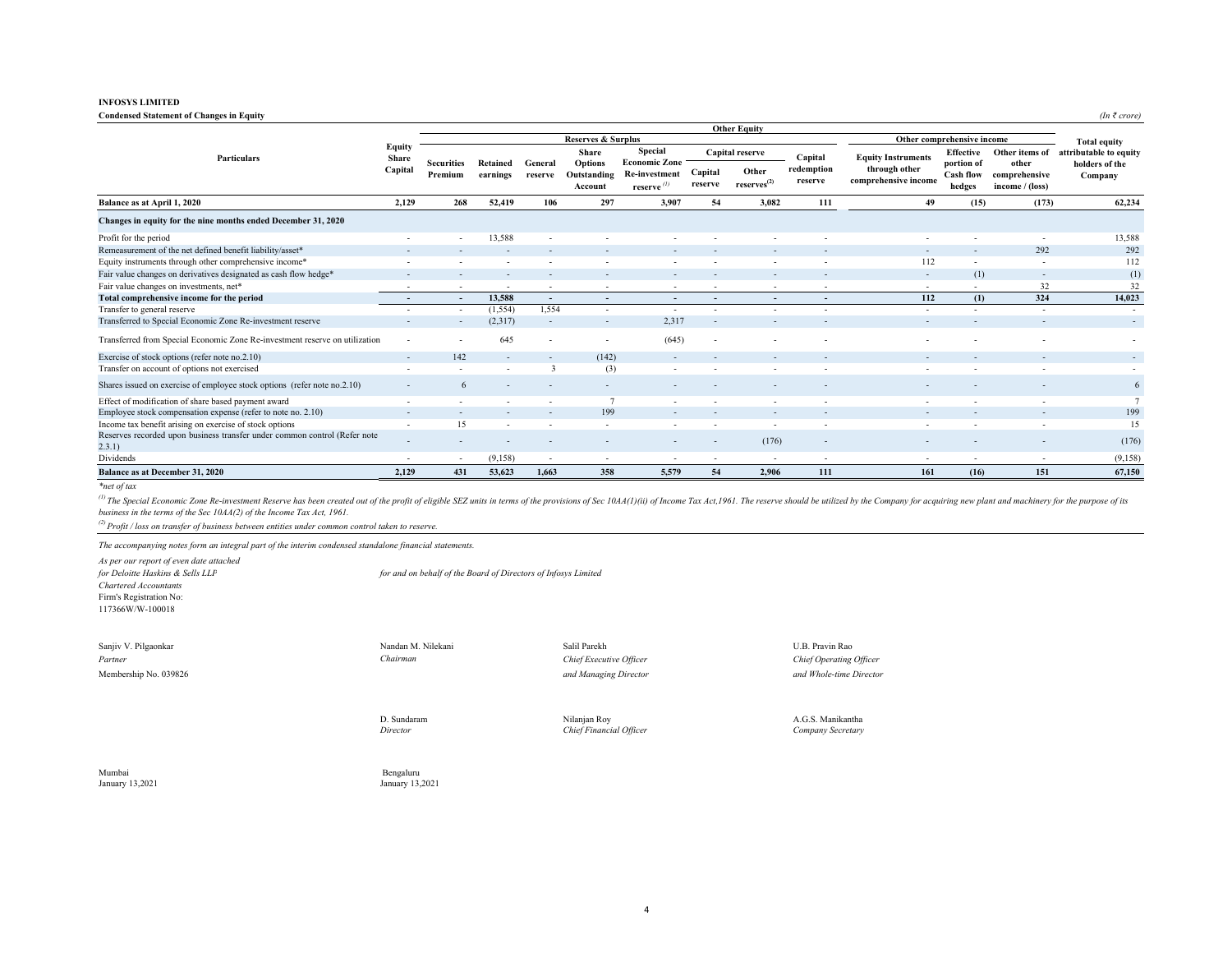# **Condensed Statement of Changes in Equity** *(In*  $\bar{\tau}$  *crore)*

|                                                                                     |                            |                          |                          |                          |                               |                          |                          | <b>Other Equity</b>               |                                                           |                           |                            |                          |                                       |                                          |                                           |
|-------------------------------------------------------------------------------------|----------------------------|--------------------------|--------------------------|--------------------------|-------------------------------|--------------------------|--------------------------|-----------------------------------|-----------------------------------------------------------|---------------------------|----------------------------|--------------------------|---------------------------------------|------------------------------------------|-------------------------------------------|
|                                                                                     |                            |                          |                          |                          | <b>Reserves &amp; Surplus</b> |                          |                          |                                   |                                                           |                           | Other comprehensive income |                          |                                       |                                          |                                           |
| Particulars                                                                         | Equity<br>Share<br>Capital |                          |                          |                          | <b>Share</b>                  | Special                  |                          | Capital reserve                   | Capital                                                   | <b>Equity Instruments</b> | <b>Effective</b>           | Other items of           | attributable to equity                |                                          |                                           |
|                                                                                     |                            |                          |                          |                          | <b>Securities</b><br>Premium  | Retained<br>earnings     | General<br>reserve       | Options<br>Outstanding<br>Account | <b>Economic Zone</b><br>Re-investment<br>reserve $^{(1)}$ | Capital<br>reserve        | Other<br>$reserves^{(2)}$  | redemption<br>reserve    | through other<br>comprehensive income | portion of<br><b>Cash flow</b><br>hedges | other<br>comprehensive<br>income / (loss) |
| Balance as at April 1, 2020                                                         | 2,129                      | 268                      | 52,419                   | 106                      | 297                           | 3,907                    | 54                       | 3,082                             | 111                                                       | 49                        | (15)                       | (173)                    | 62,234                                |                                          |                                           |
| Changes in equity for the nine months ended December 31, 2020                       |                            |                          |                          |                          |                               |                          |                          |                                   |                                                           |                           |                            |                          |                                       |                                          |                                           |
| Profit for the period                                                               |                            |                          | 13,588                   |                          |                               |                          |                          |                                   |                                                           |                           |                            | $\overline{\phantom{a}}$ | 13,588                                |                                          |                                           |
| Remeasurement of the net defined benefit liability/asset*                           |                            |                          |                          |                          |                               |                          |                          |                                   |                                                           | $\overline{\phantom{a}}$  | $\overline{\phantom{0}}$   | 292                      | 292                                   |                                          |                                           |
| Equity instruments through other comprehensive income*                              |                            |                          |                          |                          |                               |                          |                          |                                   |                                                           | 112                       |                            | $\overline{\phantom{a}}$ | 112                                   |                                          |                                           |
| Fair value changes on derivatives designated as cash flow hedge*                    |                            |                          |                          |                          |                               |                          |                          | $\overline{\phantom{a}}$          |                                                           | $\sim$                    | (1)                        | $\overline{\phantom{a}}$ | (1)                                   |                                          |                                           |
| Fair value changes on investments, net*                                             | $\overline{\phantom{a}}$   |                          | $\overline{\phantom{a}}$ | $\sim$                   | $\sim$                        | $\overline{\phantom{a}}$ | $\overline{\phantom{a}}$ | $\sim$                            | $\overline{\phantom{a}}$                                  | $\overline{\phantom{a}}$  | $\overline{\phantom{a}}$   | 32                       | 32                                    |                                          |                                           |
| Total comprehensive income for the period                                           |                            | $\sim$                   | 13.588                   | $\sim$                   | $\overline{\phantom{a}}$      | $\overline{\phantom{a}}$ | $\overline{\phantom{a}}$ | $\overline{\phantom{0}}$          | $\blacksquare$                                            | 112                       | (1)                        | 324                      | 14,023                                |                                          |                                           |
| Transfer to general reserve                                                         |                            |                          | (1, 554)                 | 1,554                    |                               | $\overline{\phantom{a}}$ |                          |                                   |                                                           | $\overline{\phantom{a}}$  |                            |                          |                                       |                                          |                                           |
| Transferred to Special Economic Zone Re-investment reserve                          |                            |                          | (2,317)                  | $\sim$                   | $\overline{\phantom{a}}$      | 2.317                    | $\overline{\phantom{0}}$ | $\overline{\phantom{a}}$          |                                                           | $\overline{\phantom{a}}$  |                            | $\overline{\phantom{a}}$ | $\sim$                                |                                          |                                           |
| Transferred from Special Economic Zone Re-investment reserve on utilization         |                            |                          | 645                      | $\overline{\phantom{a}}$ |                               | (645)                    | $\overline{\phantom{a}}$ |                                   |                                                           |                           |                            |                          | $\sim$                                |                                          |                                           |
| Exercise of stock options (refer note no.2.10)                                      |                            | 142                      |                          |                          | (142)                         |                          |                          |                                   |                                                           |                           |                            |                          | $\overline{\phantom{a}}$              |                                          |                                           |
| Transfer on account of options not exercised                                        |                            |                          |                          | 3                        | (3)                           |                          |                          | $\overline{\phantom{a}}$          |                                                           |                           |                            |                          |                                       |                                          |                                           |
| Shares issued on exercise of employee stock options (refer note no.2.10)            |                            | 6                        |                          |                          |                               |                          |                          |                                   |                                                           |                           |                            |                          | 6                                     |                                          |                                           |
| Effect of modification of share based payment award                                 |                            |                          |                          |                          |                               |                          |                          |                                   |                                                           |                           |                            |                          |                                       |                                          |                                           |
| Employee stock compensation expense (refer to note no. 2.10)                        |                            |                          |                          |                          | 199                           |                          |                          |                                   |                                                           |                           |                            |                          | 199                                   |                                          |                                           |
| Income tax benefit arising on exercise of stock options                             |                            | 15                       |                          | $\overline{\phantom{a}}$ | $\overline{\phantom{a}}$      |                          |                          | $\overline{\phantom{0}}$          | $\overline{\phantom{a}}$                                  |                           |                            | $\overline{\phantom{a}}$ | 15                                    |                                          |                                           |
| Reserves recorded upon business transfer under common control (Refer note<br>2.3.1) |                            |                          |                          |                          |                               |                          |                          | (176)                             | $\overline{\phantom{a}}$                                  |                           |                            |                          | (176)                                 |                                          |                                           |
| Dividends                                                                           | $\overline{\phantom{a}}$   | $\overline{\phantom{a}}$ | (9,158)                  | $\sim$                   | $\sim$                        | $\overline{\phantom{a}}$ | $\sim$                   | $\sim$                            | $\overline{\phantom{a}}$                                  | $\sim$                    | $\sim$                     | $\sim$                   | (9,158)                               |                                          |                                           |
| <b>Balance as at December 31, 2020</b>                                              | 2.129                      | 431                      | 53,623                   | 1.663                    | 358                           | 5,579                    | 54                       | 2.906                             | 111                                                       | 161                       | (16)                       | 151                      | 67.150                                |                                          |                                           |

*\*net of tax*

<sup>(1)</sup> The Special Economic Zone Re-investment Reserve has been created out of the profit of eligible SEZ units in terms of the provisions of Sec 10AA(1)(ii) of Income Tax Act, 1961. The reserve should be utilized by the Co *business in the terms of the Sec 10AA(2) of the Income Tax Act, 1961.* 

*(2) Profit / loss on transfer of business between entities under common control taken to reserve.*

*The accompanying notes form an integral part of the interim condensed standalone financial statements.*

*As per our report of even date attached for Deloitte Haskins & Sells LLP for and on behalf of the Board of Directors of Infosys Limited Chartered Accountants* Firm's Registration No: 117366W/W-100018

Sanjiv V. Pilgaonkar Nandan M. Nandan M. Nilekani Salil Parekh Salil Parekh U.B. Pravin Rao *Partner*

*Chairman Chief Executive Officer Chief Operating Officer*

Membership No. 039826 *and Managing Director and Whole-time Director*

*Director*

D. Sundaram Nilanjan Roy A.G.S. Manikantha *Chief Financial Officer Company Secretary*

Mumbai Bengaluru January 13,2021 January 13,2021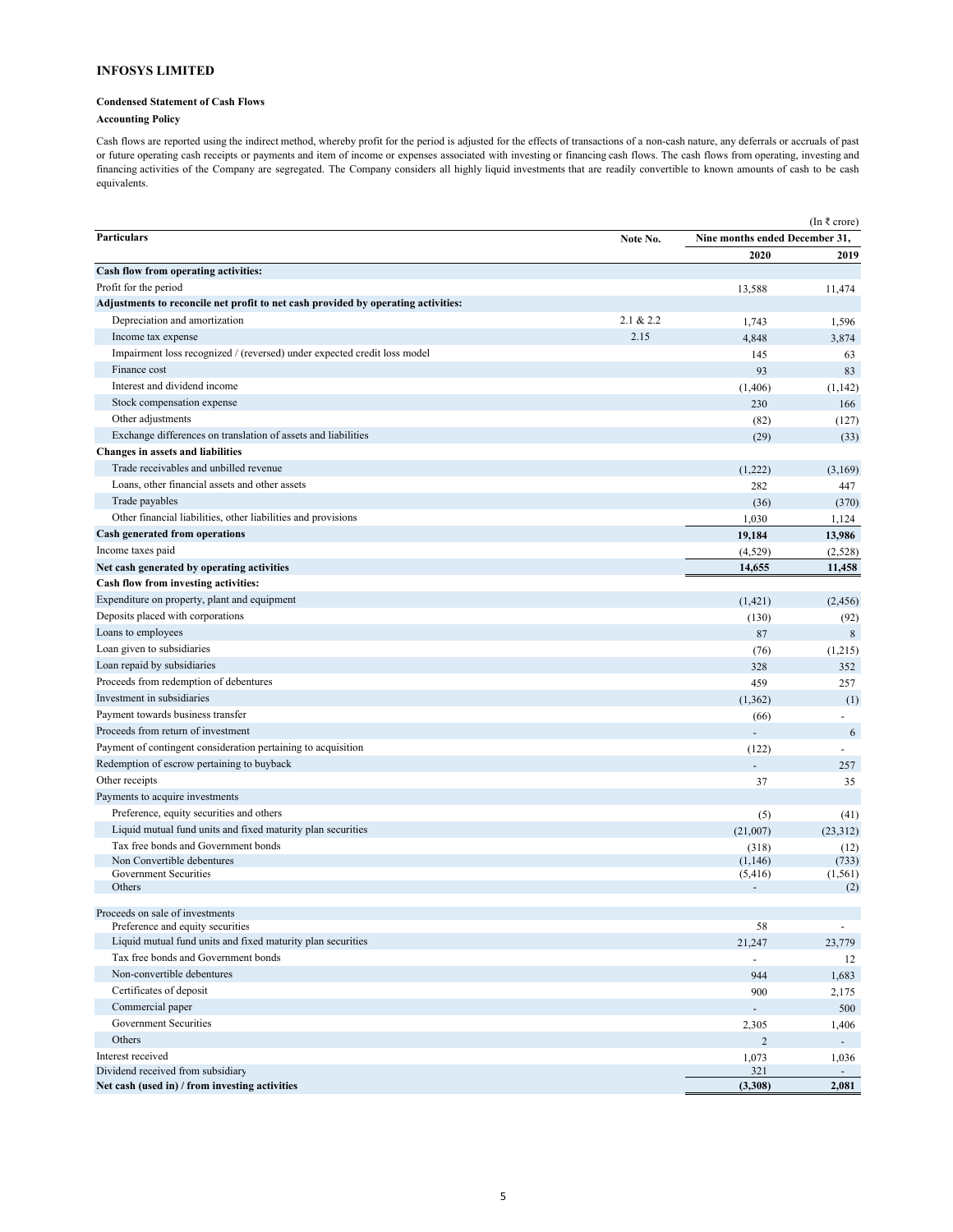# **Condensed Statement of Cash Flows**

# **Accounting Policy**

Cash flows are reported using the indirect method, whereby profit for the period is adjusted for the effects of transactions of a non-cash nature, any deferrals or accruals of past or future operating cash receipts or payments and item of income or expenses associated with investing or financing cash flows. The cash flows from operating, investing and financing activities of the Company are segregated. The Company considers all highly liquid investments that are readily convertible to known amounts of cash to be cash equivalents.

|                                                                                   |           | (In ₹ crore)                   |                |  |  |
|-----------------------------------------------------------------------------------|-----------|--------------------------------|----------------|--|--|
| <b>Particulars</b>                                                                | Note No.  | Nine months ended December 31, |                |  |  |
|                                                                                   |           | 2020                           | 2019           |  |  |
| Cash flow from operating activities:                                              |           |                                |                |  |  |
| Profit for the period                                                             |           | 13,588                         | 11,474         |  |  |
| Adjustments to reconcile net profit to net cash provided by operating activities: |           |                                |                |  |  |
| Depreciation and amortization                                                     | 2.1 & 2.2 | 1,743                          | 1,596          |  |  |
| Income tax expense                                                                | 2.15      | 4,848                          | 3,874          |  |  |
| Impairment loss recognized / (reversed) under expected credit loss model          |           | 145                            | 63             |  |  |
| Finance cost                                                                      |           | 93                             | 83             |  |  |
| Interest and dividend income                                                      |           | (1,406)                        | (1, 142)       |  |  |
| Stock compensation expense                                                        |           | 230                            | 166            |  |  |
| Other adjustments                                                                 |           | (82)                           | (127)          |  |  |
| Exchange differences on translation of assets and liabilities                     |           | (29)                           | (33)           |  |  |
| Changes in assets and liabilities                                                 |           |                                |                |  |  |
| Trade receivables and unbilled revenue                                            |           | (1,222)                        | (3,169)        |  |  |
| Loans, other financial assets and other assets                                    |           | 282                            | 447            |  |  |
| Trade payables                                                                    |           | (36)                           | (370)          |  |  |
| Other financial liabilities, other liabilities and provisions                     |           | 1,030                          | 1,124          |  |  |
| Cash generated from operations                                                    |           | 19,184                         | 13,986         |  |  |
| Income taxes paid                                                                 |           | (4,529)                        | (2,528)        |  |  |
| Net cash generated by operating activities                                        |           | 14,655                         | 11,458         |  |  |
| Cash flow from investing activities:                                              |           |                                |                |  |  |
| Expenditure on property, plant and equipment                                      |           | (1,421)                        | (2, 456)       |  |  |
| Deposits placed with corporations                                                 |           | (130)                          | (92)           |  |  |
| Loans to employees                                                                |           | 87                             | 8              |  |  |
| Loan given to subsidiaries                                                        |           | (76)                           | (1,215)        |  |  |
| Loan repaid by subsidiaries                                                       |           | 328                            | 352            |  |  |
| Proceeds from redemption of debentures                                            |           | 459                            | 257            |  |  |
| Investment in subsidiaries                                                        |           | (1, 362)                       | (1)            |  |  |
| Payment towards business transfer                                                 |           | (66)                           |                |  |  |
| Proceeds from return of investment                                                |           |                                | 6              |  |  |
| Payment of contingent consideration pertaining to acquisition                     |           | (122)                          | $\overline{a}$ |  |  |
| Redemption of escrow pertaining to buyback                                        |           |                                | 257            |  |  |
| Other receipts                                                                    |           | 37                             | 35             |  |  |
| Payments to acquire investments                                                   |           |                                |                |  |  |
| Preference, equity securities and others                                          |           |                                |                |  |  |
| Liquid mutual fund units and fixed maturity plan securities                       |           | (5)<br>(21,007)                | (41)           |  |  |
| Tax free bonds and Government bonds                                               |           |                                | (23,312)       |  |  |
| Non Convertible debentures                                                        |           | (318)<br>(1,146)               | (12)<br>(733)  |  |  |
| Government Securities                                                             |           | (5, 416)                       | (1, 561)       |  |  |
| Others                                                                            |           |                                | (2)            |  |  |
|                                                                                   |           |                                |                |  |  |
| Proceeds on sale of investments<br>Preference and equity securities               |           | 58                             |                |  |  |
| Liquid mutual fund units and fixed maturity plan securities                       |           | 21,247                         | 23,779         |  |  |
| Tax free bonds and Government bonds                                               |           | ÷,                             | 12             |  |  |
| Non-convertible debentures                                                        |           | 944                            | 1,683          |  |  |
| Certificates of deposit                                                           |           | 900                            | 2,175          |  |  |
| Commercial paper                                                                  |           |                                | 500            |  |  |
| <b>Government Securities</b>                                                      |           | 2,305                          | 1,406          |  |  |
| Others                                                                            |           | $\overline{c}$                 |                |  |  |
| Interest received                                                                 |           | 1,073                          | 1,036          |  |  |
| Dividend received from subsidiary                                                 |           | 321                            |                |  |  |
| Net cash (used in) / from investing activities                                    |           | (3,308)                        | 2,081          |  |  |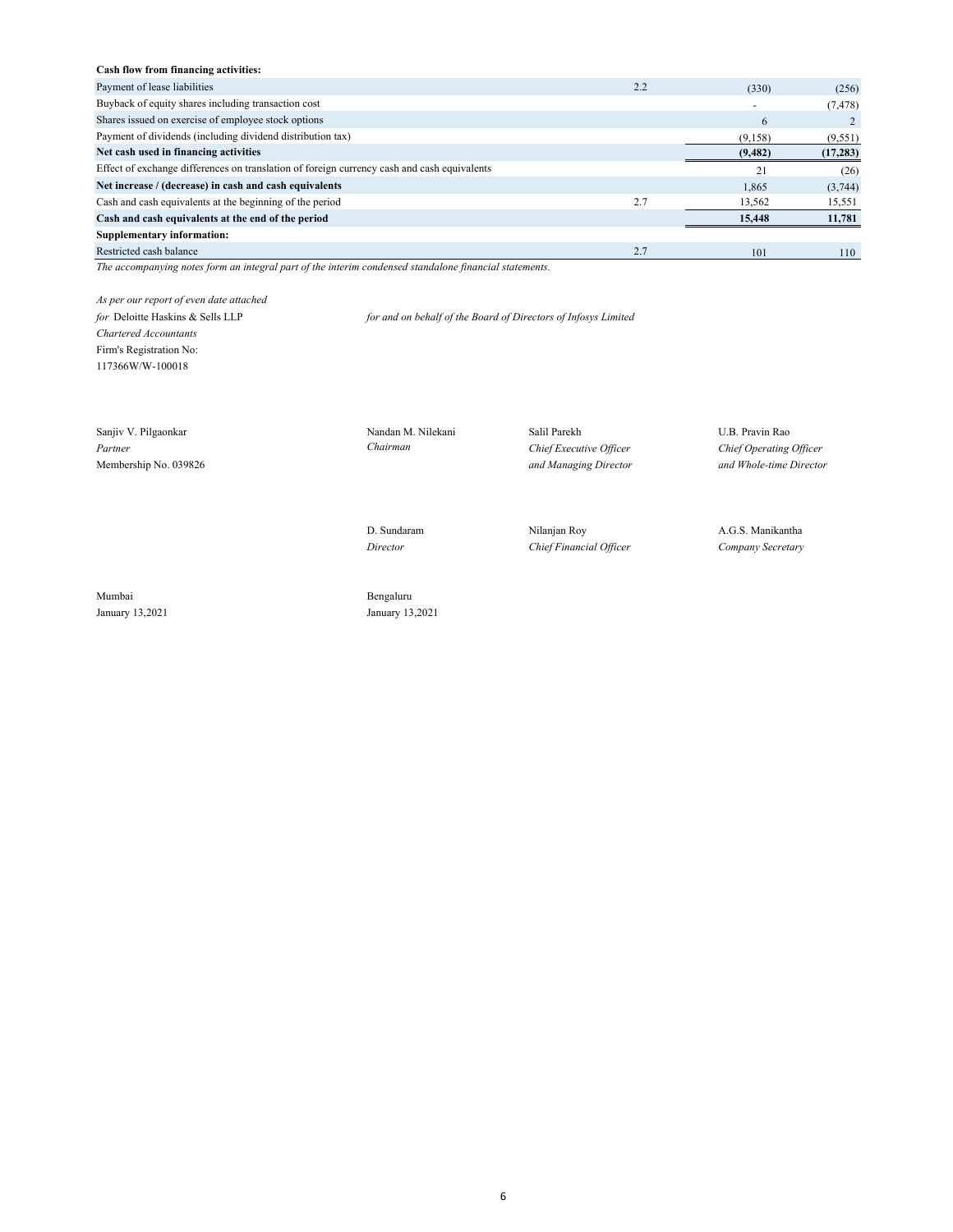# **Cash flow from financing activities:**

| Payment of lease liabilities                                                                | 2.2 | (330)                    | (256)    |
|---------------------------------------------------------------------------------------------|-----|--------------------------|----------|
| Buyback of equity shares including transaction cost                                         |     | $\overline{\phantom{0}}$ | (7, 478) |
| Shares issued on exercise of employee stock options                                         |     | 6                        |          |
| Payment of dividends (including dividend distribution tax)                                  |     | (9,158)                  | (9, 551) |
| Net cash used in financing activities                                                       |     | (9, 482)                 | (17,283) |
| Effect of exchange differences on translation of foreign currency cash and cash equivalents |     |                          | (26)     |
| Net increase / (decrease) in cash and cash equivalents                                      |     | 1.865                    | (3,744)  |
| Cash and cash equivalents at the beginning of the period                                    | 2.7 | 13,562                   | 15,551   |
| Cash and cash equivalents at the end of the period                                          |     | 15,448                   | 11,781   |
| <b>Supplementary information:</b>                                                           |     |                          |          |
| Restricted cash balance                                                                     | 2.7 | 101                      | 110      |

*The accompanying notes form an integral part of the interim condensed standalone financial statements.*

*As per our report of even date attached*

*for* Deloitte Haskins & Sells LLP *for and on behalf of the Board of Directors of Infosys Limited*

*Chartered Accountants* Firm's Registration No: 117366W/W-100018

Sanjiv V. Pilgaonkar Nandan M. Nilekani Salil Parekh U.B. Pravin Rao *Partner Chairman Chief Executive Officer Chief Operating Officer* Membership No. 039826 *and Managing Director and Whole-time Director*

D. Sundaram Nilanjan Roy A.G.S. Manikantha *Director Chief Financial Officer Company Secretary*

Mumbai Bengaluru January 13,2021 January 13,2021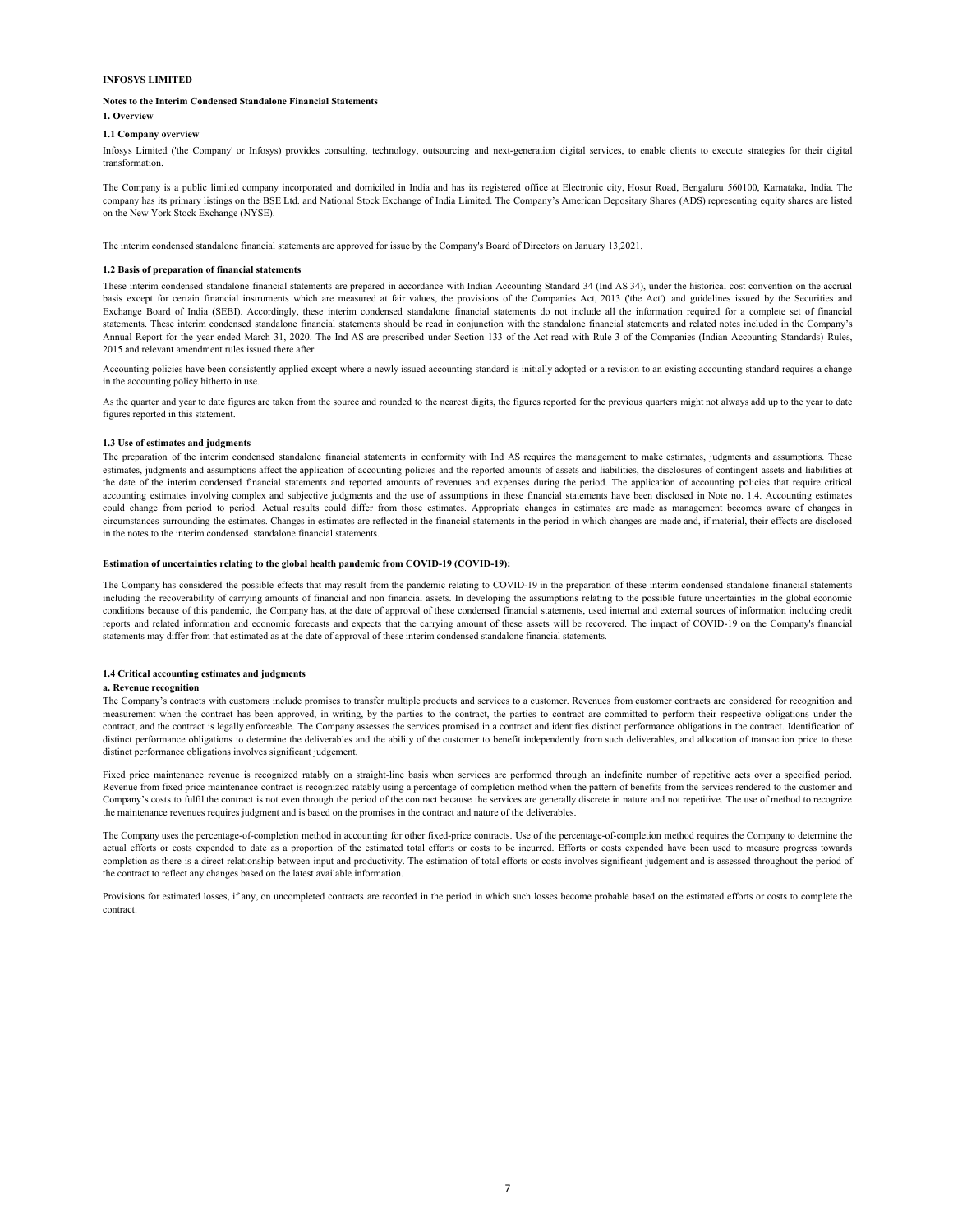#### **Notes to the Interim Condensed Standalone Financial Statements**

# **1. Overview**

# **1.1 Company overview**

Infosys Limited ('the Company' or Infosys) provides consulting, technology, outsourcing and next-generation digital services, to enable clients to execute strategies for their digital transformation.

The Company is a public limited company incorporated and domiciled in India and has its registered office at Electronic city, Hosur Road, Bengaluru 560100, Karnataka, India. The company has its primary listings on the BSE Ltd. and National Stock Exchange of India Limited. The Company's American Depositary Shares (ADS) representing equity shares are listed on the New York Stock Exchange (NYSE).

The interim condensed standalone financial statements are approved for issue by the Company's Board of Directors on January 13,2021.

#### **1.2 Basis of preparation of financial statements**

These interim condensed standalone financial statements are prepared in accordance with Indian Accounting Standard 34 (Ind AS 34), under the historical cost convention on the accrual basis except for certain financial instruments which are measured at fair values, the provisions of the Companies Act, 2013 ('the Act') and guidelines issued by the Securities and Exchange Board of India (SEBI). Accordingly, these interim condensed standalone financial statements do not include all the information required for a complete set of financial statements. These interim condensed standalone financial statements should be read in conjunction with the standalone financial statements and related notes included in the Company's Annual Report for the year ended March 31, 2020. The Ind AS are prescribed under Section 133 of the Act read with Rule 3 of the Companies (Indian Accounting Standards) Rules, 2015 and relevant amendment rules issued there after.

Accounting policies have been consistently applied except where a newly issued accounting standard is initially adopted or a revision to an existing accounting standard requires a change in the accounting policy hitherto in use.

As the quarter and year to date figures are taken from the source and rounded to the nearest digits, the figures reported for the previous quarters might not always add up to the year to date figures reported in this statement.

#### **1.3 Use of estimates and judgments**

The preparation of the interim condensed standalone financial statements in conformity with Ind AS requires the management to make estimates, judgments and assumptions. These estimates, judgments and assumptions affect the application of accounting policies and the reported amounts of assets and liabilities, the disclosures of contingent assets and liabilities at the date of the interim condensed financial statements and reported amounts of revenues and expenses during the period. The application of accounting policies that require critical accounting estimates involving complex and subjective judgments and the use of assumptions in these financial statements have been disclosed in Note no. 1.4. Accounting estimates could change from period to period. Actual results could differ from those estimates. Appropriate changes in estimates are made as management becomes aware of changes in circumstances surrounding the estimates. Changes in estimates are reflected in the financial statements in the period in which changes are made and, if material, their effects are disclosed in the notes to the interim condensed standalone financial statements.

# **Estimation of uncertainties relating to the global health pandemic from COVID-19 (COVID-19):**

The Company has considered the possible effects that may result from the pandemic relating to COVID-19 in the preparation of these interim condensed standalone financial statements including the recoverability of carrying amounts of financial and non financial assets. In developing the assumptions relating to the possible future uncertainties in the global economic conditions because of this pandemic, the Company has, at the date of approval of these condensed financial statements, used internal and external sources of information including credit reports and related information and economic forecasts and expects that the carrying amount of these assets will be recovered. The impact of COVID-19 on the Company's financial statements may differ from that estimated as at the date of approval of these interim condensed standalone financial statements.

#### **1.4 Critical accounting estimates and judgments**

#### **a. Revenue recognition**

The Company's contracts with customers include promises to transfer multiple products and services to a customer. Revenues from customer contracts are considered for recognition and measurement when the contract has been approved, in writing, by the parties to the contract, the parties to contract are committed to perform their respective obligations under the contract, and the contract is legally enforceable. The Company assesses the services promised in a contract and identifies distinct performance obligations in the contract. Identification of distinct performance obligations to determine the deliverables and the ability of the customer to benefit independently from such deliverables, and allocation of transaction price to these distinct performance obligations involves significant judgement.

Fixed price maintenance revenue is recognized ratably on a straight-line basis when services are performed through an indefinite number of repetitive acts over a specified period. Revenue from fixed price maintenance contract is recognized ratably using a percentage of completion method when the pattern of benefits from the services rendered to the customer and Company's costs to fulfil the contract is not even through the period of the contract because the services are generally discrete in nature and not repetitive. The use of method to recognize the maintenance revenues requires judgment and is based on the promises in the contract and nature of the deliverables.

The Company uses the percentage-of-completion method in accounting for other fixed-price contracts. Use of the percentage-of-completion method requires the Company to determine the actual efforts or costs expended to date as a proportion of the estimated total efforts or costs to be incurred. Efforts or costs expended have been used to measure progress towards completion as there is a direct relationship between input and productivity. The estimation of total efforts or costs involves significant judgement and is assessed throughout the period of the contract to reflect any changes based on the latest available information.

Provisions for estimated losses, if any, on uncompleted contracts are recorded in the period in which such losses become probable based on the estimated efforts or costs to complete the contract.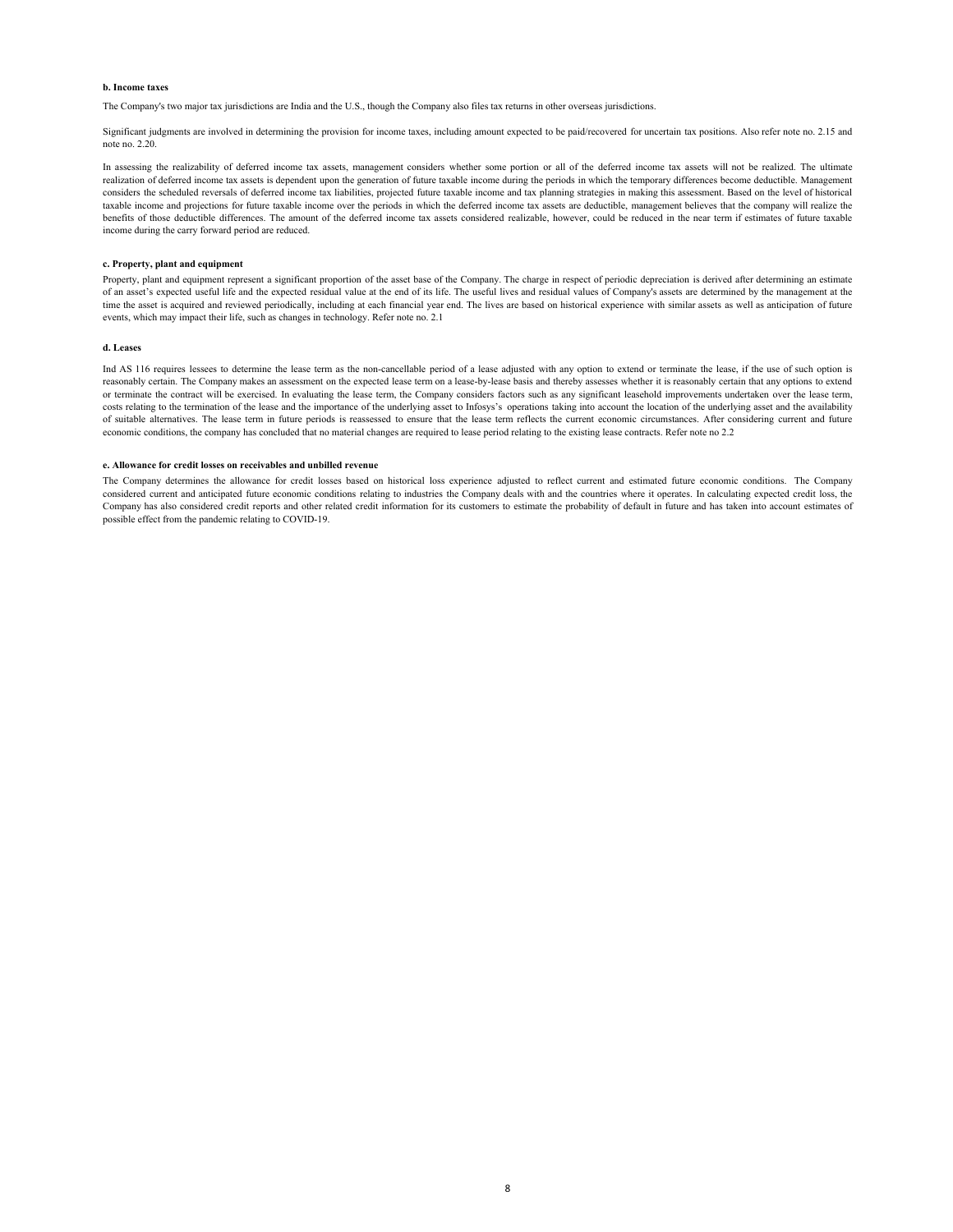#### **b. Income taxes**

The Company's two major tax jurisdictions are India and the U.S., though the Company also files tax returns in other overseas jurisdictions.

Significant judgments are involved in determining the provision for income taxes, including amount expected to be paid/recovered for uncertain tax positions. Also refer note no. 2.15 and note no. 2.20.

In assessing the realizability of deferred income tax assets, management considers whether some portion or all of the deferred income tax assets will not be realized. The ultimate realization of deferred income tax assets is dependent upon the generation of future taxable income during the periods in which the temporary differences become deductible. Management considers the scheduled reversals of deferred income tax liabilities, projected future taxable income and tax planning strategies in making this assessment. Based on the level of historical taxable income and projections for future taxable income over the periods in which the deferred income tax assets are deductible, management believes that the company will realize the benefits of those deductible differences. The amount of the deferred income tax assets considered realizable, however, could be reduced in the near term if estimates of future taxable income during the carry forward period are reduced.

#### **c. Property, plant and equipment**

Property, plant and equipment represent a significant proportion of the asset base of the Company. The charge in respect of periodic depreciation is derived after determining an estimate of an asset's expected useful life and the expected residual value at the end of its life. The useful lives and residual values of Company's assets are determined by the management at the time the asset is acquired and reviewed periodically, including at each financial year end. The lives are based on historical experience with similar assets as well as anticipation of future events, which may impact their life, such as changes in technology. Refer note no. 2.1

#### **d. Leases**

Ind AS 116 requires lessees to determine the lease term as the non-cancellable period of a lease adjusted with any option to extend or terminate the lease, if the use of such option is reasonably certain. The Company makes an assessment on the expected lease term on a lease-by-lease basis and thereby assesses whether it is reasonably certain that any options to extend or terminate the contract will be exercised. In evaluating the lease term, the Company considers factors such as any significant leasehold improvements undertaken over the lease term, costs relating to the termination of the lease and the importance of the underlying asset to Infosys's operations taking into account the location of the underlying asset and the availability of suitable alternatives. The lease term in future periods is reassessed to ensure that the lease term reflects the current economic circumstances. After considering current and future economic conditions, the company has concluded that no material changes are required to lease period relating to the existing lease contracts. Refer note no 2.2

#### **e. Allowance for credit losses on receivables and unbilled revenue**

The Company determines the allowance for credit losses based on historical loss experience adjusted to reflect current and estimated future economic conditions. The Company considered current and anticipated future economic conditions relating to industries the Company deals with and the countries where it operates. In calculating expected credit loss, the Company has also considered credit reports and other related credit information for its customers to estimate the probability of default in future and has taken into account estimates of possible effect from the pandemic relating to COVID-19.

8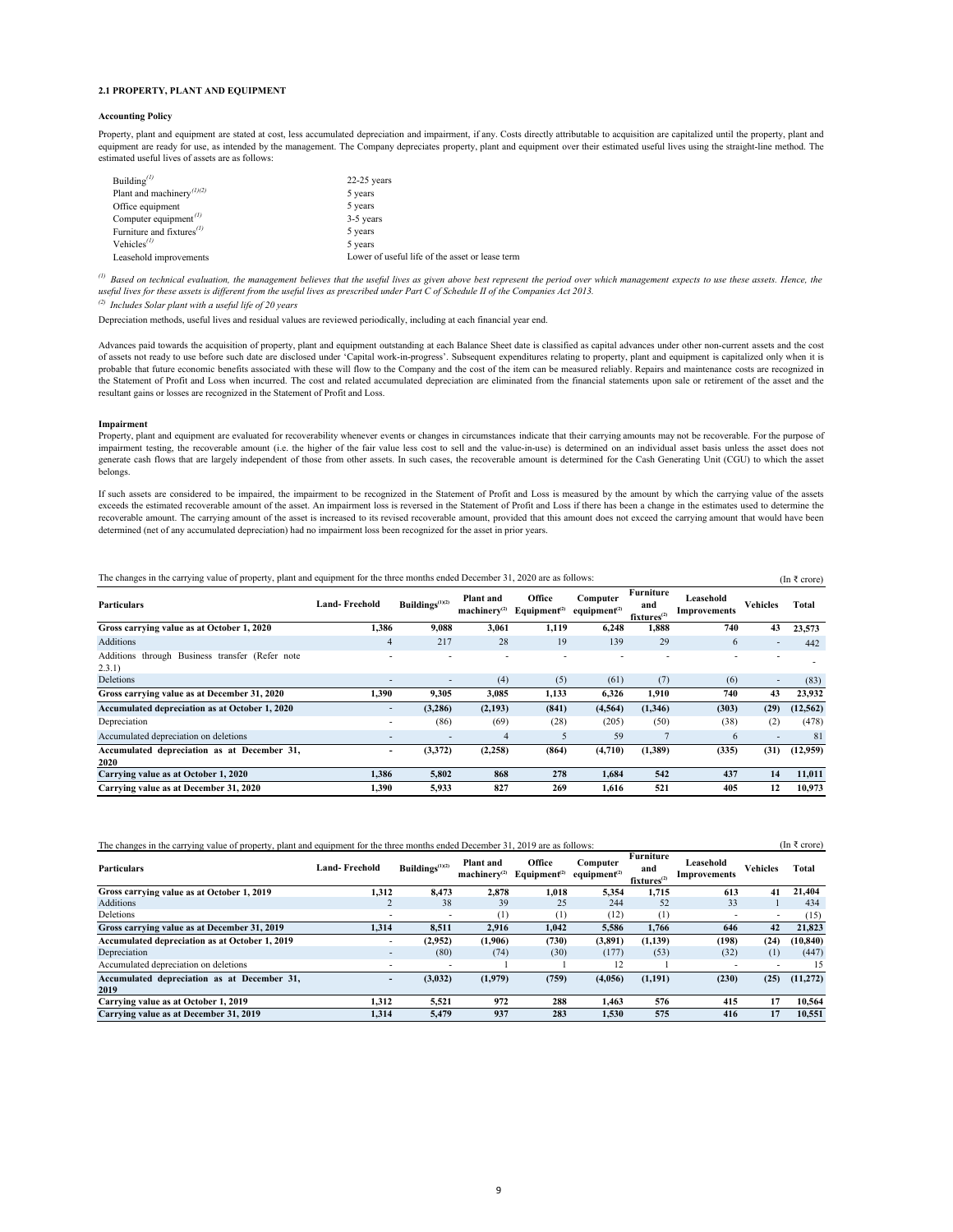#### **2.1 PROPERTY, PLANT AND EQUIPMENT**

#### **Accounting Policy**

Property, plant and equipment are stated at cost, less accumulated depreciation and impairment, if any. Costs directly attributable to acquisition are capitalized until the property, plant and equipment are ready for use, as intended by the management. The Company depreciates property, plant and equipment over their estimated useful lives using the straight-line method. The estimated useful lives of assets are as follows:

| Building $^{(1)}$                              | $22-25$ years                                   |
|------------------------------------------------|-------------------------------------------------|
| Plant and machinery <sup>(1)(2)</sup>          | 5 years                                         |
| Office equipment                               | 5 years                                         |
| Computer equipment <sup><math>(1)</math></sup> | 3-5 years                                       |
| Furniture and fixtures $\binom{D}{A}$          | 5 years                                         |
| Vehicles <sup><math>(D)</math></sup>           | 5 years                                         |
| Leasehold improvements                         | Lower of useful life of the asset or lease term |

*(1) Based on technical evaluation, the management believes that the useful lives as given above best represent the period over which management expects to use these assets. Hence, the useful lives for these assets is different from the useful lives as prescribed under Part C of Schedule II of the Companies Act 2013.* 

*(2) Includes Solar plant with a useful life of 20 years*

Depreciation methods, useful lives and residual values are reviewed periodically, including at each financial year end.

Advances paid towards the acquisition of property, plant and equipment outstanding at each Balance Sheet date is classified as capital advances under other non-current assets and the cost of assets not ready to use before such date are disclosed under 'Capital work-in-progress'. Subsequent expenditures relating to property, plant and equipment is capitalized only when it is probable that future economic benefits associated with these will flow to the Company and the cost of the item can be measured reliably. Repairs and maintenance costs are recognized in the Statement of Profit and Loss when incurred. The cost and related accumulated depreciation are eliminated from the financial statements upon sale or retirement of the asset and the resultant gains or losses are recognized in the Statement of Profit and Loss.

#### **Impairment**

Property, plant and equipment are evaluated for recoverability whenever events or changes in circumstances indicate that their carrying amounts may not be recoverable. For the purpose of impairment testing, the recoverable amount (i.e. the higher of the fair value less cost to sell and the value-in-use) is determined on an individual asset basis unless the asset does not generate cash flows that are largely independent of those from other assets. In such cases, the recoverable amount is determined for the Cash Generating Unit (CGU) to which the asset belongs.

If such assets are considered to be impaired, the impairment to be recognized in the Statement of Profit and Loss is measured by the amount by which the carrying value of the assets exceeds the estimated recoverable amount of the asset. An impairment loss is reversed in the Statement of Profit and Loss if there has been a change in the estimates used to determine the recoverable amount. The carrying amount of the asset is increased to its revised recoverable amount, provided that this amount does not exceed the carrying amount that would have been determined (net of any accumulated depreciation) had no impairment loss been recognized for the asset in prior years.

| The changes in the carrying value of property, plant and equipment for the three months ended December 31, 2020 are as follows:<br>(In ₹ crore) |                      |                          |                                       |                                    |                                      |                                             |                           |                          |           |  |  |
|-------------------------------------------------------------------------------------------------------------------------------------------------|----------------------|--------------------------|---------------------------------------|------------------------------------|--------------------------------------|---------------------------------------------|---------------------------|--------------------------|-----------|--|--|
| <b>Particulars</b>                                                                                                                              | <b>Land-Freehold</b> | Buildings $(1)(2)$       | <b>Plant</b> and<br>$machinerv^{(2)}$ | Office<br>Equipment <sup>(2)</sup> | Computer<br>equipment <sup>(2)</sup> | Furniture<br>and<br>fixtures <sup>(2)</sup> | Leasehold<br>Improvements | <b>Vehicles</b>          | Total     |  |  |
| Gross carrying value as at October 1, 2020                                                                                                      | 1,386                | 9,088                    | 3,061                                 | 1,119                              | 6,248                                | 1,888                                       | 740                       | 43                       | 23,573    |  |  |
| <b>Additions</b>                                                                                                                                | 4                    | 217                      | 28                                    | 19                                 | 139                                  | 29                                          | 6                         | $\overline{\phantom{a}}$ | 442       |  |  |
| Additions through Business transfer (Refer note<br>2.3.1)                                                                                       |                      |                          |                                       |                                    |                                      |                                             |                           |                          |           |  |  |
| Deletions                                                                                                                                       |                      |                          | (4)                                   | (5)                                | (61)                                 | (7)                                         | (6)                       | $\overline{\phantom{a}}$ | (83)      |  |  |
| Gross carrying value as at December 31, 2020                                                                                                    | 1,390                | 9,305                    | 3,085                                 | 1,133                              | 6,326                                | 1,910                                       | 740                       | 43                       | 23,932    |  |  |
| Accumulated depreciation as at October 1, 2020                                                                                                  | ٠.                   | (3,286)                  | (2,193)                               | (841)                              | (4, 564)                             | (1,346)                                     | (303)                     | (29)                     | (12, 562) |  |  |
| Depreciation                                                                                                                                    |                      | (86)                     | (69)                                  | (28)                               | (205)                                | (50)                                        | (38)                      | (2)                      | (478)     |  |  |
| Accumulated depreciation on deletions                                                                                                           |                      | $\overline{\phantom{0}}$ | $\overline{4}$                        | 5                                  | 59                                   |                                             | 6                         | $\overline{\phantom{a}}$ | 81        |  |  |
| Accumulated depreciation as at December 31,<br>2020                                                                                             | -                    | (3,372)                  | (2,258)                               | (864)                              | (4,710)                              | (1,389)                                     | (335)                     | (31)                     | (12,959)  |  |  |
| Carrying value as at October 1, 2020                                                                                                            | 1,386                | 5,802                    | 868                                   | 278                                | 1,684                                | 542                                         | 437                       | 14                       | 11,011    |  |  |
| Carrying value as at December 31, 2020                                                                                                          | 1.390                | 5,933                    | 827                                   | 269                                | 1.616                                | 521                                         | 405                       | 12                       | 10,973    |  |  |

| The changes in the carrying value of property, plant and equipment for the three months ended December 31, 2019 are as follows: |                          |                          |                                |                                    |                                                   |                                                    |                           |                          |           |  |
|---------------------------------------------------------------------------------------------------------------------------------|--------------------------|--------------------------|--------------------------------|------------------------------------|---------------------------------------------------|----------------------------------------------------|---------------------------|--------------------------|-----------|--|
| <b>Particulars</b>                                                                                                              | <b>Land-Freehold</b>     | Buildings $(1)(2)$       | Plant and<br>$machinerv^{(2)}$ | Office<br>Equipment <sup>(2)</sup> | Computer<br>equipment <sup><math>(2)</math></sup> | <b>Furniture</b><br>and<br>fixtures <sup>(2)</sup> | Leasehold<br>Improvements | <b>Vehicles</b>          | Total     |  |
| Gross carrying value as at October 1, 2019                                                                                      | 1.312                    | 8.473                    | 2,878                          | 1.018                              | 5,354                                             | 1.715                                              | 613                       | 41                       | 21,404    |  |
| <b>Additions</b>                                                                                                                |                          | 38                       | 39                             | 25                                 | 244                                               | 52                                                 | 33                        |                          | 434       |  |
| Deletions                                                                                                                       | -                        | $\overline{\phantom{a}}$ | $\scriptstyle{(1)}$            | (1)                                | (12)                                              | (1)                                                | $\overline{\phantom{a}}$  | $\overline{\phantom{a}}$ | (15)      |  |
| Gross carrying value as at December 31, 2019                                                                                    | 1.314                    | 8.511                    | 2.916                          | 1,042                              | 5,586                                             | 1.766                                              | 646                       | 42                       | 21,823    |  |
| Accumulated depreciation as at October 1, 2019                                                                                  | $\blacksquare$           | (2,952)                  | (1,906)                        | (730)                              | (3,891)                                           | (1,139)                                            | (198)                     | (24)                     | (10, 840) |  |
| Depreciation                                                                                                                    | $\overline{\phantom{a}}$ | (80)                     | (74)                           | (30)                               | (177)                                             | (53)                                               | (32)                      | (1)                      | (447)     |  |
| Accumulated depreciation on deletions                                                                                           | ٠                        |                          |                                |                                    | 12                                                |                                                    | $\overline{\phantom{a}}$  | $\overline{\phantom{a}}$ | 15        |  |
| Accumulated depreciation as at December 31,<br>2019                                                                             | -                        | (3,032)                  | (1,979)                        | (759)                              | (4,056)                                           | (1,191)                                            | (230)                     | (25)                     | (11, 272) |  |
| Carrying value as at October 1, 2019                                                                                            | 1,312                    | 5,521                    | 972                            | 288                                | 1.463                                             | 576                                                | 415                       | 17                       | 10,564    |  |
| Carrying value as at December 31, 2019                                                                                          | 1.314                    | 5.479                    | 937                            | 283                                | 1.530                                             | 575                                                | 416                       | 17                       | 10.551    |  |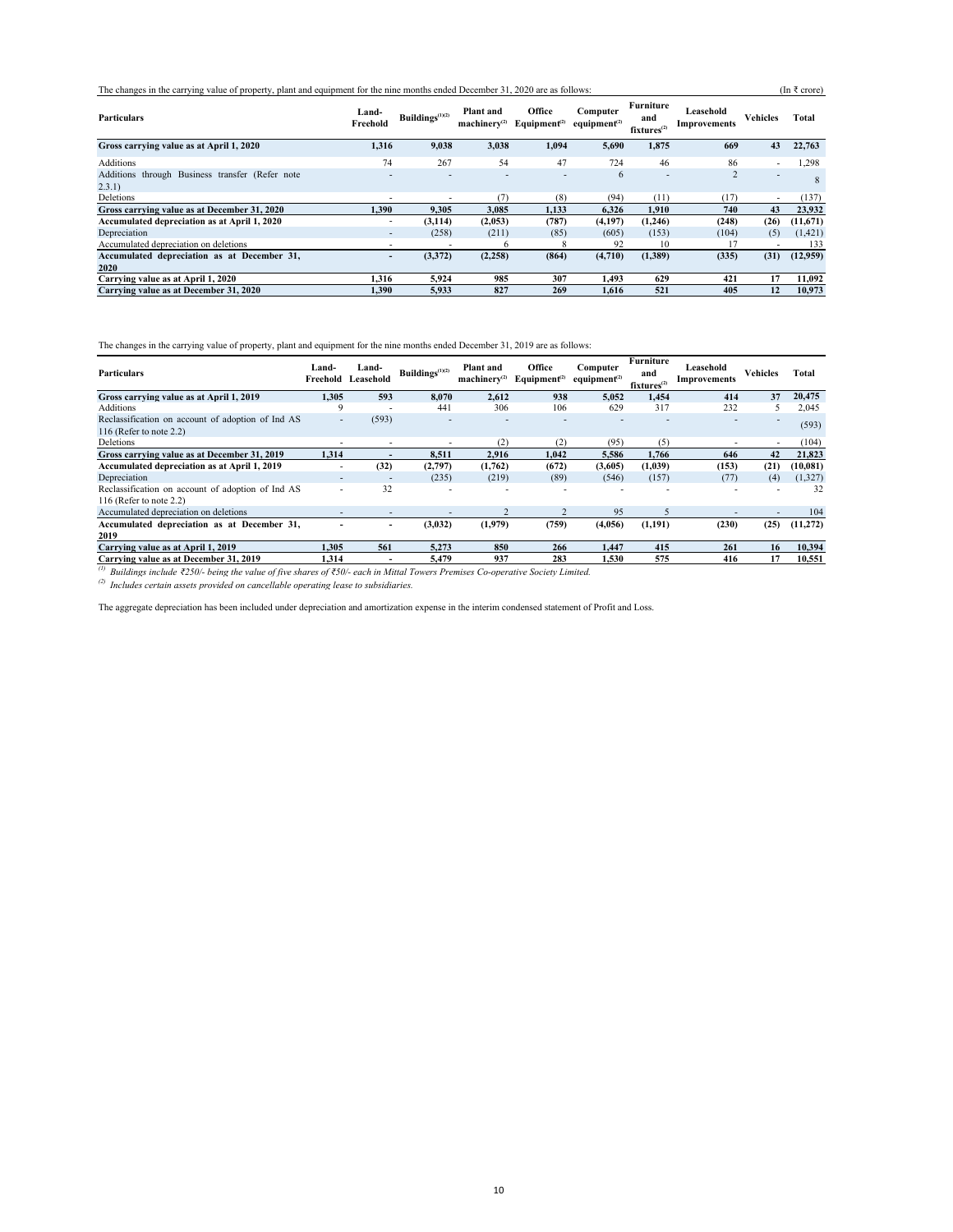The changes in the carrying value of property, plant and equipment for the nine months ended December 31, 2020 are as follows: (In ₹ crore)

| <b>Particulars</b>                                         | Land-<br>Freehold        | Buildings $(1)(2)$ | Plant and<br>$machinerv^{(2)}$ | Office<br>Equipment <sup>(2)</sup> | Computer<br>equipment <sup><math>(2)</math></sup> | Furniture<br>and<br>fixtures <sup>(2)</sup> | Leasehold<br>Improvements | <b>Vehicles</b>          | Total    |
|------------------------------------------------------------|--------------------------|--------------------|--------------------------------|------------------------------------|---------------------------------------------------|---------------------------------------------|---------------------------|--------------------------|----------|
| Gross carrying value as at April 1, 2020                   | 1,316                    | 9,038              | 3,038                          | 1,094                              | 5,690                                             | 1,875                                       | 669                       | 43                       | 22,763   |
| <b>Additions</b>                                           | 74                       | 267                | 54                             | 47                                 | 724                                               | 46                                          | 86                        |                          | 1,298    |
| Additions through Business transfer (Refer note<br>(2.3.1) |                          |                    |                                |                                    | 6                                                 | -                                           | $\overline{2}$            | $\overline{\phantom{a}}$ |          |
| Deletions                                                  |                          |                    | (7)                            | (8)                                | (94)                                              | (11)                                        | (17)                      |                          | (137)    |
| Gross carrying value as at December 31, 2020               | 1.390                    | 9,305              | 3,085                          | 1,133                              | 6,326                                             | 1.910                                       | 740                       | 43                       | 23,932   |
| Accumulated depreciation as at April 1, 2020               | $\overline{\phantom{a}}$ | (3, 114)           | (2,053)                        | (787)                              | (4,197)                                           | (1,246)                                     | (248)                     | (26)                     | (11,671) |
| Depreciation                                               | $\overline{\phantom{a}}$ | (258)              | (211)                          | (85)                               | (605)                                             | (153)                                       | (104)                     | (5)                      | (1,421)  |
| Accumulated depreciation on deletions                      |                          |                    | 6                              |                                    | 92                                                | 10                                          |                           |                          | 133      |
| Accumulated depreciation as at December 31,                | $\qquad \qquad$          | (3,372)            | (2,258)                        | (864)                              | (4,710)                                           | (1,389)                                     | (335)                     | (31)                     | (12,959) |
| 2020                                                       |                          |                    |                                |                                    |                                                   |                                             |                           |                          |          |
| Carrying value as at April 1, 2020                         | 1.316                    | 5.924              | 985                            | 307                                | 1.493                                             | 629                                         | 421                       | 17                       | 11,092   |
| Carrying value as at December 31, 2020                     | 1.390                    | 5.933              | 827                            | 269                                | 1.616                                             | 521                                         | 405                       | 12                       | 10.973   |

The changes in the carrying value of property, plant and equipment for the nine months ended December 31, 2019 are as follows:

| <b>Particulars</b>                                                                                                            | Land-<br>Freehold        | Land-<br>Leasehold | Buildings <sup>(1)(2)</sup> | <b>Plant</b> and<br>$machinerv^{(2)}$ | Office<br>Equipment <sup>(2)</sup> | Computer<br>equipment <sup><math>(2)</math></sup> | Furniture<br>and<br>fixtures <sup>(2)</sup> | Leasehold<br><b>Improvements</b> | <b>Vehicles</b>          | <b>Total</b> |
|-------------------------------------------------------------------------------------------------------------------------------|--------------------------|--------------------|-----------------------------|---------------------------------------|------------------------------------|---------------------------------------------------|---------------------------------------------|----------------------------------|--------------------------|--------------|
| Gross carrying value as at April 1, 2019                                                                                      | 1.305                    | 593                | 8.070                       | 2,612                                 | 938                                | 5,052                                             | 1.454                                       | 414                              | 37                       | 20,475       |
| Additions                                                                                                                     |                          |                    | 441                         | 306                                   | 106                                | 629                                               | 317                                         | 232                              |                          | 2,045        |
| Reclassification on account of adoption of Ind AS<br>116 (Refer to note $2.2$ )                                               |                          | (593)              |                             |                                       |                                    |                                                   |                                             |                                  |                          | (593)        |
| Deletions                                                                                                                     | $\overline{\phantom{0}}$ |                    | $\overline{\phantom{0}}$    | (2)                                   | (2)                                | (95)                                              | (5)                                         | $\overline{\phantom{a}}$         | $\overline{\phantom{a}}$ | (104)        |
| Gross carrying value as at December 31, 2019                                                                                  | 1.314                    |                    | 8,511                       | 2,916                                 | 1.042                              | 5,586                                             | 1.766                                       | 646                              | 42                       | 21,823       |
| <b>Accumulated depreciation as at April 1, 2019</b>                                                                           |                          | (32)               | (2,797)                     | (1,762)                               | (672)                              | (3,605)                                           | (1,039)                                     | (153)                            | (21)                     | (10, 081)    |
| Depreciation                                                                                                                  |                          |                    | (235)                       | (219)                                 | (89)                               | (546)                                             | (157)                                       | (77)                             | (4)                      | (1,327)      |
| Reclassification on account of adoption of Ind AS<br>116 (Refer to note $2.2$ )                                               | $\overline{\phantom{a}}$ | 32                 |                             |                                       |                                    |                                                   |                                             |                                  |                          | 32           |
| Accumulated depreciation on deletions                                                                                         |                          |                    |                             |                                       |                                    | 95                                                | 5                                           |                                  |                          | 104          |
| Accumulated depreciation as at December 31,                                                                                   |                          |                    | (3,032)                     | (1,979)                               | (759)                              | (4,056)                                           | (1,191)                                     | (230)                            | (25)                     | (11,272)     |
| 2019                                                                                                                          |                          |                    |                             |                                       |                                    |                                                   |                                             |                                  |                          |              |
| Carrying value as at April 1, 2019                                                                                            | 1.305                    | 561                | 5.273                       | 850                                   | 266                                | 1.447                                             | 415                                         | 261                              | 16                       | 10,394       |
| Carrying value as at December 31, 2019                                                                                        | 1.314                    |                    | 5,479                       | 937                                   | 283                                | 1.530                                             | 575                                         | 416                              | 17                       | 10,551       |
| Buildings include ₹250/- being the value of five shares of ₹50/- each in Mittal Towers Premises Co-operative Society Limited. |                          |                    |                             |                                       |                                    |                                                   |                                             |                                  |                          |              |

*(2) Includes certain assets provided on cancellable operating lease to subsidiaries.* 

The aggregate depreciation has been included under depreciation and amortization expense in the interim condensed statement of Profit and Loss.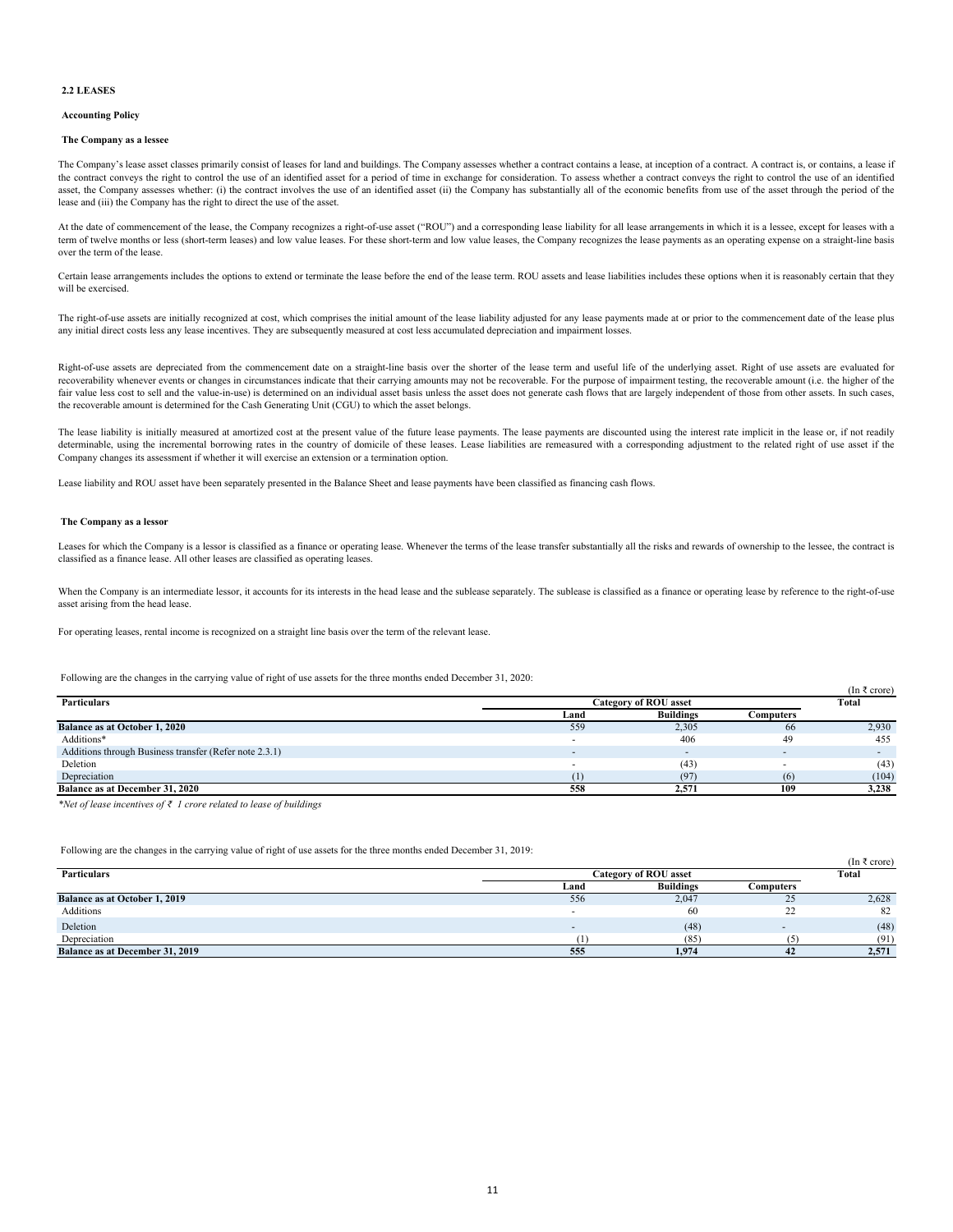#### **2.2 LEASES**

#### **Accounting Policy**

#### **The Company as a lessee**

The Company's lease asset classes primarily consist of leases for land and buildings. The Company assesses whether a contract contains a lease, at inception of a contract. A contract is, or contains, a lease if the contract conveys the right to control the use of an identified asset for a period of time in exchange for consideration. To assess whether a contract conveys the right to control the use of an identified asset, the Company assesses whether: (i) the contract involves the use of an identified asset (ii) the Company has substantially all of the economic benefits from use of the asset through the period of the lease and (iii) the Company has the right to direct the use of the asset.

At the date of commencement of the lease, the Company recognizes a right-of-use asset ("ROU") and a corresponding lease liability for all lease arrangements in which it is a lessee, except for leases with a term of twelve months or less (short-term leases) and low value leases. For these short-term and low value leases, the Company recognizes the lease payments as an operating expense on a straight-line basis over the term of the lease.

Certain lease arrangements includes the options to extend or terminate the lease before the end of the lease term. ROU assets and lease liabilities includes these options when it is reasonably certain that they will be exercised.

The right-of-use assets are initially recognized at cost, which comprises the initial amount of the lease liability adjusted for any lease payments made at or prior to the commencement date of the lease plus any initial direct costs less any lease incentives. They are subsequently measured at cost less accumulated depreciation and impairment losses.

Right-of-use assets are depreciated from the commencement date on a straight-line basis over the shorter of the lease term and useful life of the underlying asset. Right of use assets are evaluated for recoverability whenever events or changes in circumstances indicate that their carrying amounts may not be recoverable. For the purpose of impairment testing, the recoverable amount (i.e. the higher of the fair value less cost to sell and the value-in-use) is determined on an individual asset basis unless the asset does not generate cash flows that are largely independent of those from other assets. In such cases, the recoverable amount is determined for the Cash Generating Unit (CGU) to which the asset belongs.

The lease liability is initially measured at amortized cost at the present value of the future lease payments. The lease payments are discounted using the interest rate implicit in the lease or, if not readily determinable, using the incremental borrowing rates in the country of domicile of these leases. Lease liabilities are remeasured with a corresponding adjustment to the related right of use asset if the Company changes its assessment if whether it will exercise an extension or a termination option.

Lease liability and ROU asset have been separately presented in the Balance Sheet and lease payments have been classified as financing cash flows.

#### **The Company as a lessor**

Leases for which the Company is a lessor is classified as a finance or operating lease. Whenever the terms of the lease transfer substantially all the risks and rewards of ownership to the lessee, the contract is classified as a finance lease. All other leases are classified as operating leases.

When the Company is an intermediate lessor, it accounts for its interests in the head lease and the sublease separately. The sublease is classified as a finance or operating lease by reference to the right-of-use asset arising from the head lease.

For operating leases, rental income is recognized on a straight line basis over the term of the relevant lease.

Following are the changes in the carrying value of right of use assets for the three months ended December 31, 2020:

|                                                        |      |                              |           | $\mu$ $\mu$ $\mu$ |
|--------------------------------------------------------|------|------------------------------|-----------|-------------------|
| <b>Particulars</b>                                     |      | <b>Category of ROU asset</b> |           |                   |
|                                                        | Land | <b>Buildings</b>             | Computers |                   |
| <b>Balance as at October 1, 2020</b>                   | 559  | 2,305                        | 66        | 2,930             |
| Additions*                                             |      | 406                          | 49        | 455               |
| Additions through Business transfer (Refer note 2.3.1) |      |                              |           |                   |
| Deletion                                               |      | (43)                         |           | (43)              |
| Depreciation                                           |      | (97)                         | (6)       | (104)             |
| <b>Balance as at December 31, 2020</b>                 | 558  | 2,571                        | 109       | 3,238             |

 $($ In  $\overline{z}$  crore)

 $(\ln \frac{3}{2} - \text{core})$ 

*\*Net of lease incentives of ₹ 1 crore related to lease of buildings*

Following are the changes in the carrying value of right of use assets for the three months ended December 31, 2019:

| <b>Particulars</b>                     | <b>Category of ROU asset</b> |                  |                | $\mu$ $\mu$ $\sigma$ $\sigma$<br>Total |
|----------------------------------------|------------------------------|------------------|----------------|----------------------------------------|
|                                        | Land                         | <b>Buildings</b> | Computers      |                                        |
| <b>Balance as at October 1, 2019</b>   | 556                          | 2,047            | $\alpha$<br>رے | 2,628                                  |
| Additions                              |                              | 60               | 22<br>∸        | 82                                     |
| Deletion                               |                              | (48)             |                | (48)                                   |
| Depreciation                           |                              | (85)             |                | (91)                                   |
| <b>Balance as at December 31, 2019</b> | 555                          | 1.974            | 42             | 2,571                                  |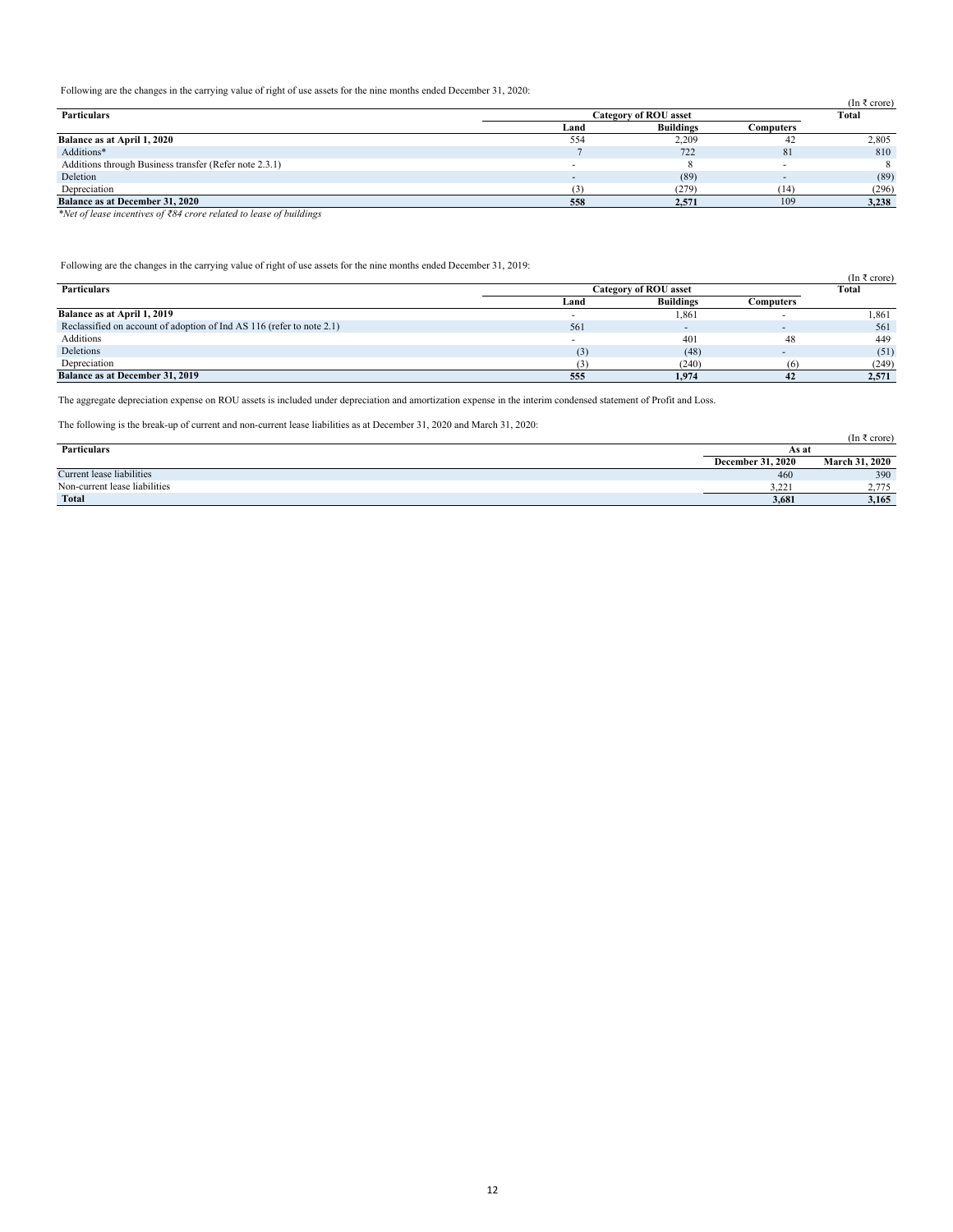Following are the changes in the carrying value of right of use assets for the nine months ended December 31, 2020:

|                              |                  |           | (In $\bar{\tau}$ crore) |
|------------------------------|------------------|-----------|-------------------------|
| <b>Category of ROU asset</b> |                  |           | Total                   |
| Land                         | <b>Buildings</b> | Computers |                         |
| 554                          | 2,209            |           | 2,805                   |
|                              | 722              | 81        | 810                     |
|                              |                  |           |                         |
|                              | (89)             |           | (89)                    |
|                              | (279)            | (14)      | (296)                   |
| 558                          | 2.571            | 109       | 3,238                   |
|                              |                  |           |                         |

*\*Net of lease incentives of ₹84 crore related to lease of buildings*

Following are the changes in the carrying value of right of use assets for the nine months ended December 31, 2019:

|                                                                       |                              |                  |           | (In $\bar{\tau}$ crore) |
|-----------------------------------------------------------------------|------------------------------|------------------|-----------|-------------------------|
| <b>Particulars</b>                                                    | <b>Category of ROU asset</b> |                  |           | Total                   |
|                                                                       | Land                         | <b>Buildings</b> | Computers |                         |
| Balance as at April 1, 2019                                           |                              | 1,861            |           | 1,861                   |
| Reclassified on account of adoption of Ind AS 116 (refer to note 2.1) | 561                          |                  |           | 561                     |
| Additions                                                             |                              | 401              | 48        | 449                     |
| Deletions                                                             | (3)                          | (48)             |           | (51)                    |
| Depreciation                                                          |                              | (240)            | (6)       | (249)                   |
| <b>Balance as at December 31, 2019</b>                                | 555                          | 1.974            | 42        | 2,571                   |

The aggregate depreciation expense on ROU assets is included under depreciation and amortization expense in the interim condensed statement of Profit and Loss.

The following is the break-up of current and non-current lease liabilities as at December 31, 2020 and March 31, 2020:

| The reflecting to the create up of early and non-early near reactingly as at Becember 5.1, 2020 and march 5.1, 2020. |                          |                       |
|----------------------------------------------------------------------------------------------------------------------|--------------------------|-----------------------|
|                                                                                                                      |                          | (In ₹ crore)          |
| <b>Particulars</b>                                                                                                   | As at                    |                       |
|                                                                                                                      | <b>December 31, 2020</b> | <b>March 31, 2020</b> |
| Current lease liabilities                                                                                            | 460                      | 390                   |
| Non-current lease liabilities                                                                                        | 3.221                    | 2.775                 |
| <b>Total</b>                                                                                                         | 3.681                    | 3.165                 |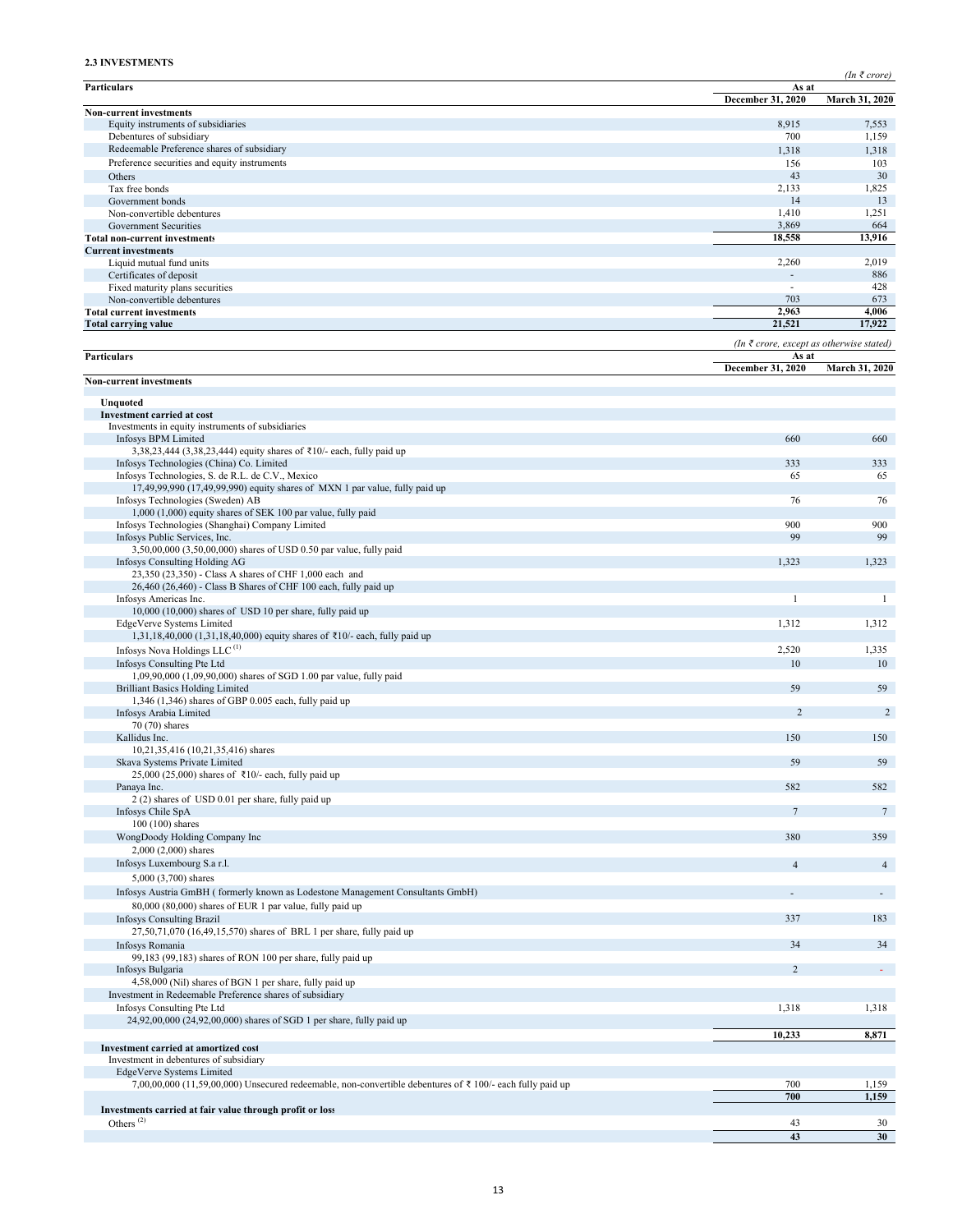# **2.3 INVESTMENTS**

*(In ₹ crore)*

| Particulars                                                                                                                                | As at                                             | $\mu$ $\mu$ $\mu$ $\mu$ $\mu$ $\mu$ |
|--------------------------------------------------------------------------------------------------------------------------------------------|---------------------------------------------------|-------------------------------------|
| <b>Non-current investments</b>                                                                                                             | December 31, 2020                                 | March 31, 2020                      |
| Equity instruments of subsidiaries                                                                                                         | 8,915                                             | 7,553                               |
| Debentures of subsidiary                                                                                                                   | 700                                               | 1,159                               |
| Redeemable Preference shares of subsidiary                                                                                                 | 1,318                                             | 1,318                               |
| Preference securities and equity instruments                                                                                               | 156                                               | 103                                 |
| Others<br>Tax free bonds                                                                                                                   | 43<br>2,133                                       | 30<br>1,825                         |
| Government bonds                                                                                                                           | 14                                                | 13                                  |
| Non-convertible debentures                                                                                                                 | 1,410                                             | 1,251                               |
| Government Securities                                                                                                                      | 3,869                                             | 664                                 |
| <b>Total non-current investments</b>                                                                                                       | 18,558                                            | 13,916                              |
| <b>Current investments</b><br>Liquid mutual fund units                                                                                     | 2,260                                             | 2,019                               |
| Certificates of deposit                                                                                                                    | ÷.                                                | 886                                 |
| Fixed maturity plans securities                                                                                                            | $\overline{\phantom{a}}$                          | 428                                 |
| Non-convertible debentures                                                                                                                 | 703                                               | 673                                 |
| <b>Total current investments</b><br><b>Total carrying value</b>                                                                            | 2,963<br>21,521                                   | 4,006<br>17,922                     |
|                                                                                                                                            |                                                   |                                     |
| Particulars                                                                                                                                | (In ₹ crore, except as otherwise stated)<br>As at |                                     |
|                                                                                                                                            | December 31, 2020                                 | March 31, 2020                      |
| <b>Non-current investments</b>                                                                                                             |                                                   |                                     |
| Unquoted                                                                                                                                   |                                                   |                                     |
| <b>Investment carried at cost</b><br>Investments in equity instruments of subsidiaries                                                     |                                                   |                                     |
| <b>Infosys BPM Limited</b>                                                                                                                 | 660                                               | 660                                 |
| 3,38,23,444 (3,38,23,444) equity shares of ₹10/- each, fully paid up                                                                       |                                                   |                                     |
| Infosys Technologies (China) Co. Limited                                                                                                   | 333                                               | 333                                 |
| Infosys Technologies, S. de R.L. de C.V., Mexico                                                                                           | 65                                                | 65                                  |
| 17,49,99,990 (17,49,99,990) equity shares of MXN 1 par value, fully paid up<br>Infosys Technologies (Sweden) AB                            | 76                                                | 76                                  |
| 1,000 (1,000) equity shares of SEK 100 par value, fully paid                                                                               |                                                   |                                     |
| Infosys Technologies (Shanghai) Company Limited                                                                                            | 900                                               | 900                                 |
| Infosys Public Services, Inc.                                                                                                              | 99                                                | 99                                  |
| 3,50,00,000 (3,50,00,000) shares of USD 0.50 par value, fully paid                                                                         |                                                   |                                     |
| Infosys Consulting Holding AG<br>23,350 (23,350) - Class A shares of CHF 1,000 each and                                                    | 1,323                                             | 1,323                               |
| 26,460 (26,460) - Class B Shares of CHF 100 each, fully paid up                                                                            |                                                   |                                     |
| Infosys Americas Inc.                                                                                                                      | $\overline{1}$                                    | 1                                   |
| 10,000 (10,000) shares of USD 10 per share, fully paid up                                                                                  |                                                   |                                     |
| EdgeVerve Systems Limited                                                                                                                  | 1,312                                             | 1,312                               |
| 1,31,18,40,000 (1,31,18,40,000) equity shares of ₹10/- each, fully paid up<br>Infosys Nova Holdings LLC <sup>(1)</sup>                     | 2,520                                             | 1,335                               |
| Infosys Consulting Pte Ltd                                                                                                                 | 10                                                | 10                                  |
| 1,09,90,000 (1,09,90,000) shares of SGD 1.00 par value, fully paid                                                                         |                                                   |                                     |
| <b>Brilliant Basics Holding Limited</b>                                                                                                    | 59                                                | 59                                  |
| $1,346$ (1,346) shares of GBP 0.005 each, fully paid up                                                                                    |                                                   |                                     |
| Infosys Arabia Limited<br>70 (70) shares                                                                                                   | $\overline{2}$                                    | 2                                   |
| Kallidus Inc.                                                                                                                              | 150                                               | 150                                 |
| 10,21,35,416 (10,21,35,416) shares                                                                                                         |                                                   |                                     |
| Skava Systems Private Limited                                                                                                              | 59                                                | 59                                  |
| 25,000 (25,000) shares of ₹10/- each, fully paid up                                                                                        |                                                   |                                     |
| Panaya Inc.<br>2 (2) shares of USD 0.01 per share, fully paid up                                                                           | 582                                               | 582                                 |
| Infosys Chile SpA                                                                                                                          | $7\phantom{.0}$                                   | $7\phantom{.0}$                     |
| $100(100)$ shares                                                                                                                          |                                                   |                                     |
| WongDoody Holding Company Inc                                                                                                              | 380                                               | 359                                 |
| 2,000 (2,000) shares                                                                                                                       |                                                   |                                     |
| Infosys Luxembourg S.a r.l.                                                                                                                | $\overline{4}$                                    | $\overline{4}$                      |
| 5,000 (3,700) shares                                                                                                                       |                                                   |                                     |
| Infosys Austria GmBH (formerly known as Lodestone Management Consultants GmbH)<br>80,000 (80,000) shares of EUR 1 par value, fully paid up |                                                   | $\sim$                              |
| <b>Infosys Consulting Brazil</b>                                                                                                           | 337                                               | 183                                 |
| 27,50,71,070 (16,49,15,570) shares of BRL 1 per share, fully paid up                                                                       |                                                   |                                     |
| Infosys Romania                                                                                                                            | 34                                                | 34                                  |
| 99,183 (99,183) shares of RON 100 per share, fully paid up                                                                                 |                                                   |                                     |
| Infosys Bulgaria                                                                                                                           | $\overline{2}$                                    | $\omega_{\rm{eff}}$                 |
| 4,58,000 (Nil) shares of BGN 1 per share, fully paid up<br>Investment in Redeemable Preference shares of subsidiary                        |                                                   |                                     |
| Infosys Consulting Pte Ltd                                                                                                                 | 1,318                                             | 1,318                               |
| 24,92,00,000 (24,92,00,000) shares of SGD 1 per share, fully paid up                                                                       |                                                   |                                     |
|                                                                                                                                            | 10,233                                            | 8,871                               |
| Investment carried at amortized cost                                                                                                       |                                                   |                                     |
| Investment in debentures of subsidiary<br>EdgeVerve Systems Limited                                                                        |                                                   |                                     |
| 7,00,00,000 (11,59,00,000) Unsecured redeemable, non-convertible debentures of $\bar{\tau}$ 100/- each fully paid up                       | 700                                               | 1,159                               |
|                                                                                                                                            | 700                                               | 1,159                               |
| Investments carried at fair value through profit or loss                                                                                   |                                                   |                                     |
| Others <sup><math>(2)</math></sup>                                                                                                         | 43                                                | 30                                  |
|                                                                                                                                            | 43                                                | 30                                  |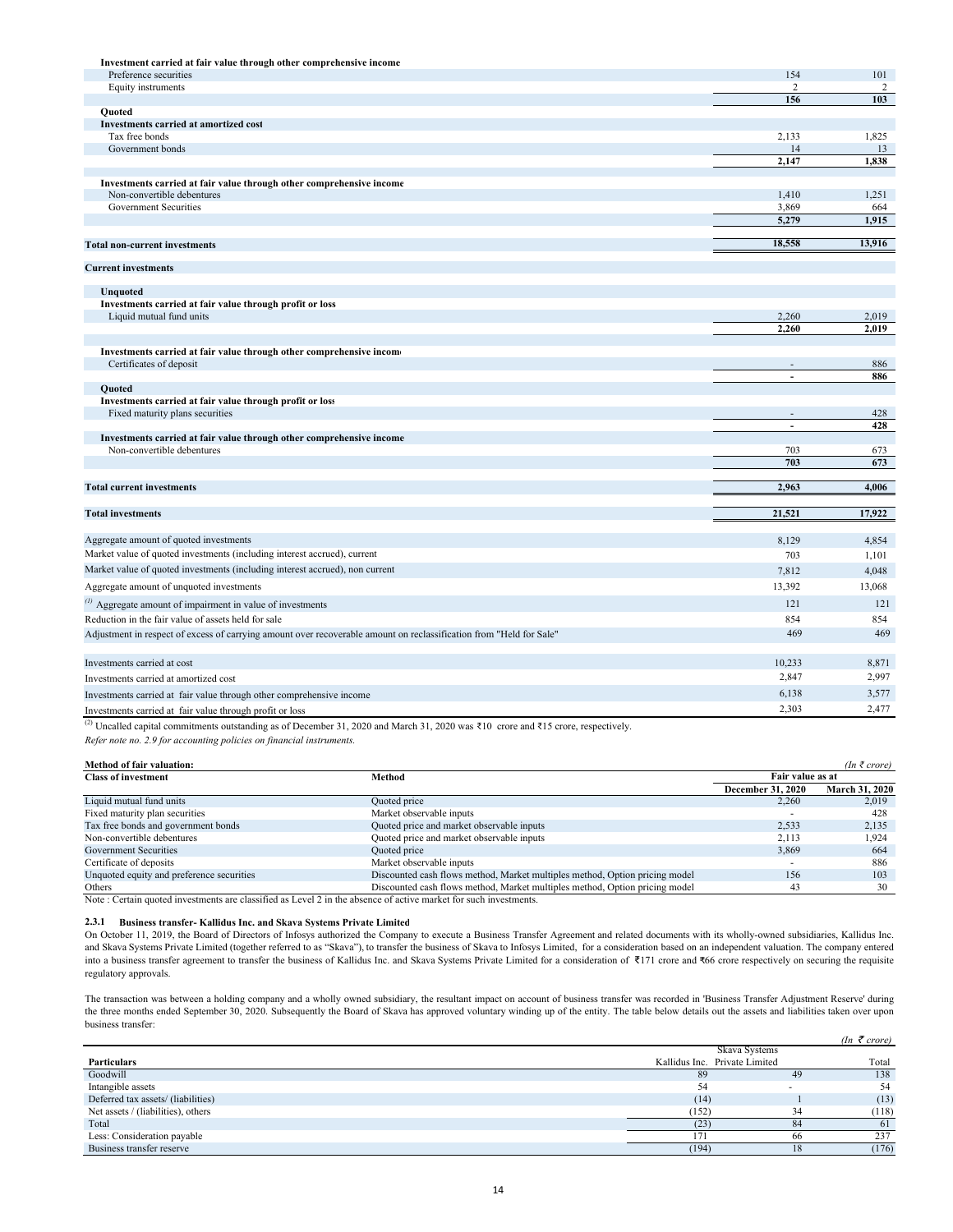| Investment carried at fair value through other comprehensive income                                                 |                            |            |
|---------------------------------------------------------------------------------------------------------------------|----------------------------|------------|
| Preference securities                                                                                               | 154                        | 101        |
| Equity instruments                                                                                                  | 2                          | 2          |
|                                                                                                                     | 156                        | 103        |
| <b>Ouoted</b><br>Investments carried at amortized cost                                                              |                            |            |
| Tax free bonds                                                                                                      | 2,133                      | 1,825      |
| Government bonds                                                                                                    | 14                         | 13         |
|                                                                                                                     | 2,147                      | 1,838      |
|                                                                                                                     |                            |            |
| Investments carried at fair value through other comprehensive income<br>Non-convertible debentures                  | 1,410                      | 1,251      |
| Government Securities                                                                                               | 3,869                      | 664        |
|                                                                                                                     | 5.279                      | 1.915      |
|                                                                                                                     |                            |            |
| <b>Total non-current investments</b>                                                                                | 18,558                     | 13,916     |
| <b>Current investments</b>                                                                                          |                            |            |
|                                                                                                                     |                            |            |
| <b>Unquoted</b>                                                                                                     |                            |            |
| Investments carried at fair value through profit or loss                                                            |                            |            |
| Liquid mutual fund units                                                                                            | 2,260                      | 2,019      |
|                                                                                                                     | 2,260                      | 2,019      |
| Investments carried at fair value through other comprehensive incom-                                                |                            |            |
| Certificates of deposit                                                                                             | ÷.                         | 886        |
|                                                                                                                     | L,                         | 886        |
| <b>Ouoted</b>                                                                                                       |                            |            |
| Investments carried at fair value through profit or loss                                                            |                            |            |
| Fixed maturity plans securities                                                                                     | $\omega$<br>$\overline{a}$ | 428<br>428 |
| Investments carried at fair value through other comprehensive income                                                |                            |            |
| Non-convertible debentures                                                                                          | 703                        | 673        |
|                                                                                                                     | 703                        | 673        |
|                                                                                                                     |                            |            |
| <b>Total current investments</b>                                                                                    | 2,963                      | 4,006      |
|                                                                                                                     |                            |            |
| <b>Total investments</b>                                                                                            | 21,521                     | 17,922     |
| Aggregate amount of quoted investments                                                                              | 8,129                      | 4,854      |
| Market value of quoted investments (including interest accrued), current                                            | 703                        | 1,101      |
| Market value of quoted investments (including interest accrued), non current                                        | 7.812                      | 4,048      |
|                                                                                                                     |                            |            |
| Aggregate amount of unquoted investments                                                                            | 13,392                     | 13,068     |
| $\alpha$ Aggregate amount of impairment in value of investments                                                     | 121                        | 121        |
| Reduction in the fair value of assets held for sale                                                                 | 854                        | 854        |
| Adjustment in respect of excess of carrying amount over recoverable amount on reclassification from "Held for Sale" | 469                        | 469        |
|                                                                                                                     |                            |            |
| Investments carried at cost                                                                                         | 10,233                     | 8,871      |
| Investments carried at amortized cost                                                                               | 2,847                      | 2,997      |
| Investments carried at fair value through other comprehensive income                                                | 6,138                      | 3,577      |
| Investments carried at fair value through profit or loss                                                            | 2,303                      | 2,477      |

(2) Uncalled capital commitments outstanding as of December 31, 2020 and March 31, 2020 was ₹10 crore and ₹15 crore, respectively.

*Refer note no. 2.9 for accounting policies on financial instruments.*

|  | <b>Method of fair valuation:</b> |
|--|----------------------------------|
|  |                                  |

| <b>Method of fair valuation:</b>          |                                                                             |                          | $(In \; \bar{\tau} \; crore)$ |
|-------------------------------------------|-----------------------------------------------------------------------------|--------------------------|-------------------------------|
| <b>Class of investment</b>                | Method                                                                      | Fair value as at         |                               |
|                                           |                                                                             | <b>December 31, 2020</b> | <b>March 31, 2020</b>         |
| Liquid mutual fund units                  | Quoted price                                                                | 2.260                    | 2,019                         |
| Fixed maturity plan securities            | Market observable inputs                                                    |                          | 428                           |
| Tax free bonds and government bonds       | Quoted price and market observable inputs                                   | 2.533                    | 2,135                         |
| Non-convertible debentures                | Quoted price and market observable inputs                                   | 2.113                    | 1.924                         |
| Government Securities                     | Quoted price                                                                | 3.869                    | 664                           |
| Certificate of deposits                   | Market observable inputs                                                    |                          | 886                           |
| Unquoted equity and preference securities | Discounted cash flows method, Market multiples method, Option pricing model | 156                      | 103                           |
| Others                                    | Discounted cash flows method, Market multiples method, Option pricing model | 43                       | 30                            |

Note : Certain quoted investments are classified as Level 2 in the absence of active market for such investments.

#### **2.3.1 Business transfer- Kallidus Inc. and Skava Systems Private Limited**

On October 11, 2019, the Board of Directors of Infosys authorized the Company to execute a Business Transfer Agreement and related documents with its wholly-owned subsidiaries, Kallidus Inc. and Skava Systems Private Limited (together referred to as "Skava"), to transfer the business of Skava to Infosys Limited, for a consideration based on an independent valuation. The company entered into a business transfer agreement to transfer the business of Kallidus Inc. and Skava Systems Private Limited for a consideration of ₹171 crore and ₹66 crore respectively on securing the requisite regulatory approvals.

 $(I_n \neq I_{\text{current}})$ The transaction was between a holding company and a wholly owned subsidiary, the resultant impact on account of business transfer was recorded in 'Business Transfer Adjustment Reserve' during the three months ended September 30, 2020. Subsequently the Board of Skava has approved voluntary winding up of the entity. The table below details out the assets and liabilities taken over upon business transfer:

|                                    |       |                               |    | ( <i>in crore</i> ) |
|------------------------------------|-------|-------------------------------|----|---------------------|
|                                    |       | Skava Systems                 |    |                     |
| Particulars                        |       | Kallidus Inc. Private Limited |    | Total               |
| Goodwill                           | 89    |                               | 49 | 138                 |
| Intangible assets                  |       |                               |    | 54                  |
| Deferred tax assets/(liabilities)  | (14)  |                               |    | (13)                |
| Net assets / (liabilities), others | (152) |                               | 34 | (118)               |
| Total                              | (23)  |                               | 84 | 61                  |
| Less: Consideration payable        |       |                               | 66 | 237                 |
| Business transfer reserve          | (194) |                               | 18 | (176)               |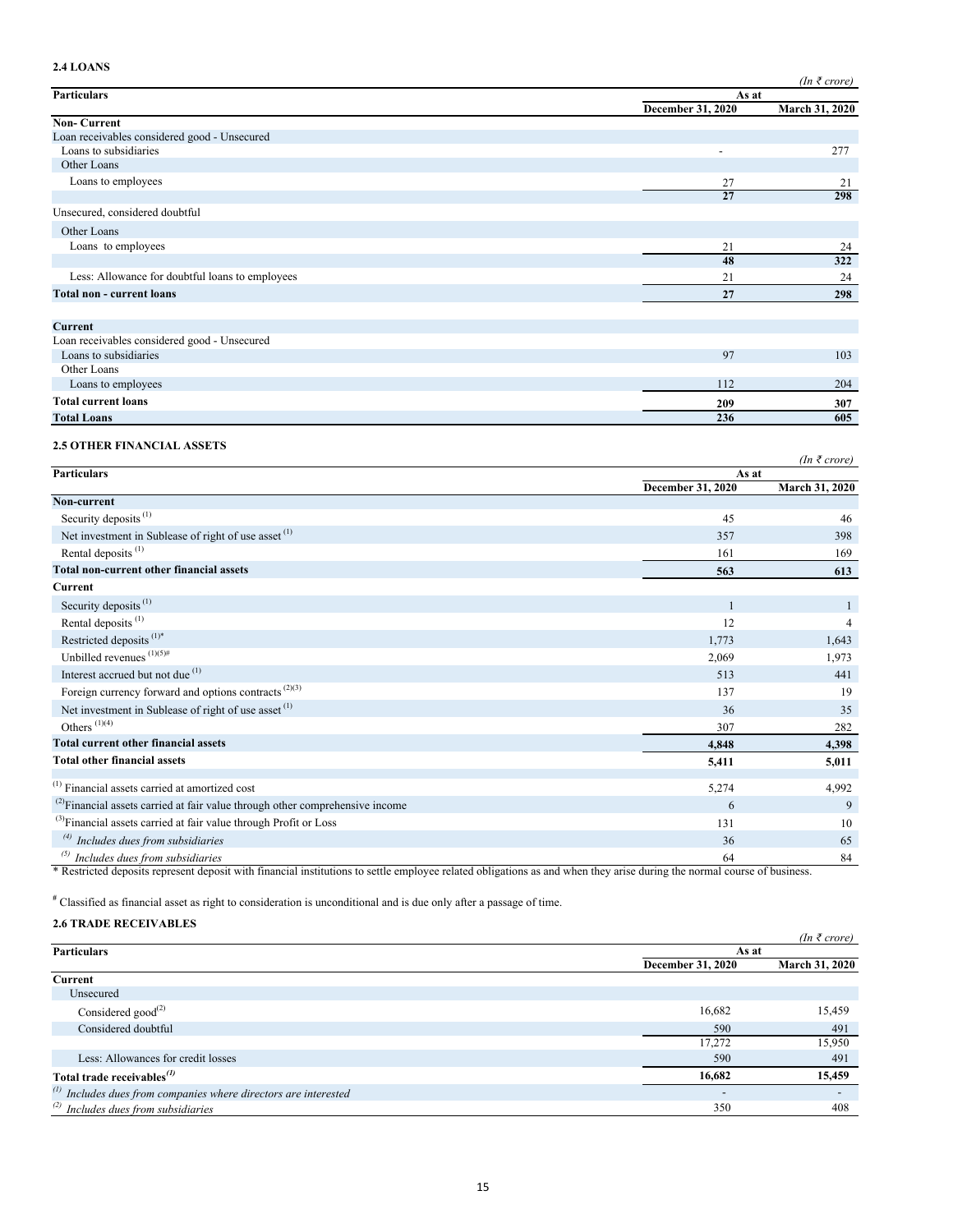# **2.4 LOANS**

|                                                 |                   | $(In \; \bar{\tau} \; crore)$ |
|-------------------------------------------------|-------------------|-------------------------------|
| <b>Particulars</b>                              |                   | As at                         |
|                                                 | December 31, 2020 | <b>March 31, 2020</b>         |
| <b>Non-Current</b>                              |                   |                               |
| Loan receivables considered good - Unsecured    |                   |                               |
| Loans to subsidiaries                           |                   | 277                           |
| Other Loans                                     |                   |                               |
| Loans to employees                              | 27                | 21                            |
|                                                 | 27                | 298                           |
| Unsecured, considered doubtful                  |                   |                               |
| Other Loans                                     |                   |                               |
| Loans to employees                              | 21                | 24                            |
|                                                 | 48                | 322                           |
| Less: Allowance for doubtful loans to employees | 21                | 24                            |
| <b>Total non - current loans</b>                | 27                | 298                           |
|                                                 |                   |                               |
| <b>Current</b>                                  |                   |                               |
| Loan receivables considered good - Unsecured    |                   |                               |
| Loans to subsidiaries                           | 97                | 103                           |
| Other Loans                                     |                   |                               |
| Loans to employees                              | 112               | 204                           |

# **Total current loans 307 209 Total Loans 605 236**

# **2.5 OTHER FINANCIAL ASSETS**

|                                                                                    |                   | $(In \; \bar{\tau} \; crore)$ |
|------------------------------------------------------------------------------------|-------------------|-------------------------------|
| <b>Particulars</b>                                                                 |                   | As at                         |
|                                                                                    | December 31, 2020 | <b>March 31, 2020</b>         |
| Non-current                                                                        |                   |                               |
| Security deposits <sup>(1)</sup>                                                   | 45                | 46                            |
| Net investment in Sublease of right of use asset <sup>(1)</sup>                    | 357               | 398                           |
| Rental deposits <sup>(1)</sup>                                                     | 161               | 169                           |
| Total non-current other financial assets                                           | 563               | 613                           |
| Current                                                                            |                   |                               |
| Security deposits <sup>(1)</sup>                                                   |                   |                               |
| Rental deposits <sup>(1)</sup>                                                     | 12                | 4                             |
| Restricted deposits <sup>(1)*</sup>                                                | 1,773             | 1,643                         |
| Unbilled revenues $(1)(5)$ #                                                       | 2,069             | 1,973                         |
| Interest accrued but not due (1)                                                   | 513               | 441                           |
| Foreign currency forward and options contracts $(2)(3)$                            | 137               | 19                            |
| Net investment in Sublease of right of use asset <sup>(1)</sup>                    | 36                | 35                            |
| Others $(1)(4)$                                                                    | 307               | 282                           |
| <b>Total current other financial assets</b>                                        | 4,848             | 4,398                         |
| <b>Total other financial assets</b>                                                | 5,411             | 5,011                         |
| <sup>(1)</sup> Financial assets carried at amortized cost                          | 5,274             | 4,992                         |
| $^{(2)}$ Financial assets carried at fair value through other comprehensive income | 6                 | 9                             |
|                                                                                    |                   |                               |
| <sup>(3)</sup> Financial assets carried at fair value through Profit or Loss       | 131               | 10                            |
| $\overset{(4)}{ }$ Includes dues from subsidiaries                                 | 36                | 65                            |
| $^{(5)}$ Includes dues from subsidiaries                                           | 64                | 84                            |

\* Restricted deposits represent deposit with financial institutions to settle employee related obligations as and when they arise during the normal course of business.

**#** Classified as financial asset as right to consideration is unconditional and is due only after a passage of time.

# **2.6 TRADE RECEIVABLES**

|                                                                      |                          | $(In \; \bar{\tau} \; correct)$ |  |
|----------------------------------------------------------------------|--------------------------|---------------------------------|--|
| <b>Particulars</b>                                                   | As at                    |                                 |  |
|                                                                      | December 31, 2020        | <b>March 31, 2020</b>           |  |
| Current                                                              |                          |                                 |  |
| Unsecured                                                            |                          |                                 |  |
| Considered good <sup><math>(2)</math></sup>                          | 16,682                   | 15,459                          |  |
| Considered doubtful                                                  | 590                      | 491                             |  |
|                                                                      | 17,272                   | 15,950                          |  |
| Less: Allowances for credit losses                                   | 590                      | 491                             |  |
| Total trade receivables $^{(1)}$                                     | 16,682                   | 15,459                          |  |
| $\alpha$ Includes dues from companies where directors are interested | $\overline{\phantom{a}}$ |                                 |  |
| $^{(2)}$ Includes dues from subsidiaries                             | 350                      | 408                             |  |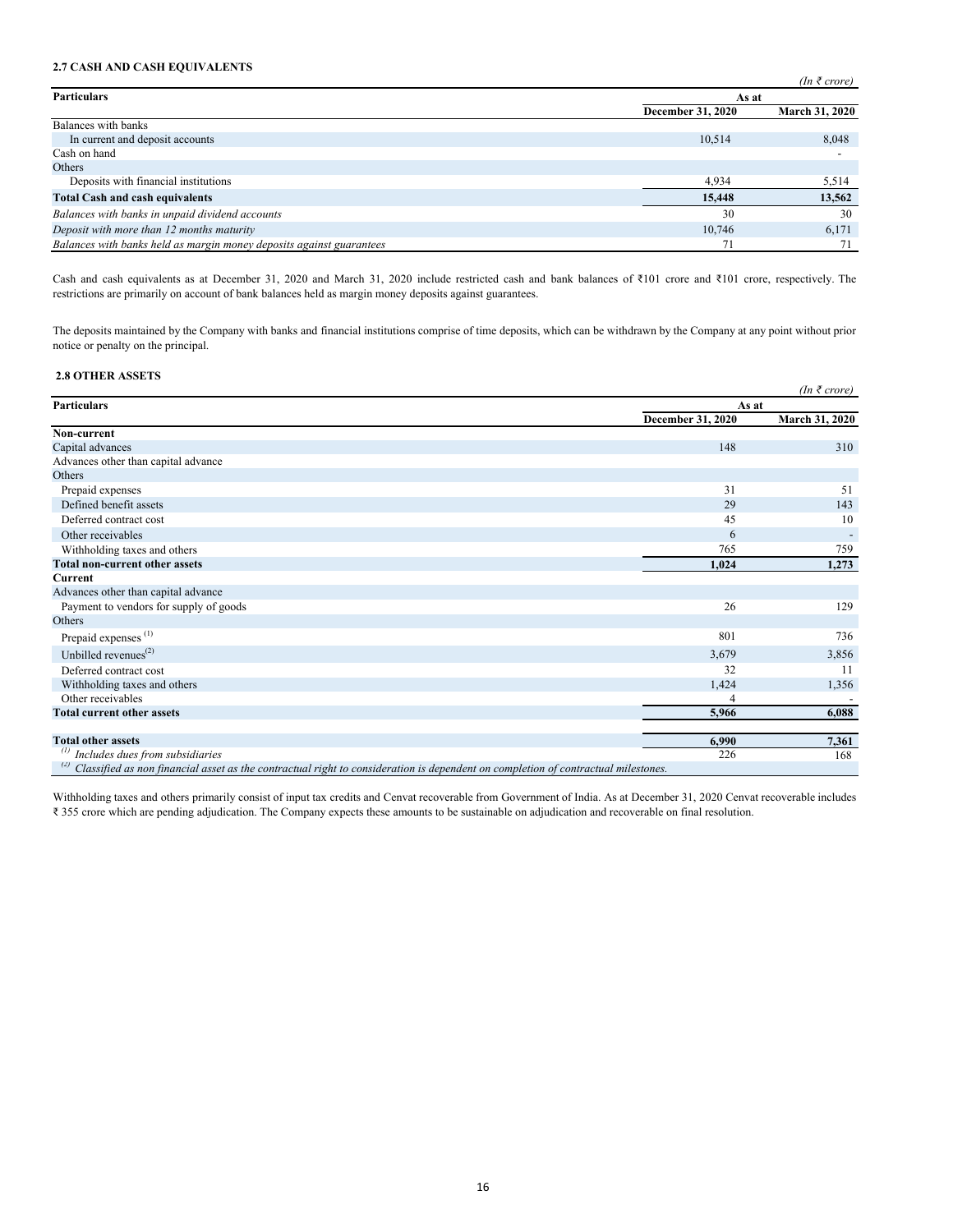# **2.7 CASH AND CASH EQUIVALENTS**

|                                                                      |                   | $(In \; \bar{\tau} \; correct)$ |
|----------------------------------------------------------------------|-------------------|---------------------------------|
| <b>Particulars</b>                                                   |                   | As at                           |
|                                                                      | December 31, 2020 | March 31, 2020                  |
| Balances with banks                                                  |                   |                                 |
| In current and deposit accounts                                      | 10.514            | 8,048                           |
| Cash on hand                                                         |                   |                                 |
| Others                                                               |                   |                                 |
| Deposits with financial institutions                                 | 4.934             | 5,514                           |
| <b>Total Cash and cash equivalents</b>                               | 15,448            | 13,562                          |
| Balances with banks in unpaid dividend accounts                      | 30                | 30                              |
| Deposit with more than 12 months maturity                            | 10.746            | 6,171                           |
| Balances with banks held as margin money deposits against guarantees | 7 <sub>i</sub>    | 71                              |

Cash and cash equivalents as at December 31, 2020 and March 31, 2020 include restricted cash and bank balances of ₹101 crore and ₹101 crore, respectively. The restrictions are primarily on account of bank balances held as margin money deposits against guarantees.

The deposits maintained by the Company with banks and financial institutions comprise of time deposits, which can be withdrawn by the Company at any point without prior notice or penalty on the principal.

# **2.8 OTHER ASSETS**

|                                                                                                                                   |                   | $(In \; \bar{\tau} \; crore)$ |
|-----------------------------------------------------------------------------------------------------------------------------------|-------------------|-------------------------------|
| <b>Particulars</b>                                                                                                                | As at             |                               |
|                                                                                                                                   | December 31, 2020 | <b>March 31, 2020</b>         |
| Non-current                                                                                                                       |                   |                               |
| Capital advances                                                                                                                  | 148               | 310                           |
| Advances other than capital advance                                                                                               |                   |                               |
| Others                                                                                                                            |                   |                               |
| Prepaid expenses                                                                                                                  | 31                | 51                            |
| Defined benefit assets                                                                                                            | 29                | 143                           |
| Deferred contract cost                                                                                                            | 45                | 10                            |
| Other receivables                                                                                                                 | 6                 |                               |
| Withholding taxes and others                                                                                                      | 765               | 759                           |
| Total non-current other assets                                                                                                    | 1,024             | 1,273                         |
| <b>Current</b>                                                                                                                    |                   |                               |
| Advances other than capital advance                                                                                               |                   |                               |
| Payment to vendors for supply of goods                                                                                            | 26                | 129                           |
| Others                                                                                                                            |                   |                               |
| Prepaid expenses <sup>(1)</sup>                                                                                                   | 801               | 736                           |
| Unbilled revenues $^{(2)}$                                                                                                        | 3,679             | 3,856                         |
| Deferred contract cost                                                                                                            | 32                | 11                            |
| Withholding taxes and others                                                                                                      | 1,424             | 1,356                         |
| Other receivables                                                                                                                 |                   |                               |
| <b>Total current other assets</b>                                                                                                 | 5,966             | 6,088                         |
| <b>Total other assets</b>                                                                                                         | 6,990             | 7,361                         |
| Includes dues from subsidiaries                                                                                                   | 226               | 168                           |
| Classified as non financial asset as the contractual right to consideration is dependent on completion of contractual milestones. |                   |                               |

Withholding taxes and others primarily consist of input tax credits and Cenvat recoverable from Government of India. As at December 31, 2020 Cenvat recoverable includes ₹ 355 crore which are pending adjudication. The Company expects these amounts to be sustainable on adjudication and recoverable on final resolution.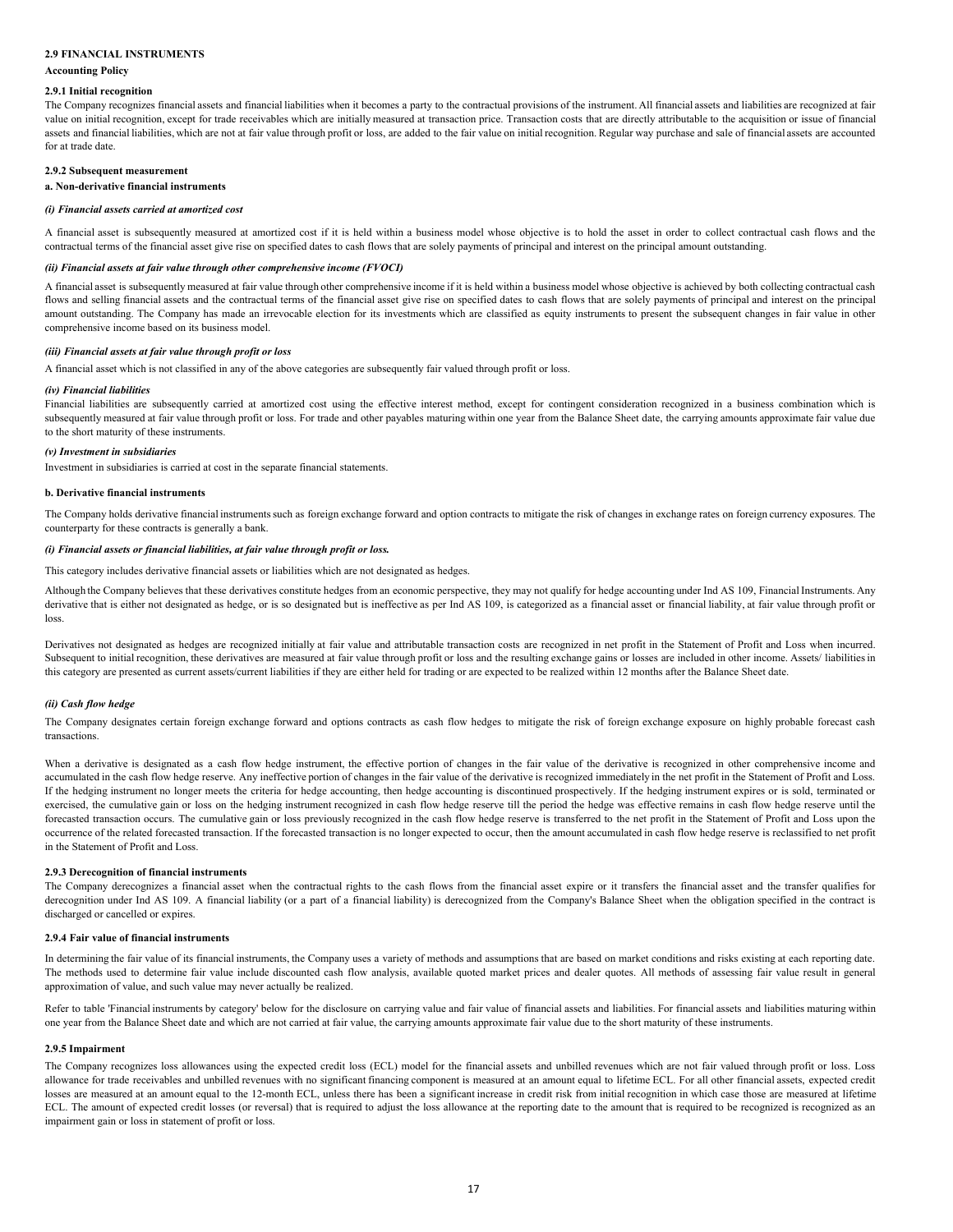# **2.9 FINANCIAL INSTRUMENTS**

### **Accounting Policy**

#### **2.9.1 Initial recognition**

The Company recognizes financial assets and financial liabilities when it becomes a party to the contractual provisions of the instrument. All financial assets and liabilities are recognized at fair value on initial recognition, except for trade receivables which are initially measured at transaction price. Transaction costs that are directly attributable to the acquisition or issue of financial assets and financial liabilities, which are not at fair value through profit or loss, are added to the fair value on initial recognition. Regular way purchase and sale of financial assets are accounted for at trade date.

# **2.9.2 Subsequent measurement**

# **a. Non-derivative financial instruments**

#### *(i) Financial assets carried at amortized cost*

A financial asset is subsequently measured at amortized cost if it is held within a business model whose objective is to hold the asset in order to collect contractual cash flows and the contractual terms of the financial asset give rise on specified dates to cash flows that are solely payments of principal and interest on the principal amount outstanding.

#### *(ii) Financial assets at fair value through other comprehensive income (FVOCI)*

A financial asset is subsequently measured at fair value through other comprehensive income if it is held within a business model whose objective is achieved by both collecting contractual cash flows and selling financial assets and the contractual terms of the financial asset give rise on specified dates to cash flows that are solely payments of principal and interest on the principal amount outstanding. The Company has made an irrevocable election for its investments which are classified as equity instruments to present the subsequent changes in fair value in other comprehensive income based on its business model.

### *(iii) Financial assets at fair value through profit or loss*

A financial asset which is not classified in any of the above categories are subsequently fair valued through profit or loss.

#### *(iv) Financial liabilities*

Financial liabilities are subsequently carried at amortized cost using the effective interest method, except for contingent consideration recognized in a business combination which is subsequently measured at fair value through profit or loss. For trade and other payables maturing within one year from the Balance Sheet date, the carrying amounts approximate fair value due to the short maturity of these instruments.

#### *(v) Investment in subsidiaries*

Investment in subsidiaries is carried at cost in the separate financial statements.

#### **b. Derivative financial instruments**

The Company holds derivative financial instruments such as foreign exchange forward and option contracts to mitigate the risk of changes in exchange rates on foreign currency exposures. The counterparty for these contracts is generally a bank.

### *(i) Financial assets or financial liabilities, at fair value through profit or loss.*

This category includes derivative financial assets or liabilities which are not designated as hedges.

Although the Company believes that these derivatives constitute hedges from an economic perspective, they may not qualify for hedge accounting under Ind AS 109, Financial Instruments. Any derivative that is either not designated as hedge, or is so designated but is ineffective as per Ind AS 109, is categorized as a financial asset or financial liability, at fair value through profit or loss.

Derivatives not designated as hedges are recognized initially at fair value and attributable transaction costs are recognized in net profit in the Statement of Profit and Loss when incurred. Subsequent to initial recognition, these derivatives are measured at fair value through profit or loss and the resulting exchange gains or losses are included in other income. Assets/ liabilities in this category are presented as current assets/current liabilities if they are either held for trading or are expected to be realized within 12 months after the Balance Sheet date.

#### *(ii) Cash flow hedge*

The Company designates certain foreign exchange forward and options contracts as cash flow hedges to mitigate the risk of foreign exchange exposure on highly probable forecast cash transactions.

When a derivative is designated as a cash flow hedge instrument, the effective portion of changes in the fair value of the derivative is recognized in other comprehensive income and accumulated in the cash flow hedge reserve. Any ineffective portion of changes in the fair value of the derivative is recognized immediately in the net profit in the Statement of Profit and Loss. If the hedging instrument no longer meets the criteria for hedge accounting, then hedge accounting is discontinued prospectively. If the hedging instrument expires or is sold, terminated or exercised, the cumulative gain or loss on the hedging instrument recognized in cash flow hedge reserve till the period the hedge was effective remains in cash flow hedge reserve until the forecasted transaction occurs. The cumulative gain or loss previously recognized in the cash flow hedge reserve is transferred to the net profit in the Statement of Profit and Loss upon the occurrence of the related forecasted transaction. If the forecasted transaction is no longer expected to occur, then the amount accumulated in cash flow hedge reserve is reclassified to net profit in the Statement of Profit and Loss.

#### **2.9.3 Derecognition of financial instruments**

The Company derecognizes a financial asset when the contractual rights to the cash flows from the financial asset expire or it transfers the financial asset and the transfer qualifies for derecognition under Ind AS 109. A financial liability (or a part of a financial liability) is derecognized from the Company's Balance Sheet when the obligation specified in the contract is discharged or cancelled or expires.

# **2.9.4 Fair value of financial instruments**

In determining the fair value of its financial instruments, the Company uses a variety of methods and assumptions that are based on market conditions and risks existing at each reporting date. The methods used to determine fair value include discounted cash flow analysis, available quoted market prices and dealer quotes. All methods of assessing fair value result in general approximation of value, and such value may never actually be realized.

Refer to table 'Financial instruments by category' below for the disclosure on carrying value and fair value of financial assets and liabilities. For financial assets and liabilities maturing within one year from the Balance Sheet date and which are not carried at fair value, the carrying amounts approximate fair value due to the short maturity of these instruments.

#### **2.9.5 Impairment**

The Company recognizes loss allowances using the expected credit loss (ECL) model for the financial assets and unbilled revenues which are not fair valued through profit or loss. Loss allowance for trade receivables and unbilled revenues with no significant financing component is measured at an amount equal to lifetime ECL. For all other financial assets, expected credit losses are measured at an amount equal to the 12-month ECL, unless there has been a significant increase in credit risk from initial recognition in which case those are measured at lifetime ECL. The amount of expected credit losses (or reversal) that is required to adjust the loss allowance at the reporting date to the amount that is required to be recognized is recognized as an impairment gain or loss in statement of profit or loss.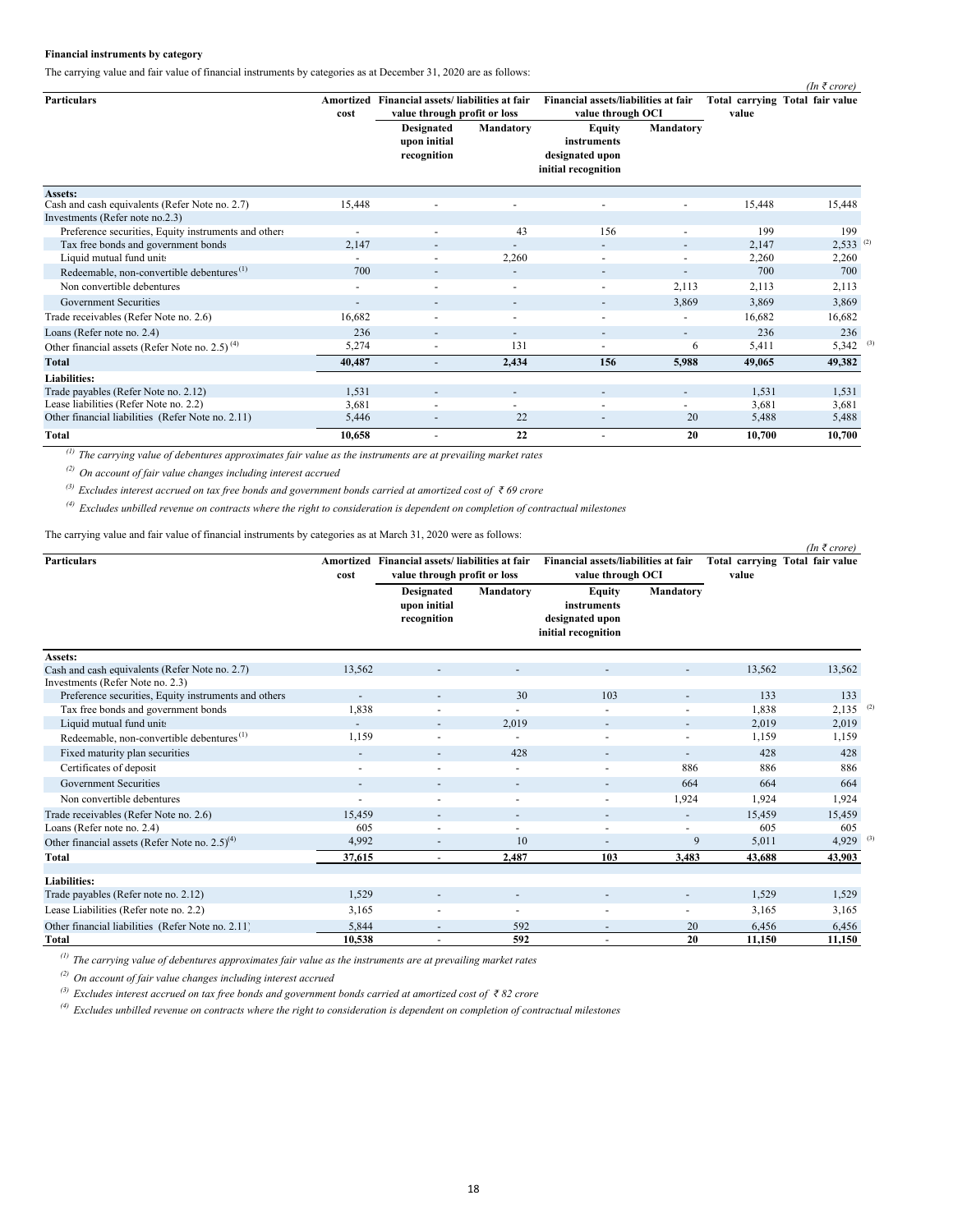# **Financial instruments by category**

The carrying value and fair value of financial instruments by categories as at December 31, 2020 are as follows:

| <b>Particulars</b>                                         | Amortized<br>cost        | Financial assets/liabilities at fair<br>value through profit or loss |                          |                                                                        | Financial assets/liabilities at fair<br>value through OCI |        | $\mu$ v $\mu$ $\sigma$ e $\mu$<br>Total carrying Total fair value |
|------------------------------------------------------------|--------------------------|----------------------------------------------------------------------|--------------------------|------------------------------------------------------------------------|-----------------------------------------------------------|--------|-------------------------------------------------------------------|
|                                                            |                          | <b>Designated</b><br>upon initial<br>recognition                     | Mandatory                | <b>Equity</b><br>instruments<br>designated upon<br>initial recognition | Mandatory                                                 | value  |                                                                   |
| Assets:                                                    |                          |                                                                      |                          |                                                                        |                                                           |        |                                                                   |
| Cash and cash equivalents (Refer Note no. 2.7)             | 15,448                   |                                                                      | $\overline{a}$           | $\blacksquare$                                                         |                                                           | 15,448 | 15,448                                                            |
| Investments (Refer note no.2.3)                            |                          |                                                                      |                          |                                                                        |                                                           |        |                                                                   |
| Preference securities, Equity instruments and others       | $\overline{\phantom{a}}$ | $\sim$                                                               | 43                       | 156                                                                    |                                                           | 199    | 199                                                               |
| Tax free bonds and government bonds                        | 2,147                    | $\overline{\phantom{a}}$                                             | -                        | ٠                                                                      |                                                           | 2,147  | $2,533$ <sup>(2)</sup>                                            |
| Liquid mutual fund units                                   |                          | ٠                                                                    | 2,260                    | $\overline{\phantom{a}}$                                               |                                                           | 2,260  | 2,260                                                             |
| Redeemable, non-convertible debentures <sup>(1)</sup>      | 700                      | $\overline{\phantom{a}}$                                             | $\sim$                   | $\overline{\phantom{a}}$                                               |                                                           | 700    | 700                                                               |
| Non convertible debentures                                 | $\overline{\phantom{a}}$ | $\sim$                                                               | $\sim$                   | $\sim$                                                                 | 2,113                                                     | 2,113  | 2,113                                                             |
| Government Securities                                      | ٠                        | $\overline{\phantom{a}}$                                             | $\overline{\phantom{a}}$ | $\overline{\phantom{a}}$                                               | 3,869                                                     | 3,869  | 3,869                                                             |
| Trade receivables (Refer Note no. 2.6)                     | 16,682                   | $\sim$                                                               | $\overline{\phantom{a}}$ | $\overline{\phantom{a}}$                                               |                                                           | 16,682 | 16,682                                                            |
| Loans (Refer note no. 2.4)                                 | 236                      | $\overline{\phantom{a}}$                                             | $\overline{\phantom{a}}$ | $\sim$                                                                 | ٠                                                         | 236    | 236                                                               |
| Other financial assets (Refer Note no. 2.5) <sup>(4)</sup> | 5,274                    | ٠                                                                    | 131                      | ٠                                                                      | 6                                                         | 5,411  | $5,342$ <sup>(3)</sup>                                            |
| Total                                                      | 40,487                   | $\overline{\phantom{a}}$                                             | 2,434                    | 156                                                                    | 5,988                                                     | 49,065 | 49,382                                                            |
| <b>Liabilities:</b>                                        |                          |                                                                      |                          |                                                                        |                                                           |        |                                                                   |
| Trade payables (Refer Note no. 2.12)                       | 1,531                    | $\sim$                                                               | $\overline{\phantom{a}}$ | $\overline{\phantom{a}}$                                               | $\overline{\phantom{a}}$                                  | 1,531  | 1,531                                                             |
| Lease liabilities (Refer Note no. 2.2)                     | 3,681                    | $\overline{\phantom{0}}$                                             | -                        | $\overline{\phantom{a}}$                                               |                                                           | 3,681  | 3,681                                                             |
| Other financial liabilities (Refer Note no. 2.11)          | 5,446                    | $\overline{\phantom{m}}$                                             | 22                       | $\overline{\phantom{0}}$                                               | 20                                                        | 5,488  | 5,488                                                             |
| <b>Total</b>                                               | 10,658                   | $\overline{\phantom{a}}$                                             | 22                       | ٠                                                                      | 20                                                        | 10,700 | 10,700                                                            |

*(In ₹ crore)*

 *(1) The carrying value of debentures approximates fair value as the instruments are at prevailing market rates*

 *(2) On account of fair value changes including interest accrued*

 *(3) Excludes interest accrued on tax free bonds and government bonds carried at amortized cost of ₹ 69 crore*

 *(4) Excludes unbilled revenue on contracts where the right to consideration is dependent on completion of contractual milestones*

The carrying value and fair value of financial instruments by categories as at March 31, 2020 were as follows:

| <b>Particulars</b>                                    |                          | Amortized Financial assets/liabilities at fair   |                          | Financial assets/liabilities at fair                                   |                          |        | Total carrying Total fair value |
|-------------------------------------------------------|--------------------------|--------------------------------------------------|--------------------------|------------------------------------------------------------------------|--------------------------|--------|---------------------------------|
|                                                       | cost                     | value through profit or loss                     |                          | value through OCI                                                      |                          | value  |                                 |
|                                                       |                          | <b>Designated</b><br>upon initial<br>recognition | Mandatory                | <b>Equity</b><br>instruments<br>designated upon<br>initial recognition | Mandatory                |        |                                 |
| Assets:                                               |                          |                                                  |                          |                                                                        |                          |        |                                 |
| Cash and cash equivalents (Refer Note no. 2.7)        | 13,562                   |                                                  |                          |                                                                        |                          | 13,562 | 13,562                          |
| Investments (Refer Note no. 2.3)                      |                          |                                                  |                          |                                                                        |                          |        |                                 |
| Preference securities, Equity instruments and others  |                          |                                                  | 30                       | 103                                                                    |                          | 133    | 133                             |
| Tax free bonds and government bonds                   | 1,838                    |                                                  |                          |                                                                        |                          | 1,838  | 2,135<br>(2)                    |
| Liquid mutual fund units                              |                          | $\overline{\phantom{a}}$                         | 2,019                    | $\sim$                                                                 | ٠                        | 2,019  | 2,019                           |
| Redeemable, non-convertible debentures <sup>(1)</sup> | 1,159                    |                                                  |                          | ٠                                                                      |                          | 1,159  | 1,159                           |
| Fixed maturity plan securities                        | $\sim$                   |                                                  | 428                      | ٠                                                                      | $\overline{\phantom{0}}$ | 428    | 428                             |
| Certificates of deposit                               | $\sim$                   | $\overline{a}$                                   | $\overline{\phantom{a}}$ | $\blacksquare$                                                         | 886                      | 886    | 886                             |
| Government Securities                                 | $\sim$                   |                                                  | $\overline{\phantom{a}}$ | $\overline{\phantom{a}}$                                               | 664                      | 664    | 664                             |
| Non convertible debentures                            | $\overline{\phantom{a}}$ |                                                  | $\overline{\phantom{a}}$ | $\overline{\phantom{a}}$                                               | 1,924                    | 1,924  | 1,924                           |
| Trade receivables (Refer Note no. 2.6)                | 15.459                   |                                                  |                          |                                                                        | $\overline{\phantom{0}}$ | 15,459 | 15,459                          |
| Loans (Refer note no. 2.4)                            | 605                      |                                                  | ٠                        | ٠                                                                      | $\overline{\phantom{a}}$ | 605    | 605                             |
| Other financial assets (Refer Note no. $2.5)^{(4)}$ ) | 4,992                    |                                                  | 10                       |                                                                        | 9                        | 5,011  | $4,929$ <sup>(3)</sup>          |
| <b>Total</b>                                          | 37,615                   |                                                  | 2,487                    | 103                                                                    | 3,483                    | 43,688 | 43,903                          |
|                                                       |                          |                                                  |                          |                                                                        |                          |        |                                 |
| <b>Liabilities:</b>                                   |                          |                                                  |                          |                                                                        |                          |        |                                 |
| Trade payables (Refer note no. 2.12)                  | 1,529                    |                                                  | $\overline{\phantom{a}}$ |                                                                        |                          | 1,529  | 1,529                           |
| Lease Liabilities (Refer note no. 2.2)                | 3,165                    | $\overline{\phantom{a}}$                         | $\overline{\phantom{a}}$ | $\blacksquare$                                                         | $\overline{\phantom{0}}$ | 3,165  | 3,165                           |
| Other financial liabilities (Refer Note no. 2.11)     | 5,844                    | $\overline{\phantom{a}}$                         | 592                      | ٠                                                                      | 20                       | 6,456  | 6,456                           |
| Total                                                 | 10,538                   |                                                  | 592                      | $\overline{a}$                                                         | 20                       | 11,150 | 11,150                          |

*(1) The carrying value of debentures approximates fair value as the instruments are at prevailing market rates*

*(2) On account of fair value changes including interest accrued*

*(3) Excludes interest accrued on tax free bonds and government bonds carried at amortized cost of ₹ 82 crore*

*(4) Excludes unbilled revenue on contracts where the right to consideration is dependent on completion of contractual milestones*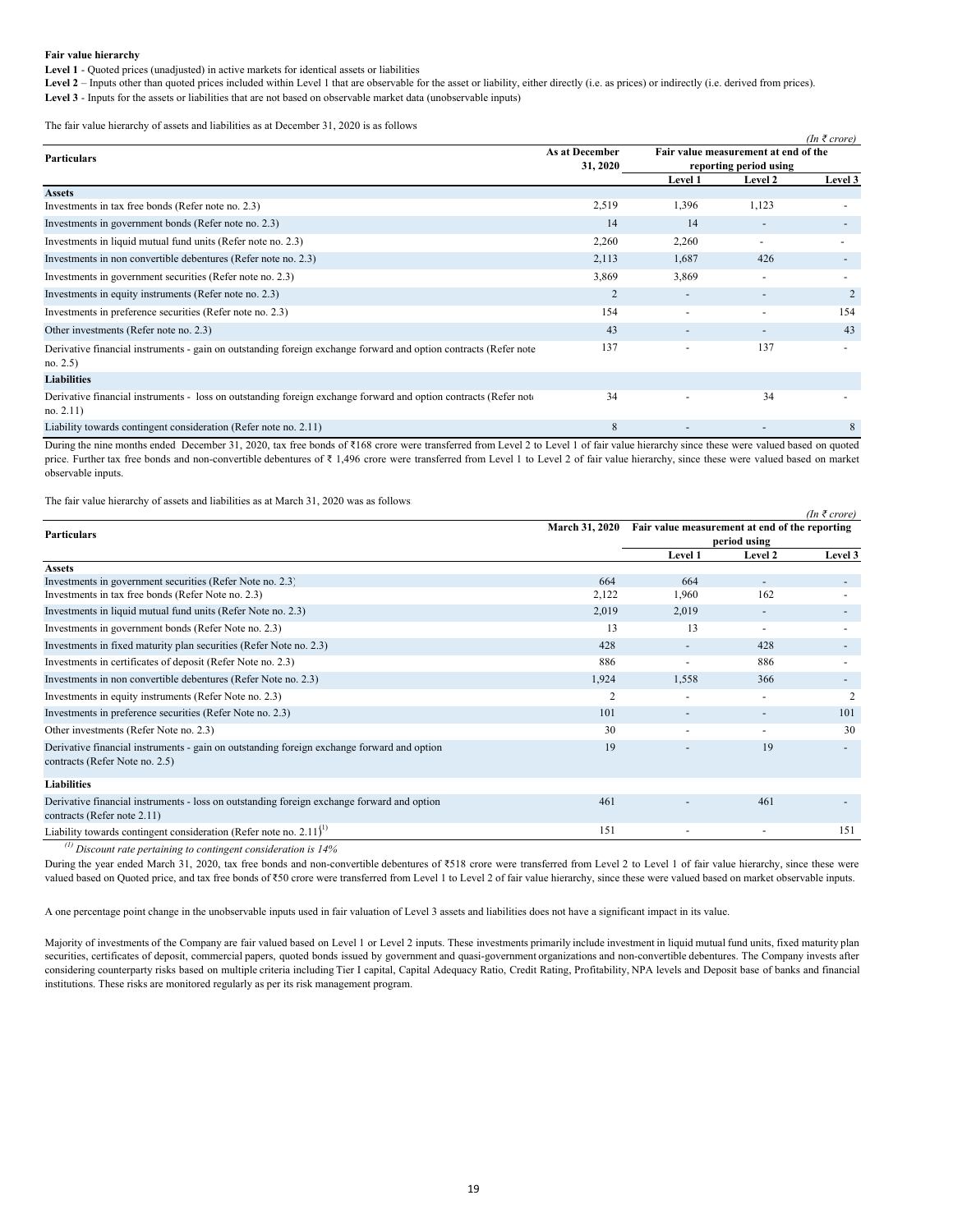#### **Fair value hierarchy**

**Level 1** - Quoted prices (unadjusted) in active markets for identical assets or liabilities

Level 2 – Inputs other than quoted prices included within Level 1 that are observable for the asset or liability, either directly (i.e. as prices) or indirectly (i.e. derived from prices).

Level 3 - Inputs for the assets or liabilities that are not based on observable market data (unobservable inputs)

The fair value hierarchy of assets and liabilities as at December 31, 2020 is as follows

|                                                                                                                               |                       |                                      |                                   | $(In \, \bar{\tau} \, core)$ |  |
|-------------------------------------------------------------------------------------------------------------------------------|-----------------------|--------------------------------------|-----------------------------------|------------------------------|--|
| <b>Particulars</b>                                                                                                            | <b>As at December</b> | Fair value measurement at end of the |                                   |                              |  |
|                                                                                                                               | 31, 2020              | <b>Level 1</b>                       | reporting period using<br>Level 2 | Level 3                      |  |
| <b>Assets</b>                                                                                                                 |                       |                                      |                                   |                              |  |
| Investments in tax free bonds (Refer note no. 2.3)                                                                            | 2,519                 | 1,396                                | 1,123                             |                              |  |
| Investments in government bonds (Refer note no. 2.3)                                                                          | 14                    | 14                                   | $\overline{a}$                    | $\overline{\phantom{a}}$     |  |
| Investments in liquid mutual fund units (Refer note no. 2.3)                                                                  | 2,260                 | 2,260                                | $\overline{\phantom{a}}$          |                              |  |
| Investments in non convertible debentures (Refer note no. 2.3)                                                                | 2,113                 | 1,687                                | 426                               | $\overline{\phantom{a}}$     |  |
| Investments in government securities (Refer note no. 2.3)                                                                     | 3,869                 | 3,869                                |                                   |                              |  |
| Investments in equity instruments (Refer note no. 2.3)                                                                        | $\overline{2}$        |                                      |                                   | 2                            |  |
| Investments in preference securities (Refer note no. 2.3)                                                                     | 154                   |                                      |                                   | 154                          |  |
| Other investments (Refer note no. 2.3)                                                                                        | 43                    |                                      |                                   | 43                           |  |
| Derivative financial instruments - gain on outstanding foreign exchange forward and option contracts (Refer note<br>no. 2.5)  | 137                   |                                      | 137                               | $\overline{\phantom{0}}$     |  |
| <b>Liabilities</b>                                                                                                            |                       |                                      |                                   |                              |  |
| Derivative financial instruments - loss on outstanding foreign exchange forward and option contracts (Refer note<br>no. 2.11) | 34                    | $\overline{\phantom{0}}$             | 34                                |                              |  |
| Liability towards contingent consideration (Refer note no. 2.11)                                                              | 8                     |                                      |                                   | 8                            |  |

During the nine months ended December 31, 2020, tax free bonds of ₹168 crore were transferred from Level 2 to Level 1 of fair value hierarchy since these were valued based on quoted price. Further tax free bonds and non-convertible debentures of ₹ 1,496 crore were transferred from Level 1 to Level 2 of fair value hierarchy, since these were valued based on market observable inputs.

*(In ₹ crore)*

The fair value hierarchy of assets and liabilities as at March 31, 2020 was as follows:

| <b>Particulars</b>                                                                                                           | <b>March 31, 2020</b> | Fair value measurement at end of the reporting | period using | $\mu$ $\mu$ $\mu$ $\sigma$ $\sigma$ $\sigma$ |
|------------------------------------------------------------------------------------------------------------------------------|-----------------------|------------------------------------------------|--------------|----------------------------------------------|
|                                                                                                                              |                       | Level 1                                        | Level 2      | Level 3                                      |
| <b>Assets</b>                                                                                                                |                       |                                                |              |                                              |
| Investments in government securities (Refer Note no. 2.3)                                                                    | 664                   | 664                                            |              | ۰.                                           |
| Investments in tax free bonds (Refer Note no. 2.3)                                                                           | 2,122                 | 1,960                                          | 162          |                                              |
| Investments in liquid mutual fund units (Refer Note no. 2.3)                                                                 | 2,019                 | 2,019                                          |              |                                              |
| Investments in government bonds (Refer Note no. 2.3)                                                                         | 13                    | 13                                             |              |                                              |
| Investments in fixed maturity plan securities (Refer Note no. 2.3)                                                           | 428                   |                                                | 428          |                                              |
| Investments in certificates of deposit (Refer Note no. 2.3)                                                                  | 886                   |                                                | 886          |                                              |
| Investments in non convertible debentures (Refer Note no. 2.3)                                                               | 1,924                 | 1,558                                          | 366          |                                              |
| Investments in equity instruments (Refer Note no. 2.3)                                                                       | 2                     |                                                |              |                                              |
| Investments in preference securities (Refer Note no. 2.3)                                                                    | 101                   |                                                |              | 101                                          |
| Other investments (Refer Note no. 2.3)                                                                                       | 30                    |                                                |              | 30                                           |
| Derivative financial instruments - gain on outstanding foreign exchange forward and option<br>contracts (Refer Note no. 2.5) | 19                    |                                                | 19           |                                              |
| <b>Liabilities</b>                                                                                                           |                       |                                                |              |                                              |
| Derivative financial instruments - loss on outstanding foreign exchange forward and option<br>contracts (Refer note 2.11)    | 461                   |                                                | 461          |                                              |
| Liability towards contingent consideration (Refer note no. $2.11$ ) <sup>1)</sup>                                            | 151                   |                                                | -            | 151                                          |

 *(1) Discount rate pertaining to contingent consideration is 14%*

During the year ended March 31, 2020, tax free bonds and non-convertible debentures of ₹518 crore were transferred from Level 2 to Level 1 of fair value hierarchy, since these were valued based on Quoted price, and tax free bonds of ₹50 crore were transferred from Level 1 to Level 2 of fair value hierarchy, since these were valued based on market observable inputs.

A one percentage point change in the unobservable inputs used in fair valuation of Level 3 assets and liabilities does not have a significant impact in its value.

Majority of investments of the Company are fair valued based on Level 1 or Level 2 inputs. These investments primarily include investment in liquid mutual fund units, fixed maturity plan securities, certificates of deposit, commercial papers, quoted bonds issued by government and quasi-government organizations and non-convertible debentures. The Company invests after considering counterparty risks based on multiple criteria including Tier I capital, Capital Adequacy Ratio, Credit Rating, Profitability, NPA levels and Deposit base of banks and financial institutions. These risks are monitored regularly as per its risk management program.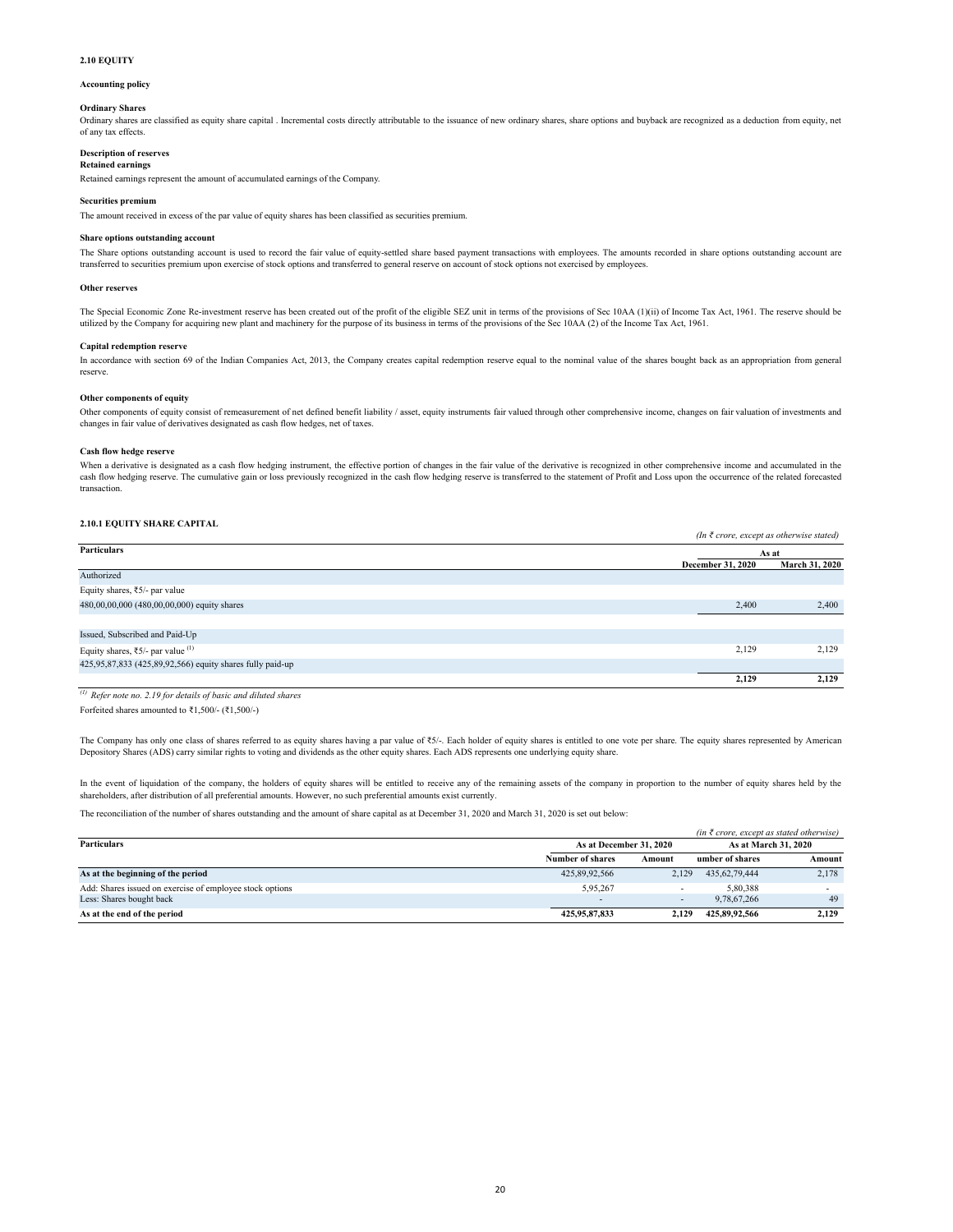# **2.10 EQUITY**

#### **Accounting policy**

#### **Ordinary Shares**

Ordinary shares are classified as equity share capital . Incremental costs directly attributable to the issuance of new ordinary shares, share options and buyback are recognized as a deduction from equity, net of any tax effects.

### **Description of reserves**

**Retained earnings**

Retained earnings represent the amount of accumulated earnings of the Company.

#### **Securities premium**

The amount received in excess of the par value of equity shares has been classified as securities premium.

#### **Share options outstanding account**

The Share options outstanding account is used to record the fair value of equity-settled share based payment transactions with employees. The amounts recorded in share options outstanding account are transferred to securities premium upon exercise of stock options and transferred to general reserve on account of stock options not exercised by employees.

#### **Other reserves**

The Special Economic Zone Re-investment reserve has been created out of the profit of the eligible SEZ unit in terms of the provisions of Sec 10AA (1)(ii) of Income Tax Act, 1961. The reserve should be utilized by the Company for acquiring new plant and machinery for the purpose of its business in terms of the provisions of the Sec 10AA (2) of the Income Tax Act, 1961.

#### **Capital redemption reserve**

In accordance with section 69 of the Indian Companies Act, 2013, the Company creates capital redemption reserve equal to the nominal value of the shares bought back as an appropriation from general reserve.

#### **Other components of equity**

Other components of equity consist of remeasurement of net defined benefit liability / asset, equity instruments fair valued through other comprehensive income, changes on fair valuation of investments and changes in fair value of derivatives designated as cash flow hedges, net of taxes.

#### **Cash flow hedge reserve**

When a derivative is designated as a cash flow hedging instrument, the effective portion of changes in the fair value of the derivative is recognized in other comprehensive income and accumulated in the cash flow hedging reserve. The cumulative gain or loss previously recognized in the cash flow hedging reserve is transferred to the statement of Profit and Loss upon the occurrence of the related forecasted transaction.

# **2.10.1 EQUITY SHARE CAPITAL**

|                                                              |                   | (In $\bar{\tau}$ crore, except as otherwise stated) |  |  |
|--------------------------------------------------------------|-------------------|-----------------------------------------------------|--|--|
| Particulars                                                  |                   | As at                                               |  |  |
|                                                              | December 31, 2020 | March 31, 2020                                      |  |  |
| Authorized                                                   |                   |                                                     |  |  |
| Equity shares, ₹5/- par value                                |                   |                                                     |  |  |
| 480,00,00,000 (480,00,00,000) equity shares                  | 2,400             | 2,400                                               |  |  |
|                                                              |                   |                                                     |  |  |
| Issued, Subscribed and Paid-Up                               |                   |                                                     |  |  |
| Equity shares, $\overline{\xi}$ 5/- par value <sup>(1)</sup> | 2,129             | 2,129                                               |  |  |
| 425,95,87,833 (425,89,92,566) equity shares fully paid-up    |                   |                                                     |  |  |
|                                                              | 2.129             | 2.129                                               |  |  |

Forfeited shares amounted to ₹1,500/- (₹1,500/-) *(1) Refer note no. 2.19 for details of basic and diluted shares*

The Company has only one class of shares referred to as equity shares having a par value of ₹5/-. Each holder of equity shares is entitled to one vote per share. The equity shares represented by American Depository Shares (ADS) carry similar rights to voting and dividends as the other equity shares. Each ADS represents one underlying equity share.

In the event of liquidation of the company, the holders of equity shares will be entitled to receive any of the remaining assets of the company in proportion to the number of equity shares held by the shareholders, after distribution of all preferential amounts. However, no such preferential amounts exist currently.

The reconciliation of the number of shares outstanding and the amount of share capital as at December 31, 2020 and March 31, 2020 is set out below:

|                                                          |                         |                          | (in $\bar{\tau}$ crore, except as stated otherwise) |        |
|----------------------------------------------------------|-------------------------|--------------------------|-----------------------------------------------------|--------|
| <b>Particulars</b>                                       | As at December 31, 2020 |                          | As at March 31, 2020                                |        |
|                                                          | <b>Number of shares</b> | Amount                   | umber of shares                                     | Amount |
| As at the beginning of the period                        | 425,89,92,566           | 2.129                    | 435.62.79.444                                       | 2,178  |
| Add: Shares issued on exercise of employee stock options | 5.95.267                | $\overline{\phantom{a}}$ | 5.80.388                                            |        |
| Less: Shares bought back                                 |                         |                          | 9.78.67.266                                         | 49     |
| As at the end of the period                              | 425,95,87,833           | 2.129                    | 425,89,92,566                                       | 2.129  |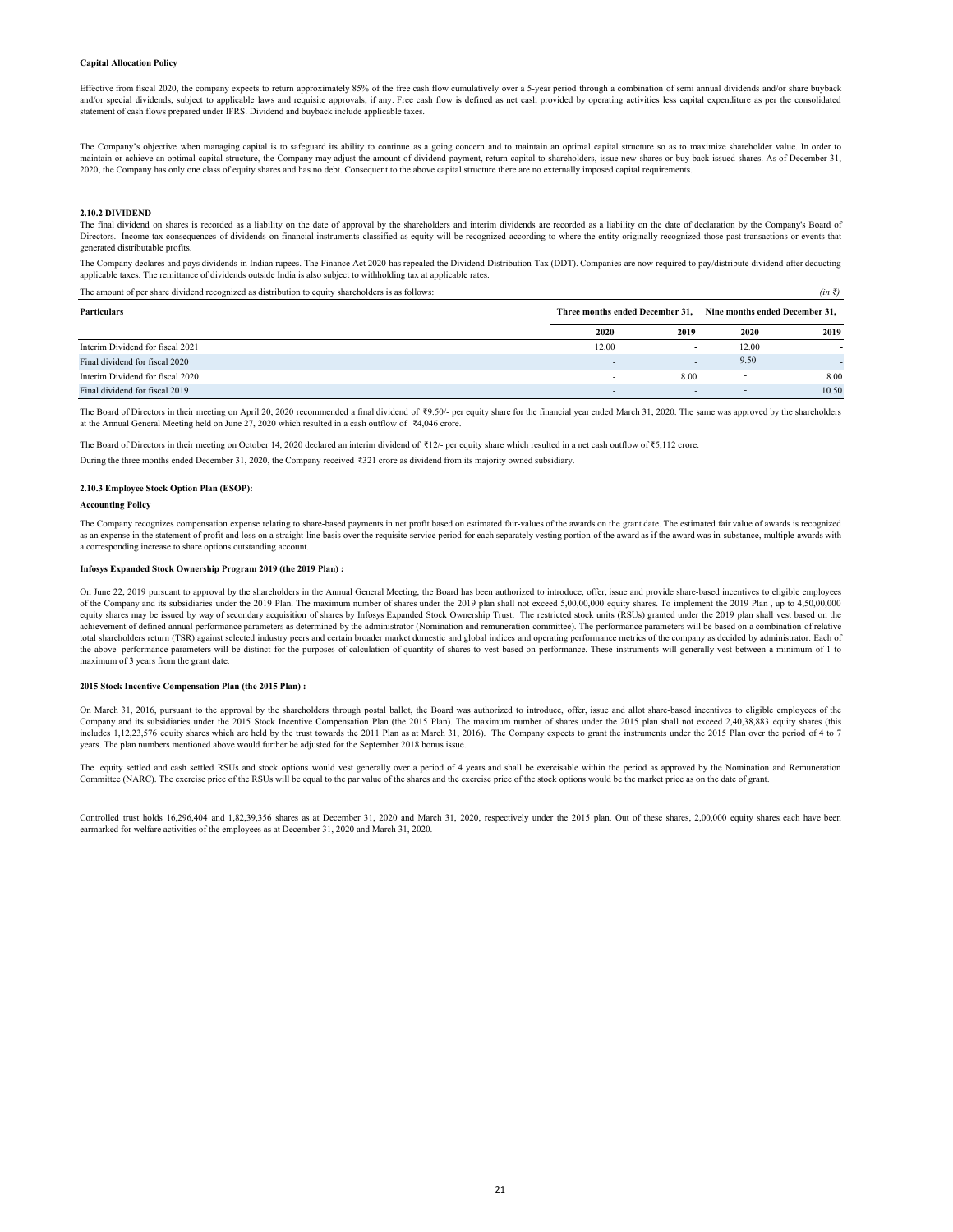#### **Capital Allocation Policy**

Effective from fiscal 2020, the company expects to return approximately 85% of the free cash flow cumulatively over a 5-year period through a combination of semi annual dividends and/or share buyback and/or special dividends, subject to applicable laws and requisite approvals, if any. Free cash flow is defined as net cash provided by operating activities less capital expenditure as per the consolidated statement of cash flows prepared under IFRS. Dividend and buyback include applicable taxes.

The Company's objective when managing capital is to safeguard its ability to continue as a going concern and to maintain an optimal capital structure so as to maximize shareholder value. In order to maintain or achieve an optimal capital structure, the Company may adjust the amount of dividend payment, return capital to shareholders, issue new shares or buy back issued shares. As of December 31,<br>2020, the Company has

#### **2.10.2 DIVIDEND**

The final dividend on shares is recorded as a liability on the date of approval by the shareholders and interim dividends are recorded as a liability on the date of declaration by the Company's Board of Directors. Income tax consequences of dividends on financial instruments classified as equity will be recognized according to where the entity originally recognized those past transactions or events that generated distributable profits.

The Company declares and pays dividends in Indian rupees. The Finance Act 2020 has repealed the Dividend Distribution Tax (DDT). Companies are now required to pay/distribute dividend after deducting applicable taxes. The remittance of dividends outside India is also subject to withholding tax at applicable rates.

The amount of per share dividend recognized as distribution to equity shareholders is as follows:  $(in \bar{\tau})$ 

| <b>Particulars</b>               |                          | Three months ended December 31, | Nine months ended December 31, |       |
|----------------------------------|--------------------------|---------------------------------|--------------------------------|-------|
|                                  | 2020                     | 2019                            | 2020                           | 2019  |
| Interim Dividend for fiscal 2021 | 12.00                    | $\overline{\phantom{a}}$        | 12.00                          |       |
| Final dividend for fiscal 2020   | $\overline{\phantom{0}}$ | $\overline{\phantom{a}}$        | 9.50                           |       |
| Interim Dividend for fiscal 2020 |                          | 8.00                            |                                | 8.00  |
| Final dividend for fiscal 2019   | $\overline{\phantom{a}}$ | $\overline{\phantom{a}}$        |                                | 10.50 |

The Board of Directors in their meeting on April 20, 2020 recommended a final dividend of ₹9.50/- per equity share for the financial year ended March 31, 2020. The same was approved by the shareholders at the Annual General Meeting held on June 27, 2020 which resulted in a cash outflow of ₹4,046 crore.

During the three months ended December 31, 2020, the Company received ₹321 crore as dividend from its majority owned subsidiary. The Board of Directors in their meeting on October 14, 2020 declared an interim dividend of ₹12/- per equity share which resulted in a net cash outflow of ₹5,112 crore.

#### **2.10.3 Employee Stock Option Plan (ESOP):**

#### **Accounting Policy**

The Company recognizes compensation expense relating to share-based payments in net profit based on estimated fair-values of the awards on the grant date. The estimated fair value of awards is recognized as an expense in the statement of profit and loss on a straight-line basis over the requisite service period for each separately vesting portion of the award as if the award was in-substance, multiple awards with a corresponding increase to share options outstanding account.

#### **Infosys Expanded Stock Ownership Program 2019 (the 2019 Plan) :**

On June 22, 2019 pursuant to approval by the shareholders in the Annual General Meeting, the Board has been authorized to introduce, offer, issue and provide share-based incentives to eligible employees of the Company and its subsidiaries under the 2019 Plan. The maximum number of shares under the 2019 plan shall not exceed 5,00,00,000 equity shares. To implement the 2019 Plan , up to 4,50,00,000 equity shares may be issued by way of secondary acquisition of shares by Infosys Expanded Stock Ownership Trust. The restricted stock units (RSUs) granted under the 2019 plan shall vest based on the achievement of defined annual performance parameters as determined by the administrator (Nomination and remuneration committee). The performance parameters will be based on a combination of relative<br>total shareholders retu the above performance parameters will be distinct for the purposes of calculation of quantity of shares to vest based on performance. These instruments will generally vest between a minimum of 1 to maximum of 3 years from the grant date.

#### **2015 Stock Incentive Compensation Plan (the 2015 Plan) :**

On March 31, 2016, pursuant to the approval by the shareholders through postal ballot, the Board was authorized to introduce, offer, issue and allot share-based incentives to eligible employees of the Company and its subsidiaries under the 2015 Stock Incentive Compensation Plan (the 2015 Plan). The maximum number of shares under the 2015 plan shall not exceed 2,40,38,883 equity shares (this includes 1,12,23,576 equity shares which are held by the trust towards the 2011 Plan as at March 31, 2016). The Company expects to grant the instruments under the 2015 Plan over the period of 4 to 7 years. The plan numbers mentioned above would further be adjusted for the September 2018 bonus issue.

The equity settled and cash settled RSUs and stock options would vest generally over a period of 4 years and shall be exercisable within the period as approved by the Nomination and Remuneration Committee (NARC). The exercise price of the RSUs will be equal to the par value of the shares and the exercise price of the stock options would be the market price as on the date of grant.

Controlled trust holds 16,296,404 and 1,82,39,356 shares as at December 31, 2020 and March 31, 2020, respectively under the 2015 plan. Out of these shares, 2,00,000 equity shares each have been earmarked for welfare activities of the employees as at December 31, 2020 and March 31, 2020.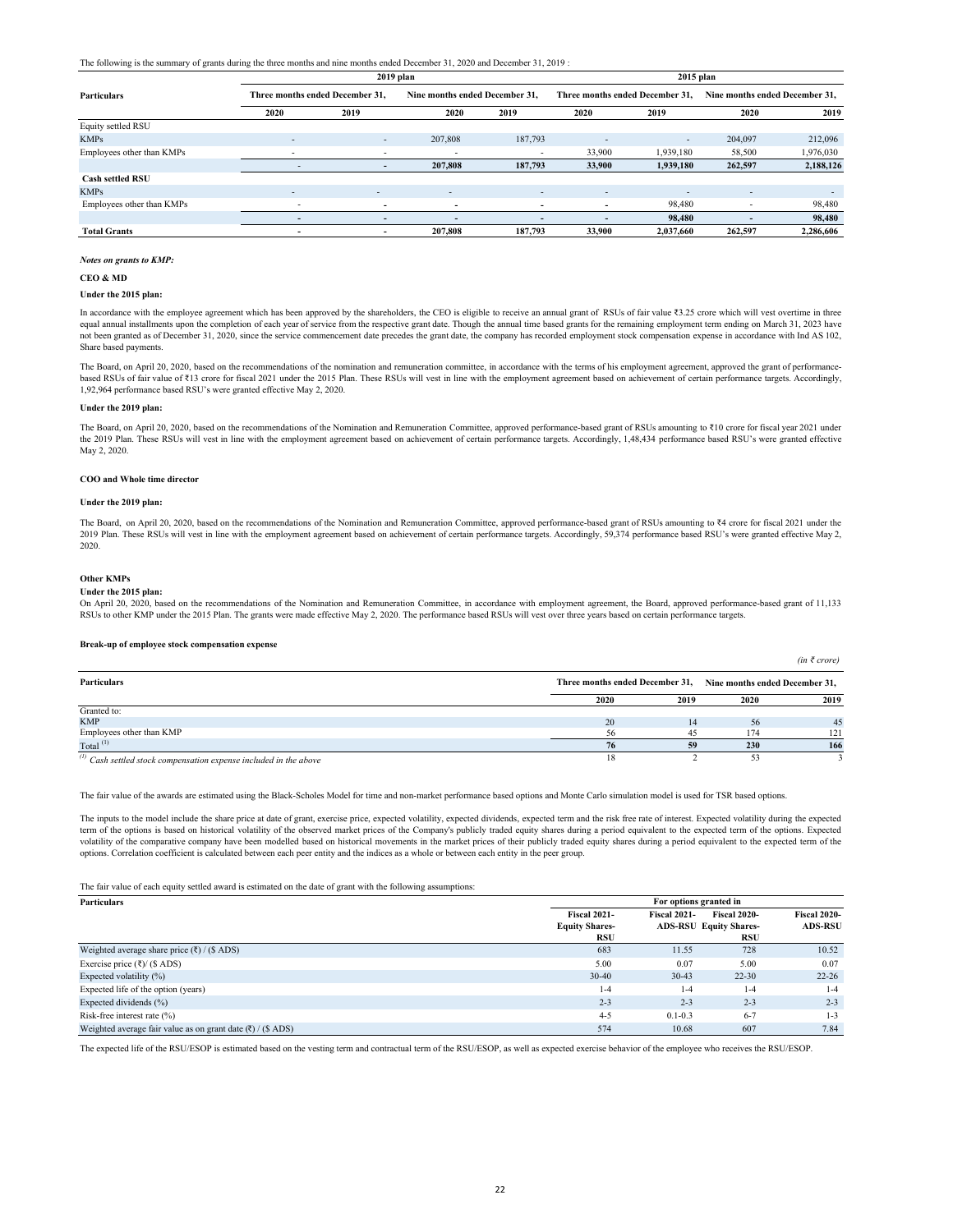The following is the summary of grants during the three months and nine months ended December 31, 2020 and December 31, 2019 :

|                           | $2019$ plan                     |                          |                                |                          | $2015$ plan                     |                          |                                |           |
|---------------------------|---------------------------------|--------------------------|--------------------------------|--------------------------|---------------------------------|--------------------------|--------------------------------|-----------|
| <b>Particulars</b>        | Three months ended December 31. |                          | Nine months ended December 31. |                          | Three months ended December 31. |                          | Nine months ended December 31. |           |
|                           | 2020                            | 2019                     | 2020                           | 2019                     | 2020                            | 2019                     | 2020                           | 2019      |
| Equity settled RSU        |                                 |                          |                                |                          |                                 |                          |                                |           |
| <b>KMPs</b>               | $\overline{\phantom{a}}$        | $\overline{\phantom{a}}$ | 207,808                        | 187,793                  | $\overline{\phantom{a}}$        | $\overline{\phantom{a}}$ | 204,097                        | 212,096   |
| Employees other than KMPs | $\overline{\phantom{0}}$        |                          |                                |                          | 33,900                          | 1,939,180                | 58,500                         | 1,976,030 |
|                           |                                 | -                        | 207,808                        | 187,793                  | 33,900                          | 1,939,180                | 262,597                        | 2,188,126 |
| <b>Cash settled RSU</b>   |                                 |                          |                                |                          |                                 |                          |                                |           |
| <b>KMPs</b>               | ٠                               | $\overline{\phantom{a}}$ | $\sim$                         | $\sim$                   | $\overline{\phantom{a}}$        | $\overline{\phantom{a}}$ | $\overline{\phantom{0}}$       | -         |
| Employees other than KMPs | $\overline{\phantom{a}}$        | $\overline{\phantom{0}}$ | -                              | $\overline{\phantom{0}}$ | $\overline{\phantom{0}}$        | 98,480                   |                                | 98,480    |
|                           | $\overline{\phantom{0}}$        | -                        | -                              | $\overline{\phantom{0}}$ | $\overline{\phantom{0}}$        | 98.480                   |                                | 98,480    |
| <b>Total Grants</b>       | $\overline{\phantom{0}}$        |                          | 207,808                        | 187,793                  | 33,900                          | 2,037,660                | 262,597                        | 2,286,606 |

#### *Notes on grants to KMP:*

**CEO & MD**

#### **Under the 2015 plan:**

In accordance with the employee agreement which has been approved by the shareholders, the CEO is eligible to receive an annual grant of RSUs of fair value ₹3.25 crore which will vest overtime in three equal annual installments upon the completion of each year of service from the respective grant date. Though the annual time based grants for the remaining employment term ending on March 31, 2023 have not been granted as of December 31, 2020, since the service commencement date precedes the grant date, the company has recorded employment stock compensation expense in accordance with Ind AS 102, Share based payments.

The Board, on April 20, 2020, based on the recommendations of the nomination and remuneration committee, in accordance with the terms of his employment agreement, approved the grant of performancebased RSUs of fair value of ₹13 crore for fiscal 2021 under the 2015 Plan. These RSUs will vest in line with the employment agreement based on achievement of certain performance targets. Accordingly, 1,92,964 performance based RSU's were granted effective May 2, 2020.

### **Under the 2019 plan:**

The Board, on April 20, 2020, based on the recommendations of the Nomination and Remuneration Committee, approved performance-based grant of RSUs amounting to ₹10 crore for fiscal year 2021 under the 2019 Plan. These RSUs will vest in line with the employment agreement based on achievement of certain performance targets. Accordingly, 1,48,434 performance based RSU's were granted effective May 2, 2020.

#### **COO and Whole time director**

#### **Under the 2019 plan:**

The Board, on April 20, 2020, based on the recommendations of the Nomination and Remuneration Committee, approved performance-based grant of RSUs amounting to ₹4 crore for fiscal 2021 under the 2019 Plan. These RSUs will vest in line with the employment agreement based on achievement of certain performance targets. Accordingly, 59,374 performance based RSU's were granted effective May 2, 2020.

**Other KMPs**

#### **Under the 2015 plan:**

On April 20, 2020, based on the recommendations of the Nomination and Remuneration Committee, in accordance with employment agreement, the Board, approved performance-based grant of 11,133 RSUs to other KMP under the 2015 Plan. The grants were made effective May 2, 2020. The performance based RSUs will vest over three years based on certain performance targets.

*(in ₹ crore)*

#### **Break-up of employee stock compensation expense**

|                                                                         |      |                                                                |      | 1 1 1 1 1 |
|-------------------------------------------------------------------------|------|----------------------------------------------------------------|------|-----------|
| Particulars                                                             |      | Three months ended December 31, Nine months ended December 31, |      |           |
|                                                                         | 2020 | 2019                                                           | 2020 | 2019      |
| Granted to:                                                             |      |                                                                |      |           |
| <b>KMP</b>                                                              | 20   |                                                                | 56   | 45        |
| Employees other than KMP                                                |      | 45                                                             | 174  | 121       |
| Total $^{(1)}$                                                          | 76   | 59                                                             | 230  | 166       |
| $\mu^{(l)}$ Cash sattled stock comparation amongs included in the above |      |                                                                |      |           |

*Cash settled stock compensation expense included in the above* 

The fair value of the awards are estimated using the Black-Scholes Model for time and non-market performance based options and Monte Carlo simulation model is used for TSR based options.

The inputs to the model include the share price at date of grant, exercise price, expected volatility, expected dividends, expected term and the risk free rate of interest. Expected volatility during the expected term of the options is based on historical volatility of the observed market prices of the Company's publicly traded equity shares during a period equivalent to the expected term of the options. Expected volatility of the comparative company have been modelled based on historical movements in the market prices of their publicly traded equity shares during a period equivalent to the expected term of the options. Correlation coefficient is calculated between each peer entity and the indices as a whole or between each entity in the peer group.

The fair value of each equity settled award is estimated on the date of grant with the following assumptions:

| <b>Particulars</b>                                              |                       | For options granted in |                               |                     |
|-----------------------------------------------------------------|-----------------------|------------------------|-------------------------------|---------------------|
|                                                                 | <b>Fiscal 2021-</b>   | <b>Fiscal 2021-</b>    | <b>Fiscal 2020-</b>           | <b>Fiscal 2020-</b> |
|                                                                 | <b>Equity Shares-</b> |                        | <b>ADS-RSU Equity Shares-</b> | <b>ADS-RSU</b>      |
|                                                                 | RSU                   |                        | RSU                           |                     |
| Weighted average share price $(\xi)$ / (\$ ADS)                 | 683                   | 11.55                  | 728                           | 10.52               |
| Exercise price $(\xi)$ (\$ ADS)                                 | 5.00                  | 0.07                   | 5.00                          | 0.07                |
| Expected volatility $(\%)$                                      | $30 - 40$             | $30-43$                | $22 - 30$                     | $22 - 26$           |
| Expected life of the option (years)                             | $1-4$                 | $1-4$                  | $1-4$                         | $1 - 4$             |
| Expected dividends (%)                                          | $2 - 3$               | $2 - 3$                | $2 - 3$                       | $2 - 3$             |
| Risk-free interest rate $(\% )$                                 | $4 - 5$               | $0.1 - 0.3$            | $6 - 7$                       | $1 - 3$             |
| Weighted average fair value as on grant date $(\xi)$ / (\$ ADS) | 574                   | 10.68                  | 607                           | 7.84                |

The expected life of the RSU/ESOP is estimated based on the vesting term and contractual term of the RSU/ESOP, as well as expected exercise behavior of the employee who receives the RSU/ESOP.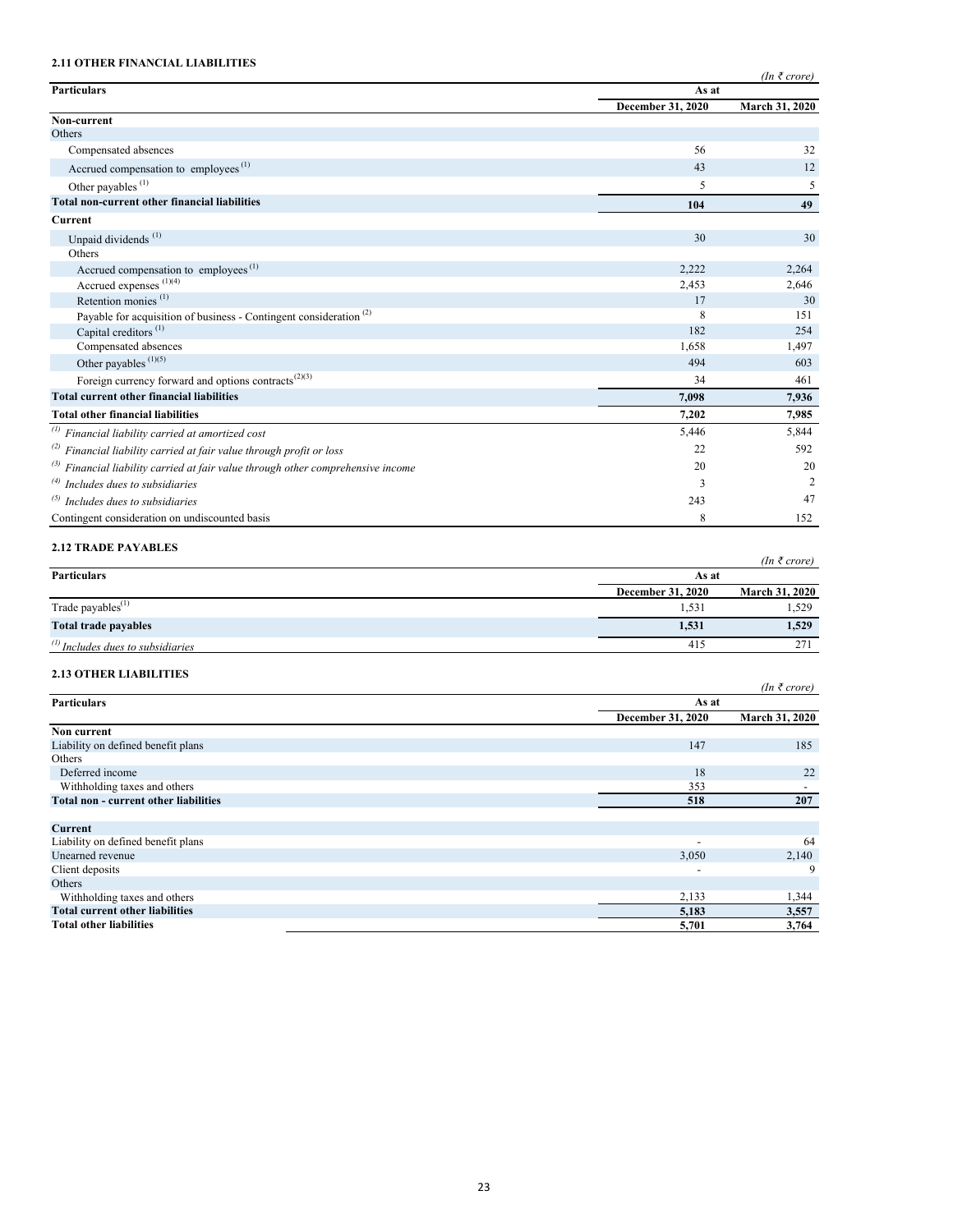# **2.11 OTHER FINANCIAL LIABILITIES**

|                                                                                       |                          | $(In \; \bar{\tau} \; crore)$ |  |  |  |
|---------------------------------------------------------------------------------------|--------------------------|-------------------------------|--|--|--|
| <b>Particulars</b>                                                                    | As at                    |                               |  |  |  |
|                                                                                       | <b>December 31, 2020</b> | March 31, 2020                |  |  |  |
| Non-current<br>Others                                                                 |                          |                               |  |  |  |
| Compensated absences                                                                  | 56                       | 32                            |  |  |  |
|                                                                                       |                          |                               |  |  |  |
| Accrued compensation to employees <sup>(1)</sup>                                      | 43                       | 12                            |  |  |  |
| Other payables <sup>(1)</sup>                                                         | 5                        | 5                             |  |  |  |
| <b>Total non-current other financial liabilities</b>                                  | 104                      | 49                            |  |  |  |
| Current                                                                               |                          |                               |  |  |  |
| Unpaid dividends <sup>(1)</sup>                                                       | 30                       | 30                            |  |  |  |
| Others                                                                                |                          |                               |  |  |  |
| Accrued compensation to employees <sup>(1)</sup>                                      | 2,222                    | 2,264                         |  |  |  |
| Accrued expenses (1)(4)                                                               | 2,453                    | 2,646                         |  |  |  |
| Retention monies $(1)$                                                                | 17                       | 30                            |  |  |  |
| Payable for acquisition of business - Contingent consideration <sup>(2)</sup>         | 8                        | 151                           |  |  |  |
| Capital creditors <sup>(1)</sup>                                                      | 182                      | 254                           |  |  |  |
| Compensated absences                                                                  | 1,658                    | 1,497                         |  |  |  |
| Other payables $(1)(5)$                                                               | 494                      | 603                           |  |  |  |
| Foreign currency forward and options contracts <sup>(2)(3)</sup>                      | 34                       | 461                           |  |  |  |
| <b>Total current other financial liabilities</b>                                      | 7.098                    | 7,936                         |  |  |  |
| <b>Total other financial liabilities</b>                                              | 7.202                    | 7,985                         |  |  |  |
| $\binom{(1)}{r}$ Financial liability carried at amortized cost                        | 5,446                    | 5,844                         |  |  |  |
| $^{(2)}$ Financial liability carried at fair value through profit or loss             | 22                       | 592                           |  |  |  |
| $^{(3)}$ Financial liability carried at fair value through other comprehensive income | 20                       | 20                            |  |  |  |
| $\alpha$ <sup>(4)</sup> Includes dues to subsidiaries                                 | 3                        | $\overline{2}$                |  |  |  |
| $^{(5)}$ Includes dues to subsidiaries                                                | 243                      | 47                            |  |  |  |
| Contingent consideration on undiscounted basis                                        | 8                        | 152                           |  |  |  |

# **2.12 TRADE PAYABLES**

|                                                |                          | $(In \; \bar{\tau} \; crore)$ |
|------------------------------------------------|--------------------------|-------------------------------|
| <b>Particulars</b>                             | As at                    |                               |
|                                                | <b>December 31, 2020</b> | <b>March 31, 2020</b>         |
| Trade payables <sup>(1)</sup>                  | 1,531                    | 1,529                         |
| <b>Total trade payables</b>                    | 1,531                    | 1,529                         |
| $\binom{11}{11}$ Includes dues to subsidiaries | 415                      | 271                           |

# **2.13 OTHER LIABILITIES**

| <b>2.13 OTHER LIABILITIES</b>                |                          |                |
|----------------------------------------------|--------------------------|----------------|
|                                              |                          | (In ₹core)     |
| <b>Particulars</b>                           | As at                    |                |
|                                              | December 31, 2020        | March 31, 2020 |
| Non current                                  |                          |                |
| Liability on defined benefit plans           | 147                      | 185            |
| Others                                       |                          |                |
| Deferred income                              | 18                       | 22             |
| Withholding taxes and others                 | 353                      |                |
| <b>Total non - current other liabilities</b> | 518                      | 207            |
|                                              |                          |                |
| <b>Current</b>                               |                          |                |
| Liability on defined benefit plans           | $\overline{\phantom{a}}$ | 64             |
| Unearned revenue                             | 3,050                    | 2,140          |
| Client deposits                              |                          | 9              |
| Others                                       |                          |                |
| Withholding taxes and others                 | 2,133                    | 1,344          |
| <b>Total current other liabilities</b>       | 5,183                    | 3,557          |
| <b>Total other liabilities</b>               | 5,701                    | 3,764          |
|                                              |                          |                |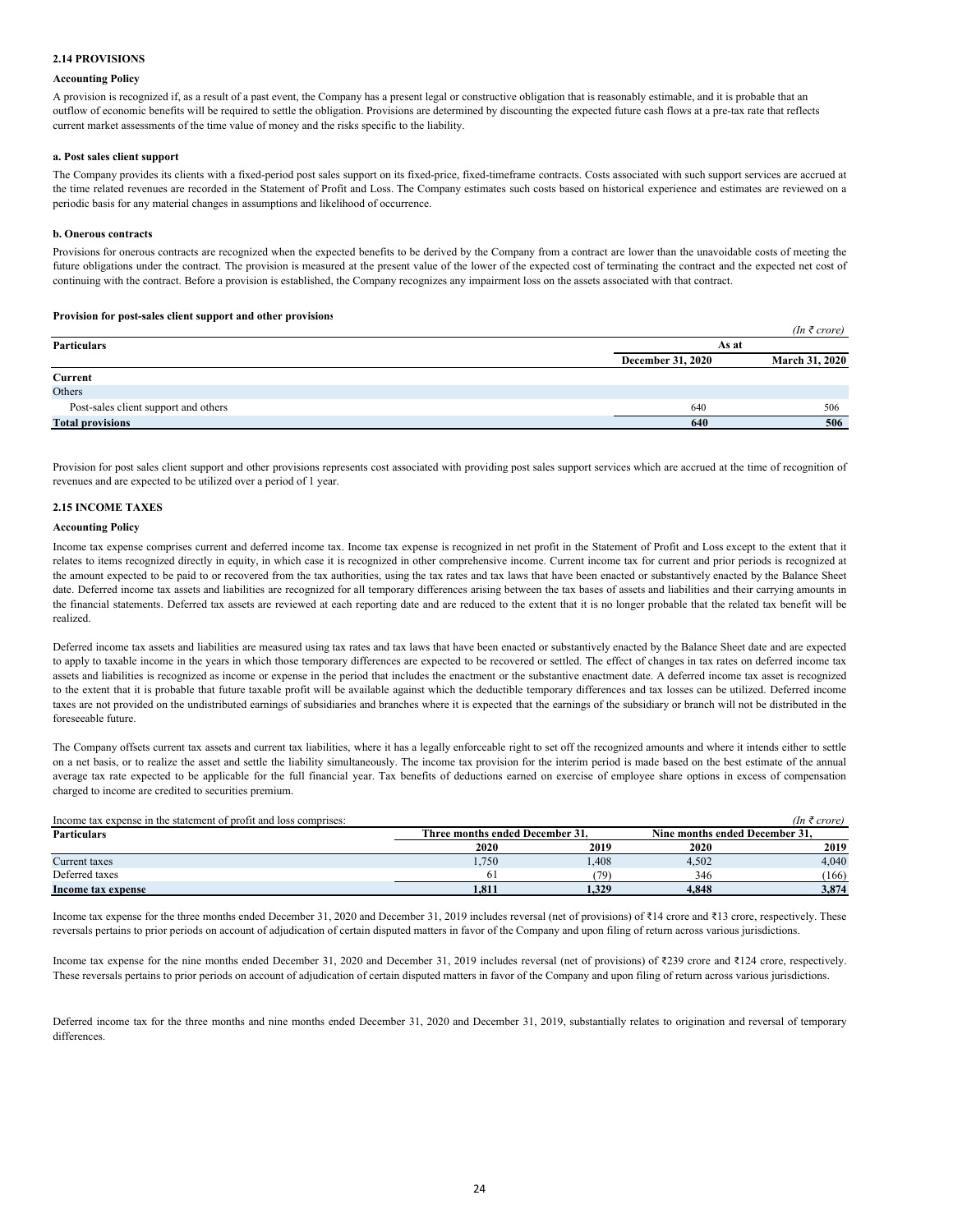# **2.14 PROVISIONS**

# **Accounting Policy**

A provision is recognized if, as a result of a past event, the Company has a present legal or constructive obligation that is reasonably estimable, and it is probable that an outflow of economic benefits will be required to settle the obligation. Provisions are determined by discounting the expected future cash flows at a pre-tax rate that reflects current market assessments of the time value of money and the risks specific to the liability.

### **a. Post sales client support**

The Company provides its clients with a fixed-period post sales support on its fixed-price, fixed-timeframe contracts. Costs associated with such support services are accrued at the time related revenues are recorded in the Statement of Profit and Loss. The Company estimates such costs based on historical experience and estimates are reviewed on a periodic basis for any material changes in assumptions and likelihood of occurrence.

# **b. Onerous contracts**

Provisions for onerous contracts are recognized when the expected benefits to be derived by the Company from a contract are lower than the unavoidable costs of meeting the future obligations under the contract. The provision is measured at the present value of the lower of the expected cost of terminating the contract and the expected net cost of continuing with the contract. Before a provision is established, the Company recognizes any impairment loss on the assets associated with that contract.

# **Provision for post-sales client support and other provisions**

|                                      |                          | $(In \; \bar{\tau} \; crore)$ |
|--------------------------------------|--------------------------|-------------------------------|
| Particulars                          |                          | As at                         |
|                                      | <b>December 31, 2020</b> | <b>March 31, 2020</b>         |
| Current                              |                          |                               |
| Others                               |                          |                               |
| Post-sales client support and others | 640                      | 506                           |
| <b>Total provisions</b>              | 640                      | 506                           |

Provision for post sales client support and other provisions represents cost associated with providing post sales support services which are accrued at the time of recognition of revenues and are expected to be utilized over a period of 1 year.

# **2.15 INCOME TAXES**

# **Accounting Policy**

Income tax expense comprises current and deferred income tax. Income tax expense is recognized in net profit in the Statement of Profit and Loss except to the extent that it relates to items recognized directly in equity, in which case it is recognized in other comprehensive income. Current income tax for current and prior periods is recognized at the amount expected to be paid to or recovered from the tax authorities, using the tax rates and tax laws that have been enacted or substantively enacted by the Balance Sheet date. Deferred income tax assets and liabilities are recognized for all temporary differences arising between the tax bases of assets and liabilities and their carrying amounts in the financial statements. Deferred tax assets are reviewed at each reporting date and are reduced to the extent that it is no longer probable that the related tax benefit will be realized.

Deferred income tax assets and liabilities are measured using tax rates and tax laws that have been enacted or substantively enacted by the Balance Sheet date and are expected to apply to taxable income in the years in which those temporary differences are expected to be recovered or settled. The effect of changes in tax rates on deferred income tax assets and liabilities is recognized as income or expense in the period that includes the enactment or the substantive enactment date. A deferred income tax asset is recognized to the extent that it is probable that future taxable profit will be available against which the deductible temporary differences and tax losses can be utilized. Deferred income taxes are not provided on the undistributed earnings of subsidiaries and branches where it is expected that the earnings of the subsidiary or branch will not be distributed in the foreseeable future.

The Company offsets current tax assets and current tax liabilities, where it has a legally enforceable right to set off the recognized amounts and where it intends either to settle on a net basis, or to realize the asset and settle the liability simultaneously. The income tax provision for the interim period is made based on the best estimate of the annual average tax rate expected to be applicable for the full financial year. Tax benefits of deductions earned on exercise of employee share options in excess of compensation charged to income are credited to securities premium.

| Income tax expense in the statement of profit and loss comprises: |                                 |       |                                | (In ₹ core) |
|-------------------------------------------------------------------|---------------------------------|-------|--------------------------------|-------------|
| <b>Particulars</b>                                                | Three months ended December 31. |       | Nine months ended December 31. |             |
|                                                                   | 2020                            | 2019  | 2020                           | 2019        |
| Current taxes                                                     | 1,750                           | .408  | 4,502                          | 4.040       |
| Deferred taxes                                                    |                                 | 70'   | 346                            | (166)       |
| Income tax expense                                                | 1,811                           | 1,329 | 4.848                          | 3,874       |

Income tax expense for the three months ended December 31, 2020 and December 31, 2019 includes reversal (net of provisions) of ₹14 crore and ₹13 crore, respectively. These reversals pertains to prior periods on account of adjudication of certain disputed matters in favor of the Company and upon filing of return across various jurisdictions.

Income tax expense for the nine months ended December 31, 2020 and December 31, 2019 includes reversal (net of provisions) of ₹239 crore and ₹124 crore, respectively. These reversals pertains to prior periods on account of adjudication of certain disputed matters in favor of the Company and upon filing of return across various jurisdictions.

Deferred income tax for the three months and nine months ended December 31, 2020 and December 31, 2019, substantially relates to origination and reversal of temporary differences.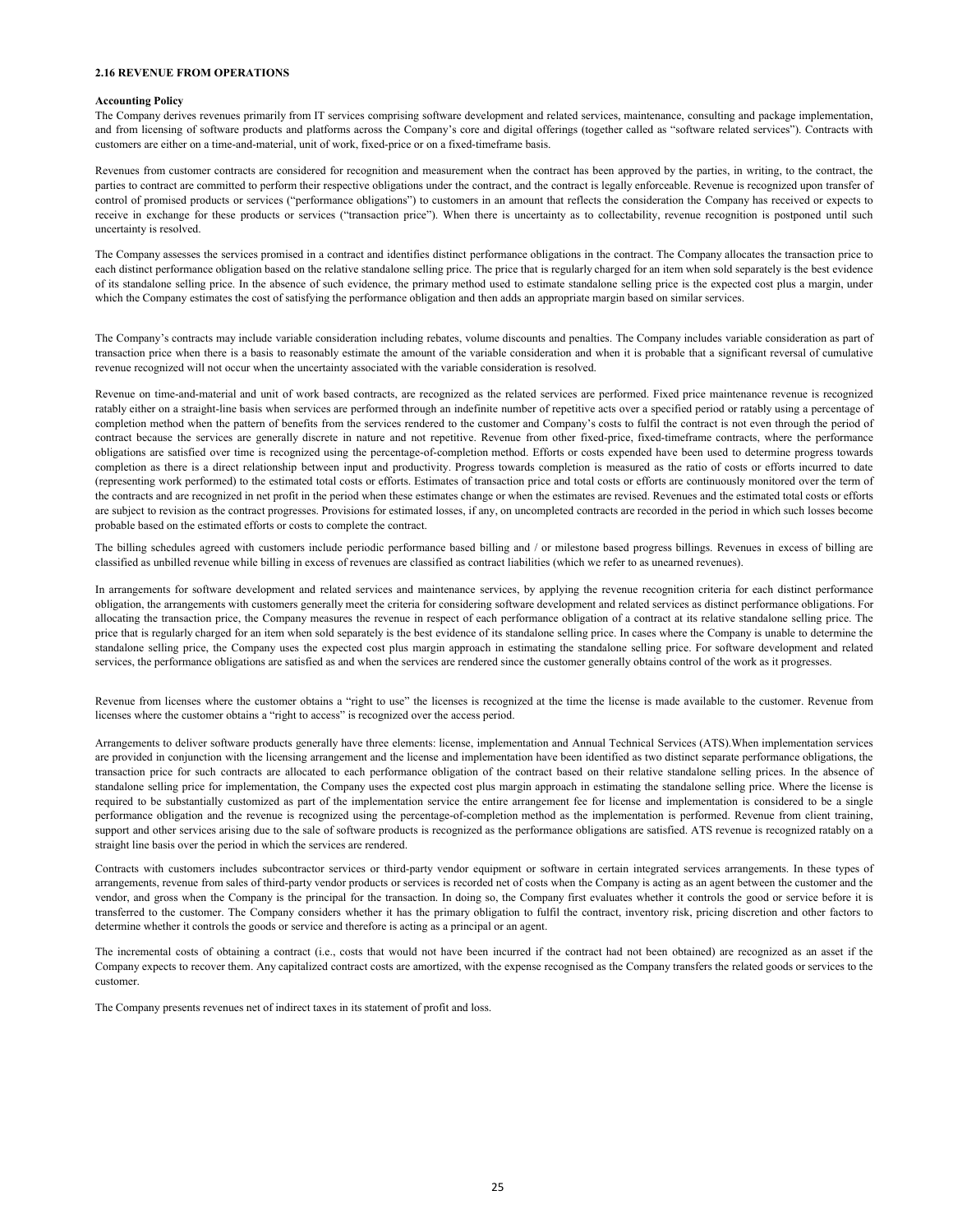#### **2.16 REVENUE FROM OPERATIONS**

#### **Accounting Policy**

The Company derives revenues primarily from IT services comprising software development and related services, maintenance, consulting and package implementation, and from licensing of software products and platforms across the Company's core and digital offerings (together called as "software related services"). Contracts with customers are either on a time-and-material, unit of work, fixed-price or on a fixed-timeframe basis.

Revenues from customer contracts are considered for recognition and measurement when the contract has been approved by the parties, in writing, to the contract, the parties to contract are committed to perform their respective obligations under the contract, and the contract is legally enforceable. Revenue is recognized upon transfer of control of promised products or services ("performance obligations") to customers in an amount that reflects the consideration the Company has received or expects to receive in exchange for these products or services ("transaction price"). When there is uncertainty as to collectability, revenue recognition is postponed until such uncertainty is resolved.

The Company assesses the services promised in a contract and identifies distinct performance obligations in the contract. The Company allocates the transaction price to each distinct performance obligation based on the relative standalone selling price. The price that is regularly charged for an item when sold separately is the best evidence of its standalone selling price. In the absence of such evidence, the primary method used to estimate standalone selling price is the expected cost plus a margin, under which the Company estimates the cost of satisfying the performance obligation and then adds an appropriate margin based on similar services.

The Company's contracts may include variable consideration including rebates, volume discounts and penalties. The Company includes variable consideration as part of transaction price when there is a basis to reasonably estimate the amount of the variable consideration and when it is probable that a significant reversal of cumulative revenue recognized will not occur when the uncertainty associated with the variable consideration is resolved.

Revenue on time-and-material and unit of work based contracts, are recognized as the related services are performed. Fixed price maintenance revenue is recognized ratably either on a straight-line basis when services are performed through an indefinite number of repetitive acts over a specified period or ratably using a percentage of completion method when the pattern of benefits from the services rendered to the customer and Company's costs to fulfil the contract is not even through the period of contract because the services are generally discrete in nature and not repetitive. Revenue from other fixed-price, fixed-timeframe contracts, where the performance obligations are satisfied over time is recognized using the percentage-of-completion method. Efforts or costs expended have been used to determine progress towards completion as there is a direct relationship between input and productivity. Progress towards completion is measured as the ratio of costs or efforts incurred to date (representing work performed) to the estimated total costs or efforts. Estimates of transaction price and total costs or efforts are continuously monitored over the term of the contracts and are recognized in net profit in the period when these estimates change or when the estimates are revised. Revenues and the estimated total costs or efforts are subject to revision as the contract progresses. Provisions for estimated losses, if any, on uncompleted contracts are recorded in the period in which such losses become probable based on the estimated efforts or costs to complete the contract.

The billing schedules agreed with customers include periodic performance based billing and / or milestone based progress billings. Revenues in excess of billing are classified as unbilled revenue while billing in excess of revenues are classified as contract liabilities (which we refer to as unearned revenues).

In arrangements for software development and related services and maintenance services, by applying the revenue recognition criteria for each distinct performance obligation, the arrangements with customers generally meet the criteria for considering software development and related services as distinct performance obligations. For allocating the transaction price, the Company measures the revenue in respect of each performance obligation of a contract at its relative standalone selling price. The price that is regularly charged for an item when sold separately is the best evidence of its standalone selling price. In cases where the Company is unable to determine the standalone selling price, the Company uses the expected cost plus margin approach in estimating the standalone selling price. For software development and related services, the performance obligations are satisfied as and when the services are rendered since the customer generally obtains control of the work as it progresses.

Revenue from licenses where the customer obtains a "right to use" the licenses is recognized at the time the license is made available to the customer. Revenue from licenses where the customer obtains a "right to access" is recognized over the access period.

Arrangements to deliver software products generally have three elements: license, implementation and Annual Technical Services (ATS).When implementation services are provided in conjunction with the licensing arrangement and the license and implementation have been identified as two distinct separate performance obligations, the transaction price for such contracts are allocated to each performance obligation of the contract based on their relative standalone selling prices. In the absence of standalone selling price for implementation, the Company uses the expected cost plus margin approach in estimating the standalone selling price. Where the license is required to be substantially customized as part of the implementation service the entire arrangement fee for license and implementation is considered to be a single performance obligation and the revenue is recognized using the percentage-of-completion method as the implementation is performed. Revenue from client training, support and other services arising due to the sale of software products is recognized as the performance obligations are satisfied. ATS revenue is recognized ratably on a straight line basis over the period in which the services are rendered.

Contracts with customers includes subcontractor services or third-party vendor equipment or software in certain integrated services arrangements. In these types of arrangements, revenue from sales of third-party vendor products or services is recorded net of costs when the Company is acting as an agent between the customer and the vendor, and gross when the Company is the principal for the transaction. In doing so, the Company first evaluates whether it controls the good or service before it is transferred to the customer. The Company considers whether it has the primary obligation to fulfil the contract, inventory risk, pricing discretion and other factors to determine whether it controls the goods or service and therefore is acting as a principal or an agent.

The incremental costs of obtaining a contract (i.e., costs that would not have been incurred if the contract had not been obtained) are recognized as an asset if the Company expects to recover them. Any capitalized contract costs are amortized, with the expense recognised as the Company transfers the related goods or services to the customer.

The Company presents revenues net of indirect taxes in its statement of profit and loss.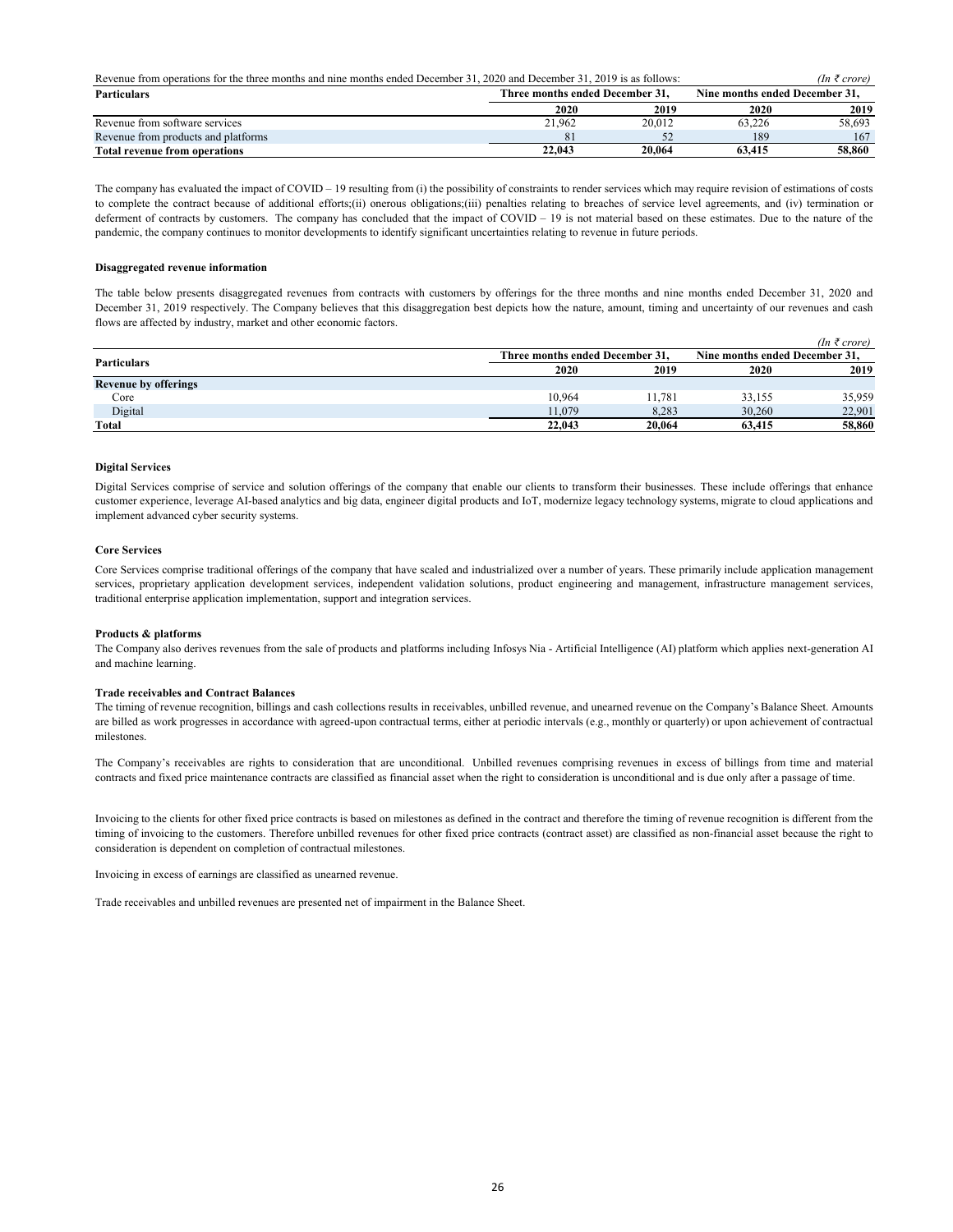| Revenue from operations for the three months and nine months ended December 31, 2020 and December 31, 2019 is as follows: |                                 | (In ₹ core) |                                |        |
|---------------------------------------------------------------------------------------------------------------------------|---------------------------------|-------------|--------------------------------|--------|
| <b>Particulars</b>                                                                                                        | Three months ended December 31. |             | Nine months ended December 31, |        |
|                                                                                                                           | 2020                            | 2019        | 2020                           | 2019   |
| Revenue from software services                                                                                            | 21.962                          | 20.012      | 63.226                         | 58,693 |
| Revenue from products and platforms                                                                                       | 81                              |             | 189                            | 167    |
| <b>Total revenue from operations</b>                                                                                      | 22,043                          | 20.064      | 63.415                         | 58.860 |

The company has evaluated the impact of COVID – 19 resulting from (i) the possibility of constraints to render services which may require revision of estimations of costs to complete the contract because of additional efforts;(ii) onerous obligations;(iii) penalties relating to breaches of service level agreements, and (iv) termination or deferment of contracts by customers. The company has concluded that the impact of COVID – 19 is not material based on these estimates. Due to the nature of the pandemic, the company continues to monitor developments to identify significant uncertainties relating to revenue in future periods.

### **Disaggregated revenue information**

The table below presents disaggregated revenues from contracts with customers by offerings for the three months and nine months ended December 31, 2020 and December 31, 2019 respectively. The Company believes that this disaggregation best depicts how the nature, amount, timing and uncertainty of our revenues and cash flows are affected by industry, market and other economic factors.

|                             |                                 |        |                                | (In ₹ correct) |
|-----------------------------|---------------------------------|--------|--------------------------------|----------------|
| <b>Particulars</b>          | Three months ended December 31. |        | Nine months ended December 31. |                |
|                             | 2020                            | 2019   | 2020                           | 2019           |
| <b>Revenue by offerings</b> |                                 |        |                                |                |
| Core                        | 10.964                          | 11.781 | 33,155                         | 35,959         |
| Digital                     | 11.079                          | 8,283  | 30,260                         | 22,901         |
| Total                       | 22,043                          | 20.064 | 63,415                         | 58,860         |

### **Digital Services**

Digital Services comprise of service and solution offerings of the company that enable our clients to transform their businesses. These include offerings that enhance customer experience, leverage AI-based analytics and big data, engineer digital products and IoT, modernize legacy technology systems, migrate to cloud applications and implement advanced cyber security systems.

#### **Core Services**

Core Services comprise traditional offerings of the company that have scaled and industrialized over a number of years. These primarily include application management services, proprietary application development services, independent validation solutions, product engineering and management, infrastructure management services, traditional enterprise application implementation, support and integration services.

#### **Products & platforms**

The Company also derives revenues from the sale of products and platforms including Infosys Nia - Artificial Intelligence (AI) platform which applies next-generation AI and machine learning.

### **Trade receivables and Contract Balances**

The timing of revenue recognition, billings and cash collections results in receivables, unbilled revenue, and unearned revenue on the Company's Balance Sheet. Amounts are billed as work progresses in accordance with agreed-upon contractual terms, either at periodic intervals (e.g., monthly or quarterly) or upon achievement of contractual milestones.

The Company's receivables are rights to consideration that are unconditional. Unbilled revenues comprising revenues in excess of billings from time and material contracts and fixed price maintenance contracts are classified as financial asset when the right to consideration is unconditional and is due only after a passage of time.

Invoicing to the clients for other fixed price contracts is based on milestones as defined in the contract and therefore the timing of revenue recognition is different from the timing of invoicing to the customers. Therefore unbilled revenues for other fixed price contracts (contract asset) are classified as non-financial asset because the right to consideration is dependent on completion of contractual milestones.

Invoicing in excess of earnings are classified as unearned revenue.

Trade receivables and unbilled revenues are presented net of impairment in the Balance Sheet.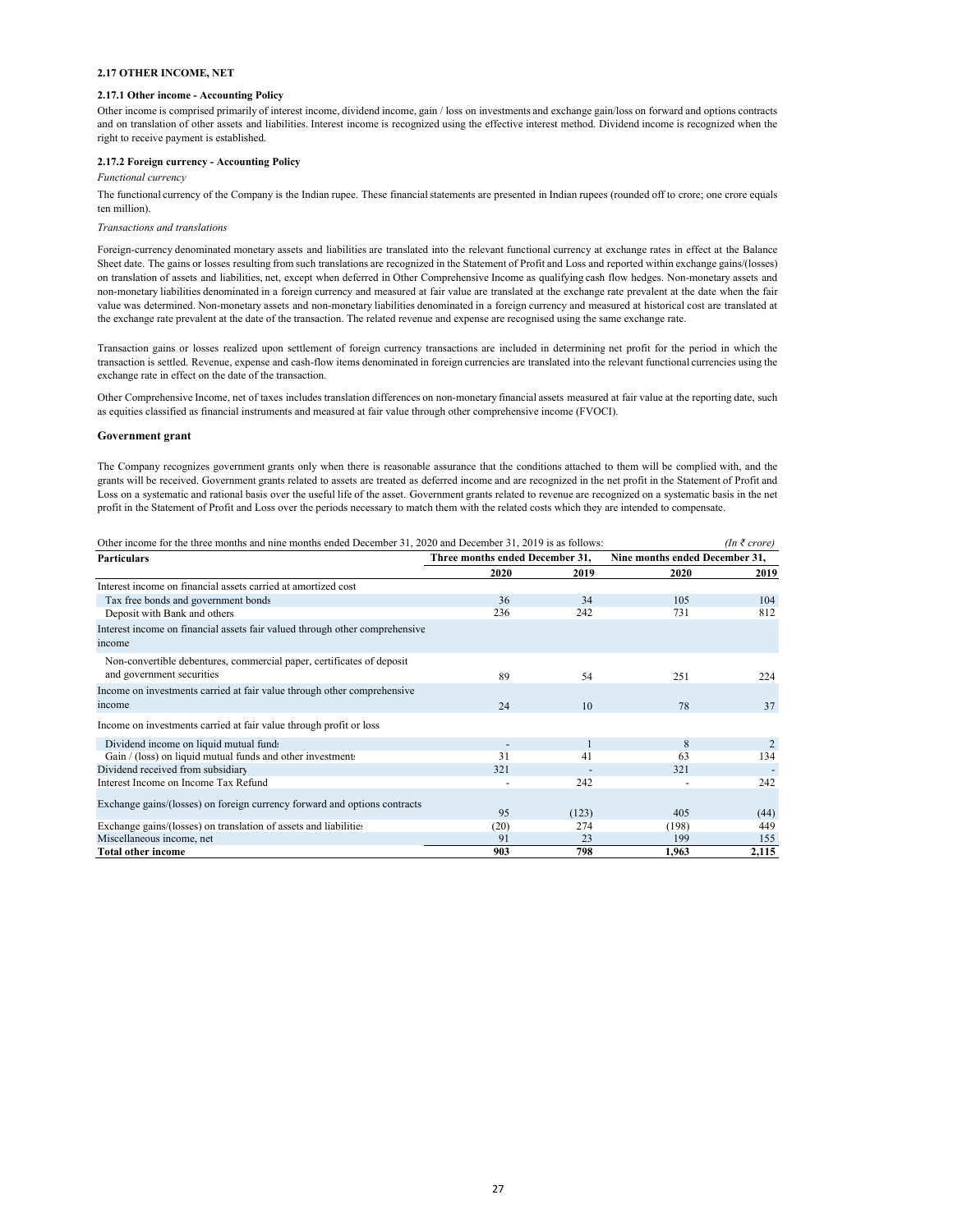#### **2.17 OTHER INCOME, NET**

### **2.17.1 Other income - Accounting Policy**

Other income is comprised primarily of interest income, dividend income, gain / loss on investments and exchange gain/loss on forward and options contracts and on translation of other assets and liabilities. Interest income is recognized using the effective interest method. Dividend income is recognized when the right to receive payment is established.

# **2.17.2 Foreign currency - Accounting Policy**

*Functional currency*

The functional currency of the Company is the Indian rupee. These financial statements are presented in Indian rupees (rounded off to crore; one crore equals ten million).

#### *Transactions and translations*

Foreign-currency denominated monetary assets and liabilities are translated into the relevant functional currency at exchange rates in effect at the Balance Sheet date. The gains or losses resulting from such translations are recognized in the Statement of Profit and Loss and reported within exchange gains/(losses) on translation of assets and liabilities, net, except when deferred in Other Comprehensive Income as qualifying cash flow hedges. Non-monetary assets and non-monetary liabilities denominated in a foreign currency and measured at fair value are translated at the exchange rate prevalent at the date when the fair value was determined. Non-monetary assets and non-monetary liabilities denominated in a foreign currency and measured at historical cost are translated at the exchange rate prevalent at the date of the transaction. The related revenue and expense are recognised using the same exchange rate.

Transaction gains or losses realized upon settlement of foreign currency transactions are included in determining net profit for the period in which the transaction is settled. Revenue, expense and cash-flow items denominated in foreign currencies are translated into the relevant functional currencies using the exchange rate in effect on the date of the transaction.

Other Comprehensive Income, net of taxes includes translation differences on non-monetary financial assets measured at fair value at the reporting date, such as equities classified as financial instruments and measured at fair value through other comprehensive income (FVOCI).

# **Government grant**

The Company recognizes government grants only when there is reasonable assurance that the conditions attached to them will be complied with, and the grants will be received. Government grants related to assets are treated as deferred income and are recognized in the net profit in the Statement of Profit and Loss on a systematic and rational basis over the useful life of the asset. Government grants related to revenue are recognized on a systematic basis in the net profit in the Statement of Profit and Loss over the periods necessary to match them with the related costs which they are intended to compensate.

| Other income for the three months and nine months ended December 31, 2020 and December 31, 2019 is as follows: |                                 |       |                                | $(In \; \bar{\tau} \; crore)$ |
|----------------------------------------------------------------------------------------------------------------|---------------------------------|-------|--------------------------------|-------------------------------|
| <b>Particulars</b>                                                                                             | Three months ended December 31, |       | Nine months ended December 31, |                               |
|                                                                                                                | 2020                            | 2019  | 2020                           | 2019                          |
| Interest income on financial assets carried at amortized cost                                                  |                                 |       |                                |                               |
| Tax free bonds and government bonds                                                                            | 36                              | 34    | 105                            | 104                           |
| Deposit with Bank and others                                                                                   | 236                             | 242   | 731                            | 812                           |
| Interest income on financial assets fair valued through other comprehensive                                    |                                 |       |                                |                               |
| income                                                                                                         |                                 |       |                                |                               |
| Non-convertible debentures, commercial paper, certificates of deposit                                          |                                 |       |                                |                               |
| and government securities                                                                                      | 89                              | 54    | 251                            | 224                           |
| Income on investments carried at fair value through other comprehensive                                        |                                 |       |                                |                               |
| income                                                                                                         | 24                              | 10    | 78                             | 37                            |
| Income on investments carried at fair value through profit or loss                                             |                                 |       |                                |                               |
| Dividend income on liquid mutual funds                                                                         |                                 |       | 8                              | $\overline{2}$                |
| Gain / (loss) on liquid mutual funds and other investments                                                     | 31                              | 41    | 63                             | 134                           |
| Dividend received from subsidiary                                                                              | 321                             |       | 321                            |                               |
| Interest Income on Income Tax Refund                                                                           |                                 | 242   |                                | 242                           |
| Exchange gains/(losses) on foreign currency forward and options contracts                                      |                                 |       |                                |                               |
|                                                                                                                | 95                              | (123) | 405                            | (44)                          |
| Exchange gains/(losses) on translation of assets and liabilities                                               | (20)                            | 274   | (198)                          | 449                           |
| Miscellaneous income, net                                                                                      | 91                              | 23    | 199                            | 155                           |
| <b>Total other income</b>                                                                                      | 903                             | 798   | 1,963                          | 2,115                         |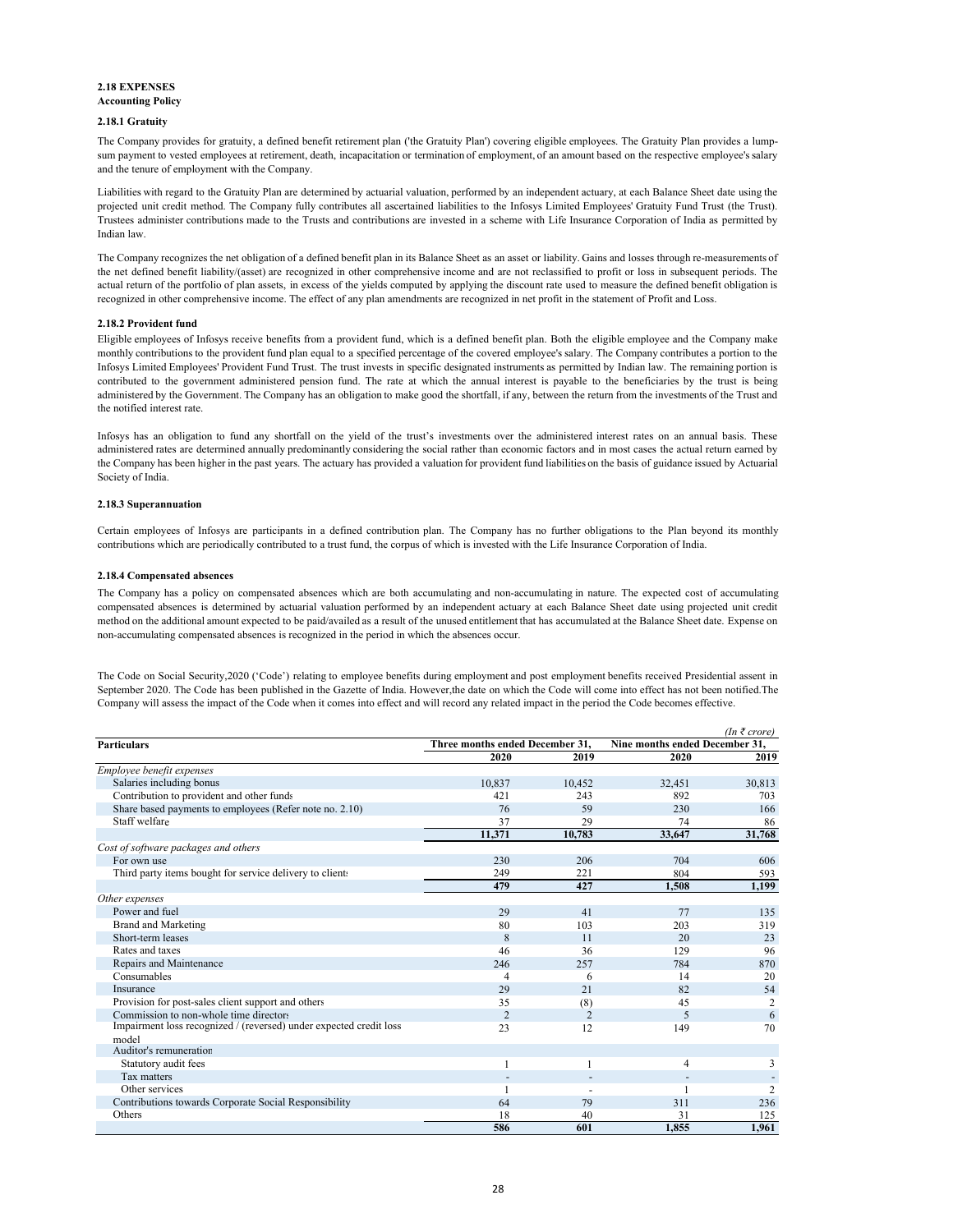# **2.18 EXPENSES**

# **Accounting Policy**

# **2.18.1 Gratuity**

The Company provides for gratuity, a defined benefit retirement plan ('the Gratuity Plan') covering eligible employees. The Gratuity Plan provides a lumpsum payment to vested employees at retirement, death, incapacitation or termination of employment, of an amount based on the respective employee's salary and the tenure of employment with the Company.

Liabilities with regard to the Gratuity Plan are determined by actuarial valuation, performed by an independent actuary, at each Balance Sheet date using the projected unit credit method. The Company fully contributes all ascertained liabilities to the Infosys Limited Employees' Gratuity Fund Trust (the Trust). Trustees administer contributions made to the Trusts and contributions are invested in a scheme with Life Insurance Corporation of India as permitted by Indian law.

The Company recognizes the net obligation of a defined benefit plan in its Balance Sheet as an asset or liability. Gains and losses through re-measurements of the net defined benefit liability/(asset) are recognized in other comprehensive income and are not reclassified to profit or loss in subsequent periods. The actual return of the portfolio of plan assets, in excess of the yields computed by applying the discount rate used to measure the defined benefit obligation is recognized in other comprehensive income. The effect of any plan amendments are recognized in net profit in the statement of Profit and Loss.

#### **2.18.2 Provident fund**

Eligible employees of Infosys receive benefits from a provident fund, which is a defined benefit plan. Both the eligible employee and the Company make monthly contributions to the provident fund plan equal to a specified percentage of the covered employee's salary. The Company contributes a portion to the Infosys Limited Employees' Provident Fund Trust. The trust invests in specific designated instruments as permitted by Indian law. The remaining portion is contributed to the government administered pension fund. The rate at which the annual interest is payable to the beneficiaries by the trust is being administered by the Government. The Company has an obligation to make good the shortfall, if any, between the return from the investments of the Trust and the notified interest rate.

Infosys has an obligation to fund any shortfall on the yield of the trust's investments over the administered interest rates on an annual basis. These administered rates are determined annually predominantly considering the social rather than economic factors and in most cases the actual return earned by the Company has been higher in the past years. The actuary has provided a valuation for provident fund liabilities on the basis of guidance issued by Actuarial Society of India.

# **2.18.3 Superannuation**

Certain employees of Infosys are participants in a defined contribution plan. The Company has no further obligations to the Plan beyond its monthly contributions which are periodically contributed to a trust fund, the corpus of which is invested with the Life Insurance Corporation of India.

#### **2.18.4 Compensated absences**

The Company has a policy on compensated absences which are both accumulating and non-accumulating in nature. The expected cost of accumulating compensated absences is determined by actuarial valuation performed by an independent actuary at each Balance Sheet date using projected unit credit method on the additional amount expected to be paid/availed as a result of the unused entitlement that has accumulated at the Balance Sheet date. Expense on non-accumulating compensated absences is recognized in the period in which the absences occur.

The Code on Social Security,2020 ('Code') relating to employee benefits during employment and post employment benefits received Presidential assent in September 2020. The Code has been published in the Gazette of India. However,the date on which the Code will come into effect has not been notified.The Company will assess the impact of the Code when it comes into effect and will record any related impact in the period the Code becomes effective.

|                                                                    |                                 |                |                                | $(In \; \bar{\tau} \; crore)$ |
|--------------------------------------------------------------------|---------------------------------|----------------|--------------------------------|-------------------------------|
| <b>Particulars</b>                                                 | Three months ended December 31, |                | Nine months ended December 31, |                               |
|                                                                    | 2020                            | 2019           | 2020                           | 2019                          |
| Employee benefit expenses                                          |                                 |                |                                |                               |
| Salaries including bonus                                           | 10.837                          | 10,452         | 32,451                         | 30.813                        |
| Contribution to provident and other funds                          | 421                             | 243            | 892                            | 703                           |
| Share based payments to employees (Refer note no. 2.10)            | 76                              | 59             | 230                            | 166                           |
| Staff welfare                                                      | 37                              | 29             | 74                             | 86                            |
|                                                                    | 11.371                          | 10.783         | 33.647                         | 31,768                        |
| Cost of software packages and others                               |                                 |                |                                |                               |
| For own use                                                        | 230                             | 206            | 704                            | 606                           |
| Third party items bought for service delivery to clients           | 249                             | 221            | 804                            | 593                           |
|                                                                    | 479                             | 427            | 1.508                          | 1.199                         |
| Other expenses                                                     |                                 |                |                                |                               |
| Power and fuel                                                     | 29                              | 41             | 77                             | 135                           |
| <b>Brand and Marketing</b>                                         | 80                              | 103            | 203                            | 319                           |
| Short-term leases                                                  | 8                               | 11             | 20                             | 23                            |
| Rates and taxes                                                    | 46                              | 36             | 129                            | 96                            |
| Repairs and Maintenance                                            | 246                             | 257            | 784                            | 870                           |
| Consumables                                                        | 4                               | 6              | 14                             | 20                            |
| Insurance                                                          | 29                              | 21             | 82                             | 54                            |
| Provision for post-sales client support and others                 | 35                              | (8)            | 45                             | $\overline{c}$                |
| Commission to non-whole time directors                             | $\mathfrak{D}$                  | $\overline{2}$ | 5                              | 6                             |
| Impairment loss recognized / (reversed) under expected credit loss | 23                              | 12             | 149                            | 70                            |
| model                                                              |                                 |                |                                |                               |
| Auditor's remuneration                                             |                                 |                |                                |                               |
| Statutory audit fees                                               |                                 | 1              | $\overline{4}$                 | 3                             |
| Tax matters                                                        |                                 |                |                                | $\overline{\phantom{a}}$      |
| Other services                                                     |                                 |                |                                | $\overline{2}$                |
| Contributions towards Corporate Social Responsibility              | 64                              | 79             | 311                            | 236                           |
| Others                                                             | 18                              | 40             | 31                             | 125                           |
|                                                                    | 586                             | 601            | 1.855                          | 1.961                         |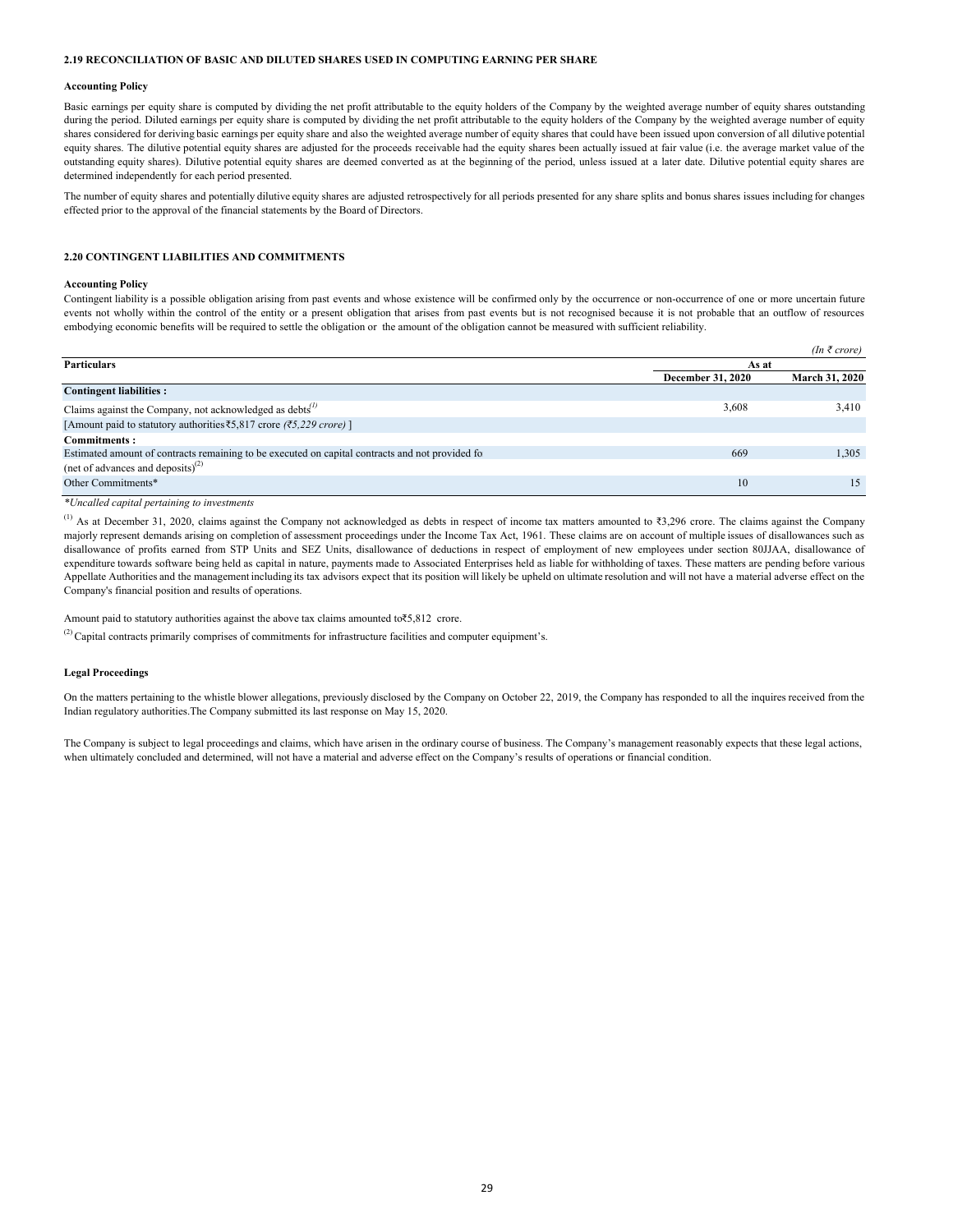# **2.19 RECONCILIATION OF BASIC AND DILUTED SHARES USED IN COMPUTING EARNING PER SHARE**

#### **Accounting Policy**

Basic earnings per equity share is computed by dividing the net profit attributable to the equity holders of the Company by the weighted average number of equity shares outstanding during the period. Diluted earnings per equity share is computed by dividing the net profit attributable to the equity holders of the Company by the weighted average number of equity shares considered for deriving basic earnings per equity share and also the weighted average number of equity shares that could have been issued upon conversion of all dilutive potential equity shares. The dilutive potential equity shares are adjusted for the proceeds receivable had the equity shares been actually issued at fair value (i.e. the average market value of the outstanding equity shares). Dilutive potential equity shares are deemed converted as at the beginning of the period, unless issued at a later date. Dilutive potential equity shares are determined independently for each period presented.

The number of equity shares and potentially dilutive equity shares are adjusted retrospectively for all periods presented for any share splits and bonus shares issues including for changes effected prior to the approval of the financial statements by the Board of Directors.

# **2.20 CONTINGENT LIABILITIES AND COMMITMENTS**

#### **Accounting Policy**

Contingent liability is a possible obligation arising from past events and whose existence will be confirmed only by the occurrence or non-occurrence of one or more uncertain future events not wholly within the control of the entity or a present obligation that arises from past events but is not recognised because it is not probable that an outflow of resources embodying economic benefits will be required to settle the obligation or the amount of the obligation cannot be measured with sufficient reliability.

|                                                                                                               |                          | $(In \; \bar{\tau} \; crore)$ |
|---------------------------------------------------------------------------------------------------------------|--------------------------|-------------------------------|
| <b>Particulars</b>                                                                                            | As at                    |                               |
|                                                                                                               | <b>December 31, 2020</b> | March 31, 2020                |
| <b>Contingent liabilities:</b>                                                                                |                          |                               |
| Claims against the Company, not acknowledged as debts $\binom{1}{k}$                                          | 3,608                    | 3,410                         |
| [Amount paid to statutory authorities $\text{\textsterling}5,817$ crore ( $\text{\textsterling}5,229$ crore)] |                          |                               |
| <b>Commitments:</b>                                                                                           |                          |                               |
| Estimated amount of contracts remaining to be executed on capital contracts and not provided for              | 669                      | 1,305                         |
| (net of advances and deposits) <sup>(2)</sup>                                                                 |                          |                               |
| Other Commitments*                                                                                            | 10                       | 15                            |

#### *\*Uncalled capital pertaining to investments*

(1) As at December 31, 2020, claims against the Company not acknowledged as debts in respect of income tax matters amounted to ₹3,296 crore. The claims against the Company majorly represent demands arising on completion of assessment proceedings under the Income Tax Act, 1961. These claims are on account of multiple issues of disallowances such as disallowance of profits earned from STP Units and SEZ Units, disallowance of deductions in respect of employment of new employees under section 80JJAA, disallowance of expenditure towards software being held as capital in nature, payments made to Associated Enterprises held as liable for withholding of taxes. These matters are pending before various Appellate Authorities and the management including its tax advisors expect that its position will likely be upheld on ultimate resolution and will not have a material adverse effect on the Company's financial position and results of operations.

Amount paid to statutory authorities against the above tax claims amounted to₹5,812 crore.

 $<sup>(2)</sup>$  Capital contracts primarily comprises of commitments for infrastructure facilities and computer equipment's.</sup>

# **Legal Proceedings**

On the matters pertaining to the whistle blower allegations, previously disclosed by the Company on October 22, 2019, the Company has responded to all the inquires received from the Indian regulatory authorities.The Company submitted its last response on May 15, 2020.

The Company is subject to legal proceedings and claims, which have arisen in the ordinary course of business. The Company's management reasonably expects that these legal actions, when ultimately concluded and determined, will not have a material and adverse effect on the Company's results of operations or financial condition.